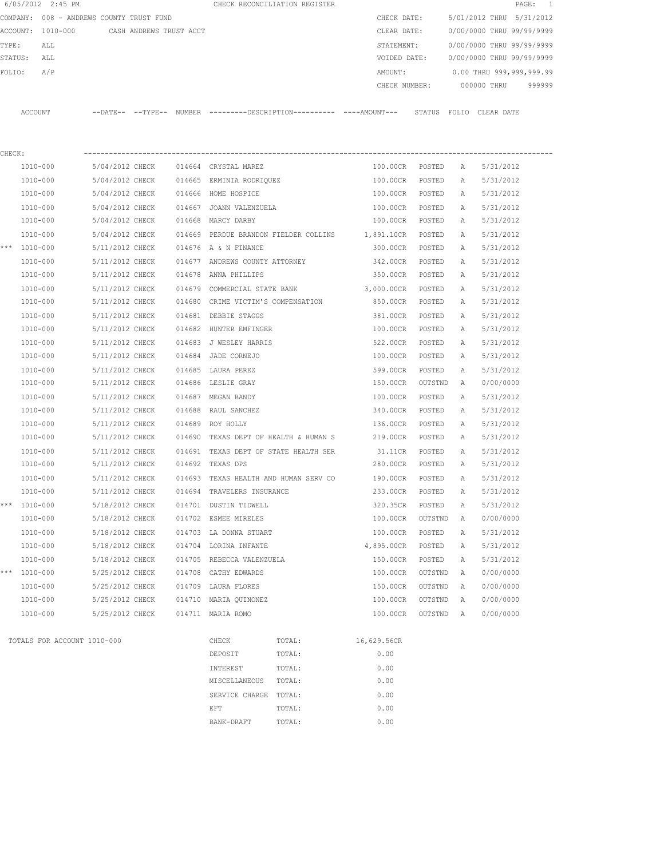|        | 6/05/2012 2:45 PM                        |                 |                         |        |                                       | CHECK RECONCILIATION REGISTER         |                                                                                              |         |              |                           | PAGE:<br>-1 |
|--------|------------------------------------------|-----------------|-------------------------|--------|---------------------------------------|---------------------------------------|----------------------------------------------------------------------------------------------|---------|--------------|---------------------------|-------------|
|        | COMPANY: 008 - ANDREWS COUNTY TRUST FUND |                 |                         |        |                                       |                                       | CHECK DATE:                                                                                  |         |              | 5/01/2012 THRU 5/31/2012  |             |
|        | ACCOUNT: 1010-000                        |                 | CASH ANDREWS TRUST ACCT |        |                                       |                                       | CLEAR DATE:                                                                                  |         |              | 0/00/0000 THRU 99/99/9999 |             |
| TYPE:  | ALL                                      |                 |                         |        |                                       |                                       | STATEMENT:                                                                                   |         |              | 0/00/0000 THRU 99/99/9999 |             |
|        | STATUS:<br>ALL                           |                 |                         |        |                                       |                                       | VOIDED DATE:                                                                                 |         |              | 0/00/0000 THRU 99/99/9999 |             |
| FOLIO: | A/P                                      |                 |                         |        |                                       |                                       | AMOUNT:                                                                                      |         |              | 0.00 THRU 999,999,999.99  |             |
|        |                                          |                 |                         |        |                                       |                                       | CHECK NUMBER:                                                                                |         |              | 000000 THRU               | 999999      |
|        | ACCOUNT                                  |                 |                         |        |                                       |                                       | --DATE-- --TYPE-- NUMBER --------DESCRIPTION---------- ----AMOUNT--- STATUS FOLIO CLEAR DATE |         |              |                           |             |
| CHECK: |                                          |                 |                         |        |                                       |                                       |                                                                                              |         |              |                           |             |
|        | 1010-000                                 | 5/04/2012 CHECK |                         |        | 014664 CRYSTAL MAREZ                  |                                       | 100.00CR                                                                                     | POSTED  | A            | 5/31/2012                 |             |
|        | 1010-000                                 | 5/04/2012 CHECK |                         |        | 014665 ERMINIA RODRIQUEZ              |                                       | 100.00CR                                                                                     | POSTED  | A            | 5/31/2012                 |             |
|        | 1010-000                                 | 5/04/2012 CHECK |                         |        | 014666 HOME HOSPICE                   |                                       | 100.00CR                                                                                     | POSTED  | Α            | 5/31/2012                 |             |
|        | 1010-000                                 | 5/04/2012 CHECK |                         |        | 014667 JOANN VALENZUELA               |                                       | 100.00CR                                                                                     | POSTED  | Α            | 5/31/2012                 |             |
|        | 1010-000                                 | 5/04/2012 CHECK |                         |        | 014668 MARCY DARBY                    |                                       | 100.00CR POSTED                                                                              |         | Α            | 5/31/2012                 |             |
|        | 1010-000                                 | 5/04/2012 CHECK |                         |        |                                       | 014669 PERDUE BRANDON FIELDER COLLINS | 1,891.10CR                                                                                   | POSTED  |              | 5/31/2012                 |             |
|        | *** 1010-000                             |                 |                         |        | 014676 A & N FINANCE                  |                                       |                                                                                              | POSTED  | Α            |                           |             |
|        |                                          | 5/11/2012 CHECK |                         |        |                                       |                                       | 300.00CR                                                                                     |         | А            | 5/31/2012                 |             |
|        | 1010-000                                 | 5/11/2012 CHECK |                         |        | 014677 ANDREWS COUNTY ATTORNEY        |                                       | 342.00CR                                                                                     | POSTED  | Α            | 5/31/2012                 |             |
|        | 1010-000                                 | 5/11/2012 CHECK |                         | 014678 | ANNA PHILLIPS                         |                                       | 350.00CR                                                                                     | POSTED  | A            | 5/31/2012                 |             |
|        | 1010-000                                 | 5/11/2012 CHECK |                         |        | 014679 COMMERCIAL STATE BANK          |                                       | 3,000.00CR                                                                                   | POSTED  | А            | 5/31/2012                 |             |
|        | 1010-000                                 | 5/11/2012 CHECK |                         |        |                                       | 014680 CRIME VICTIM'S COMPENSATION    | 850.00CR                                                                                     | POSTED  | A            | 5/31/2012                 |             |
|        | 1010-000                                 | 5/11/2012 CHECK |                         |        | 014681 DEBBIE STAGGS                  |                                       | 381.00CR                                                                                     | POSTED  | A            | 5/31/2012                 |             |
|        | 1010-000                                 | 5/11/2012 CHECK |                         |        | 014682 HUNTER EMFINGER                |                                       | 100.00CR                                                                                     | POSTED  | A            | 5/31/2012                 |             |
|        | 1010-000                                 | 5/11/2012 CHECK |                         |        | 014683 J WESLEY HARRIS                |                                       | 522.00CR                                                                                     | POSTED  | A            | 5/31/2012                 |             |
|        | 1010-000                                 | 5/11/2012 CHECK |                         | 014684 | JADE CORNEJO                          |                                       | 100.00CR                                                                                     | POSTED  | A            | 5/31/2012                 |             |
|        | 1010-000                                 | 5/11/2012 CHECK |                         |        | 014685 LAURA PEREZ                    |                                       | 599.00CR                                                                                     | POSTED  | Α            | 5/31/2012                 |             |
|        | 1010-000                                 | 5/11/2012 CHECK |                         |        | 014686 LESLIE GRAY                    |                                       | 150.00CR                                                                                     | OUTSTND | A            | 0/00/0000                 |             |
|        | 1010-000                                 | 5/11/2012 CHECK |                         |        | 014687 MEGAN BANDY                    |                                       | 100.00CR                                                                                     | POSTED  | A            | 5/31/2012                 |             |
|        | 1010-000                                 | 5/11/2012 CHECK |                         | 014688 | RAUL SANCHEZ                          |                                       | 340.00CR                                                                                     | POSTED  | Α            | 5/31/2012                 |             |
|        | 1010-000                                 | 5/11/2012 CHECK |                         |        | 014689 ROY HOLLY                      |                                       | 136.00CR                                                                                     | POSTED  | A            | 5/31/2012                 |             |
|        | 1010-000                                 | 5/11/2012 CHECK |                         | 014690 |                                       | TEXAS DEPT OF HEALTH & HUMAN S        | 219.00CR                                                                                     | POSTED  | A            | 5/31/2012                 |             |
|        | 1010-000                                 | 5/11/2012 CHECK |                         |        |                                       | 014691 TEXAS DEPT OF STATE HEALTH SER | 31.11CR                                                                                      | POSTED  | A            | 5/31/2012                 |             |
|        | 1010-000                                 | 5/11/2012 CHECK |                         | 014692 | TEXAS DPS                             |                                       | 280.00CR                                                                                     | POSTED  | А            | 5/31/2012                 |             |
|        | 1010-000                                 | 5/11/2012 CHECK |                         |        | 014693 TEXAS HEALTH AND HUMAN SERV CO |                                       | 190.00CR                                                                                     | POSTED  | $\mathbb{A}$ | 5/31/2012                 |             |
|        | 1010-000                                 | 5/11/2012 CHECK |                         |        | 014694 TRAVELERS INSURANCE            |                                       | 233.00CR                                                                                     | POSTED  | Α            | 5/31/2012                 |             |
| ***    | 1010-000                                 | 5/18/2012 CHECK |                         |        | 014701 DUSTIN TIDWELL                 |                                       | 320.35CR                                                                                     | POSTED  | Α            | 5/31/2012                 |             |
|        | 1010-000                                 | 5/18/2012 CHECK |                         |        | 014702 ESMEE MIRELES                  |                                       | 100.00CR                                                                                     | OUTSTND | Α            | 0/00/0000                 |             |
|        | $1010 - 000$                             | 5/18/2012 CHECK |                         |        | 014703 LA DONNA STUART                |                                       | 100.00CR                                                                                     | POSTED  | Α            | 5/31/2012                 |             |
|        | 1010-000                                 | 5/18/2012 CHECK |                         |        | 014704 LORINA INFANTE                 |                                       | 4,895.00CR                                                                                   | POSTED  | Α            | 5/31/2012                 |             |
|        | 1010-000                                 | 5/18/2012 CHECK |                         | 014705 | REBECCA VALENZUELA                    |                                       | 150.00CR                                                                                     | POSTED  | Α            | 5/31/2012                 |             |
|        | *** 1010-000                             | 5/25/2012 CHECK |                         | 014708 | CATHY EDWARDS                         |                                       | 100.00CR                                                                                     | OUTSTND | Α            | 0/00/0000                 |             |
|        | 1010-000                                 | 5/25/2012 CHECK |                         | 014709 | LAURA FLORES                          |                                       | 150.00CR                                                                                     | OUTSTND | Α            | 0/00/0000                 |             |
|        | 1010-000                                 | 5/25/2012 CHECK |                         | 014710 | MARIA QUINONEZ                        |                                       | 100.00CR                                                                                     | OUTSTND | Α            | 0/00/0000                 |             |
|        | 1010-000                                 | 5/25/2012 CHECK |                         |        | 014711 MARIA ROMO                     |                                       | 100.00CR                                                                                     | OUTSTND | Α            | 0/00/0000                 |             |
|        |                                          |                 |                         |        |                                       |                                       |                                                                                              |         |              |                           |             |
|        | TOTALS FOR ACCOUNT 1010-000              |                 |                         |        | CHECK                                 | TOTAL:                                | 16,629.56CR                                                                                  |         |              |                           |             |
|        |                                          |                 |                         |        | DEPOSIT                               | TOTAL:                                | 0.00                                                                                         |         |              |                           |             |
|        |                                          |                 |                         |        | INTEREST                              | TOTAL:                                | 0.00                                                                                         |         |              |                           |             |
|        |                                          |                 |                         |        | MISCELLANEOUS                         | TOTAL:                                | 0.00                                                                                         |         |              |                           |             |
|        |                                          |                 |                         |        | SERVICE CHARGE TOTAL:                 |                                       | 0.00                                                                                         |         |              |                           |             |
|        |                                          |                 |                         |        | EFT                                   | TOTAL:                                | 0.00                                                                                         |         |              |                           |             |
|        |                                          |                 |                         |        | BANK-DRAFT                            | TOTAL:                                | 0.00                                                                                         |         |              |                           |             |
|        |                                          |                 |                         |        |                                       |                                       |                                                                                              |         |              |                           |             |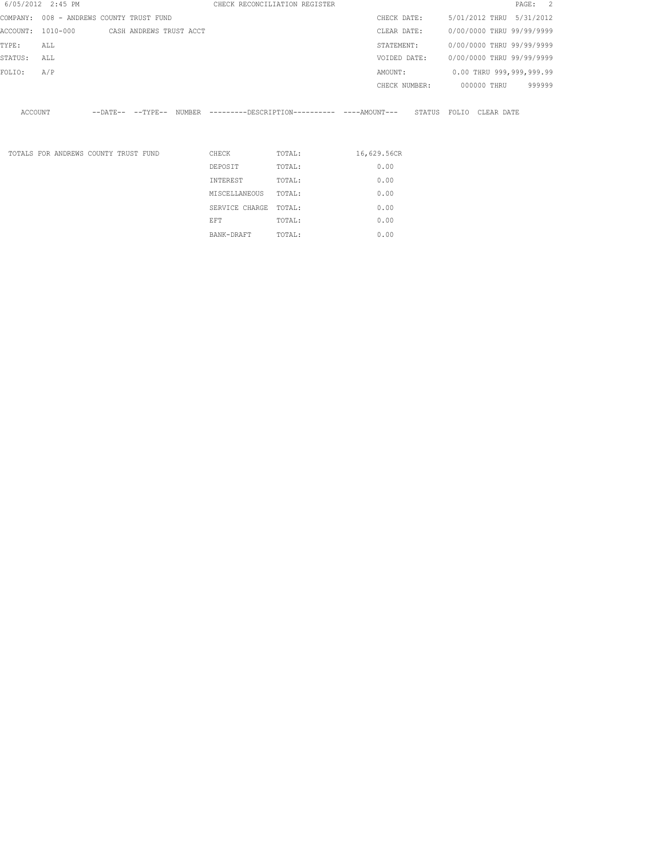|         | 6/05/2012 2:45 PM                         |  |               | CHECK RECONCILIATION REGISTER                                                                |             |              |               |             | PAGE: 2                   |  |
|---------|-------------------------------------------|--|---------------|----------------------------------------------------------------------------------------------|-------------|--------------|---------------|-------------|---------------------------|--|
|         | COMPANY: 008 - ANDREWS COUNTY TRUST FUND  |  |               |                                                                                              |             | CHECK DATE:  |               |             | 5/01/2012 THRU 5/31/2012  |  |
|         | ACCOUNT: 1010-000 CASH ANDREWS TRUST ACCT |  |               |                                                                                              |             | CLEAR DATE:  |               |             | 0/00/0000 THRU 99/99/9999 |  |
| TYPE:   | ALL                                       |  |               |                                                                                              |             | STATEMENT:   |               |             | 0/00/0000 THRU 99/99/9999 |  |
| STATUS: | ALL                                       |  |               |                                                                                              |             | VOIDED DATE: |               |             | 0/00/0000 THRU 99/99/9999 |  |
| FOLIO:  | A/P                                       |  |               |                                                                                              |             | AMOUNT:      |               |             | 0.00 THRU 999,999,999.99  |  |
|         |                                           |  |               |                                                                                              |             |              | CHECK NUMBER: | 000000 THRU | 999999                    |  |
| ACCOUNT |                                           |  |               | --DATE-- --TYPE-- NUMBER --------DESCRIPTION---------- ----AMOUNT--- STATUS FOLIO CLEAR DATE |             |              |               |             |                           |  |
|         | TOTALS FOR ANDREWS COUNTY TRUST FUND      |  | CHECK         | TOTAL:                                                                                       | 16,629.56CR |              |               |             |                           |  |
|         |                                           |  | DEPOSIT       | TOTAL:                                                                                       |             | 0.00         |               |             |                           |  |
|         |                                           |  | INTEREST      | TOTAL:                                                                                       |             | 0.00         |               |             |                           |  |
|         |                                           |  | MISCELLANEOUS | TOTAL:                                                                                       |             | 0.00         |               |             |                           |  |
|         |                                           |  |               |                                                                                              |             |              |               |             |                           |  |

SERVICE CHARGE TOTAL: 0.00 EFT TOTAL:  $0.00$ BANK-DRAFT TOTAL:  $0.00$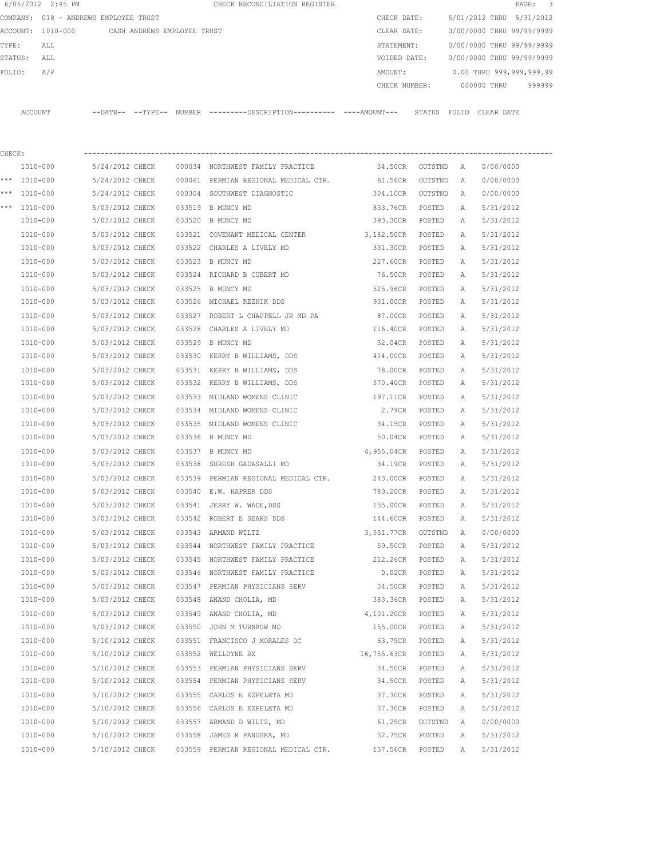|        | 6/05/2012 2:45 PM                     |                             |  | CHECK RECONCILIATION REGISTER                                                              |                    |                  |   |                           | PAGE: 3 |
|--------|---------------------------------------|-----------------------------|--|--------------------------------------------------------------------------------------------|--------------------|------------------|---|---------------------------|---------|
|        | COMPANY: 018 - ANDREWS EMPLOYEE TRUST |                             |  |                                                                                            | CHECK DATE:        |                  |   | 5/01/2012 THRU 5/31/2012  |         |
|        | ACCOUNT: 1010-000                     | CASH ANDREWS EMPLOYEE TRUST |  |                                                                                            | CLEAR DATE:        |                  |   | 0/00/0000 THRU 99/99/9999 |         |
| TYPE:  | ALL                                   |                             |  |                                                                                            | STATEMENT:         |                  |   | 0/00/0000 THRU 99/99/9999 |         |
|        | STATUS:<br>ALL                        |                             |  |                                                                                            | VOIDED DATE:       |                  |   | 0/00/0000 THRU 99/99/9999 |         |
| FOLIO: | A/P                                   |                             |  |                                                                                            | AMOUNT:            |                  |   | 0.00 THRU 999,999,999.99  |         |
|        |                                       |                             |  |                                                                                            | CHECK NUMBER:      |                  |   | 000000 THRU               | 999999  |
|        | ACCOUNT                               |                             |  | --DATE-- --TYPE-- NUMBER --------DESCRIPTION--------- ----AMOUNT--- STATUS FOLIO CLEARDATE |                    |                  |   |                           |         |
| CHECK: |                                       |                             |  |                                                                                            |                    |                  |   |                           |         |
|        | 1010-000                              | 5/24/2012 CHECK             |  | 000034 NORTHWEST FAMILY PRACTICE                                                           | 34.50CR            | OUTSTND A        |   | 0/00/0000                 |         |
|        | *** 1010-000                          | 5/24/2012 CHECK             |  | 000061 PERMIAN REGIONAL MEDICAL CTR.                                                       | 61.56CR            | OUTSTND          | A | 0/00/0000                 |         |
|        | *** 1010-000                          | 5/24/2012 CHECK             |  | 000304 SOUTHWEST DIAGNOSTIC                                                                | 304.10CR           | OUTSTND          | A | 0/00/0000                 |         |
|        | *** 1010-000                          | 5/03/2012 CHECK             |  | 033519 B MUNCY MD                                                                          | 833.76CR           | POSTED           | Α | 5/31/2012                 |         |
|        | 1010-000                              | 5/03/2012 CHECK             |  | 033520 B MUNCY MD                                                                          | 393.30CR           | POSTED           | A | 5/31/2012                 |         |
|        | 1010-000                              | 5/03/2012 CHECK             |  | 033521 COVENANT MEDICAL CENTER                                                             | 3,182.50CR         | POSTED           | Α | 5/31/2012                 |         |
|        | 1010-000                              | 5/03/2012 CHECK             |  | 033522 CHARLES A LIVELY MD                                                                 | 331.30CR           | POSTED           | Α | 5/31/2012                 |         |
|        | 1010-000                              | 5/03/2012 CHECK             |  | 033523 B MUNCY MD                                                                          | 227.60CR           | POSTED           | A | 5/31/2012                 |         |
|        | 1010-000                              | 5/03/2012 CHECK             |  | 033524 RICHARD B CUBERT MD                                                                 | 76.50CR            | POSTED           | Α | 5/31/2012                 |         |
|        | 1010-000                              | 5/03/2012 CHECK             |  | 033525 B MUNCY MD                                                                          | 525.96CR           | POSTED           | Α | 5/31/2012                 |         |
|        | 1010-000                              | 5/03/2012 CHECK             |  | 033526 MICHAEL REZNIK DDS                                                                  | 931.00CR           | POSTED           | А | 5/31/2012                 |         |
|        | 1010-000                              | 5/03/2012 CHECK             |  | 033527 ROBERT L CHAPPELL JR MD PA                                                          | 87.00CR            | POSTED           | А | 5/31/2012                 |         |
|        | 1010-000                              | 5/03/2012 CHECK             |  | 033528 CHARLES A LIVELY MD                                                                 | 116.40CR           | POSTED           | А | 5/31/2012                 |         |
|        | 1010-000                              | 5/03/2012 CHECK             |  | 033529 B MUNCY MD                                                                          | 32.04CR            | POSTED           | Α | 5/31/2012                 |         |
|        | 1010-000                              | 5/03/2012 CHECK             |  | 033530 KERRY B WILLIAMS, DDS                                                               | 414.00CR           | POSTED           | Α | 5/31/2012                 |         |
|        | 1010-000                              | 5/03/2012 CHECK             |  | 033531 KERRY B WILLIAMS, DDS                                                               | 78.00CR            | POSTED           | Α | 5/31/2012                 |         |
|        | 1010-000                              | 5/03/2012 CHECK             |  | 033532 KERRY B WILLIAMS, DDS                                                               | 570.40CR           | POSTED           | Α | 5/31/2012                 |         |
|        | 1010-000                              | 5/03/2012 CHECK             |  | 033533 MIDLAND WOMENS CLINIC                                                               | 197.11CR           | POSTED           | Α | 5/31/2012                 |         |
|        | 1010-000                              | 5/03/2012 CHECK             |  | 033534 MIDLAND WOMENS CLINIC                                                               | 2.79CR             | POSTED           | Α | 5/31/2012                 |         |
|        | 1010-000                              | 5/03/2012 CHECK             |  | 033535 MIDLAND WOMENS CLINIC                                                               | 34.15CR            | POSTED           | A | 5/31/2012                 |         |
|        | 1010-000                              | 5/03/2012 CHECK             |  | 033536 B MUNCY MD                                                                          | 50.04CR            | POSTED           | Α | 5/31/2012                 |         |
|        |                                       |                             |  |                                                                                            |                    |                  |   |                           |         |
|        | 1010-000                              | 5/03/2012 CHECK             |  | 033537 B MUNCY MD                                                                          | 4,955.04CR         | POSTED<br>POSTED | A | 5/31/2012                 |         |
|        | 1010-000                              | 5/03/2012 CHECK             |  | 033538 SURESH GADASALLI MD                                                                 | 34.19CR            |                  | A | 5/31/2012                 |         |
|        | 1010-000                              | 5/03/2012 CHECK             |  | 033539 PERMIAN REGIONAL MEDICAL CTR. 243.00CR                                              |                    | POSTED           | Α | 5/31/2012                 |         |
|        | 1010-000                              | 5/03/2012 CHECK             |  | 033540 E.W. HAPRER DDS                                                                     | 783.20CR           | POSTED           | Α | 5/31/2012                 |         |
|        | 1010-000                              | 5/03/2012 CHECK             |  | 033541 JERRY W. WADE, DDS                                                                  | 135.00CR           | POSTED           | Α | 5/31/2012                 |         |
|        | 1010-000                              | 5/03/2012 CHECK             |  | 033542 ROBERT E SEARS DDS                                                                  | 144.60CR           | POSTED           | Α | 5/31/2012                 |         |
|        | 1010-000                              | 5/03/2012 CHECK             |  | 033543 ARMAND WILTZ                                                                        | 3,551.77CR OUTSTND |                  | Α | 0/00/0000                 |         |
|        | 1010-000                              | 5/03/2012 CHECK             |  | 033544 NORTHWEST FAMILY PRACTICE                                                           | 59.50CR            | POSTED           | Α | 5/31/2012                 |         |
|        | 1010-000                              | 5/03/2012 CHECK             |  | 033545 NORTHWEST FAMILY PRACTICE                                                           | 212.26CR           | POSTED           | Α | 5/31/2012                 |         |
|        | 1010-000                              | 5/03/2012 CHECK             |  | 033546 NORTHWEST FAMILY PRACTICE                                                           | $0.02$ CR          | POSTED           | Α | 5/31/2012                 |         |
|        | 1010-000                              | 5/03/2012 CHECK             |  | 033547 PERMIAN PHYSICIANS SERV                                                             | 34.50CR            | POSTED           | Α | 5/31/2012                 |         |
|        | 1010-000                              | 5/03/2012 CHECK             |  | 033548 ANAND CHOLIA, MD                                                                    | 383.36CR           | POSTED           | Α | 5/31/2012                 |         |
|        | 1010-000                              | 5/03/2012 CHECK             |  | 033549 ANAND CHOLIA, MD                                                                    | 4,101.20CR         | POSTED           | Α | 5/31/2012                 |         |
|        | 1010-000                              | 5/03/2012 CHECK             |  | 033550 JOHN M TURNBOW MD                                                                   | 155.00CR           | POSTED           | Α | 5/31/2012                 |         |
|        | 1010-000                              | 5/10/2012 CHECK             |  | 033551 FRANCISCO J MORALES OC                                                              | 63.75CR            | POSTED           | Α | 5/31/2012                 |         |
|        | 1010-000                              | 5/10/2012 CHECK             |  | 033552 WELLDYNE RX                                                                         | 16,755.63CR        | POSTED           | Α | 5/31/2012                 |         |
|        | 1010-000                              | 5/10/2012 CHECK             |  | 033553 PERMIAN PHYSICIANS SERV                                                             | 34.50CR            | POSTED           | Α | 5/31/2012                 |         |
|        | 1010-000                              | 5/10/2012 CHECK             |  | 033554 PERMIAN PHYSICIANS SERV                                                             | 34.50CR            | POSTED           | Α | 5/31/2012                 |         |
|        | 1010-000                              | 5/10/2012 CHECK             |  | 033555 CARLOS E EZPELETA MD                                                                | 37.30CR            | POSTED           | Α | 5/31/2012                 |         |
|        | 1010-000                              | 5/10/2012 CHECK             |  | 033556 CARLOS E EZPELETA MD                                                                | 37.30CR            | POSTED           | Α | 5/31/2012                 |         |
|        | 1010-000                              | 5/10/2012 CHECK             |  | 033557 ARMAND D WILTZ, MD                                                                  | 61.25CR            | OUTSTND          | A | 0/00/0000                 |         |
|        | 1010-000                              | 5/10/2012 CHECK             |  | 033558 JAMES R PANUSKA, MD                                                                 | 32.75CR            | POSTED           | Α | 5/31/2012                 |         |
|        | 1010-000                              | 5/10/2012 CHECK             |  | 033559 PERMIAN REGIONAL MEDICAL CTR.                                                       | 137.56CR           | POSTED           | Α | 5/31/2012                 |         |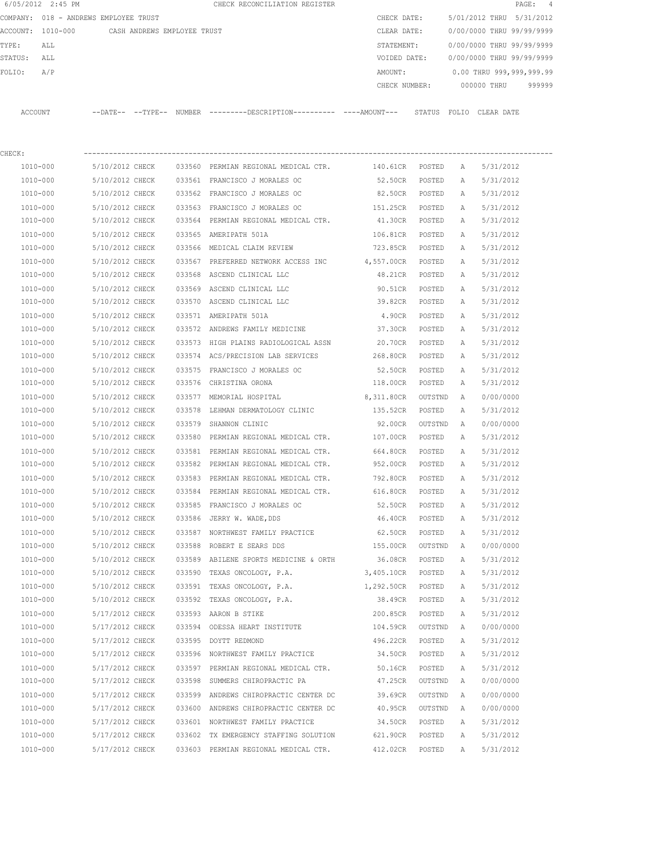|         | 6/05/2012 2:45 PM                             |                 |        | CHECK RECONCILIATION REGISTER                                                                |                 |               |              |                           | PAGE:<br>4 |
|---------|-----------------------------------------------|-----------------|--------|----------------------------------------------------------------------------------------------|-----------------|---------------|--------------|---------------------------|------------|
|         | COMPANY: 018 - ANDREWS EMPLOYEE TRUST         |                 |        |                                                                                              | CHECK DATE:     |               |              | 5/01/2012 THRU 5/31/2012  |            |
|         | ACCOUNT: 1010-000 CASH ANDREWS EMPLOYEE TRUST |                 |        |                                                                                              | CLEAR DATE:     |               |              | 0/00/0000 THRU 99/99/9999 |            |
| TYPE:   | ALL                                           |                 |        |                                                                                              | STATEMENT:      |               |              | 0/00/0000 THRU 99/99/9999 |            |
| STATUS: | ALL                                           |                 |        |                                                                                              | VOIDED DATE:    |               |              | 0/00/0000 THRU 99/99/9999 |            |
| FOLIO:  | A/P                                           |                 |        |                                                                                              | AMOUNT:         |               |              | 0.00 THRU 999,999,999.99  |            |
|         |                                               |                 |        |                                                                                              | CHECK NUMBER:   |               |              | 000000 THRU               | 999999     |
|         | ACCOUNT                                       |                 |        | --DATE-- --TYPE-- NUMBER --------DESCRIPTION---------- ----AMOUNT--- STATUS FOLIO CLEAR DATE |                 |               |              |                           |            |
| CHECK:  |                                               |                 |        |                                                                                              |                 |               |              |                           |            |
|         | 1010-000                                      | 5/10/2012 CHECK |        | 033560 PERMIAN REGIONAL MEDICAL CTR.                                                         | 140.61CR POSTED |               | A            | 5/31/2012                 |            |
|         | 1010-000                                      | 5/10/2012 CHECK |        | 033561 FRANCISCO J MORALES OC                                                                | 52.50CR         | POSTED        | A            | 5/31/2012                 |            |
|         | 1010-000                                      | 5/10/2012 CHECK |        | 033562 FRANCISCO J MORALES OC                                                                | 82.50CR         | POSTED        | A            | 5/31/2012                 |            |
|         | 1010-000                                      | 5/10/2012 CHECK |        | 033563 FRANCISCO J MORALES OC                                                                | 151.25CR        | POSTED        | A            | 5/31/2012                 |            |
|         | 1010-000                                      | 5/10/2012 CHECK |        | 033564 PERMIAN REGIONAL MEDICAL CTR.                                                         | 41.30CR         | POSTED        | А            | 5/31/2012                 |            |
|         | 1010-000                                      | 5/10/2012 CHECK |        | 033565 AMERIPATH 501A                                                                        | 106.81CR        | POSTED        | Α            | 5/31/2012                 |            |
|         | 1010-000                                      | 5/10/2012 CHECK |        | 033566 MEDICAL CLAIM REVIEW                                                                  | 723.85CR POSTED |               | Α            | 5/31/2012                 |            |
|         | 1010-000                                      | 5/10/2012 CHECK |        | 033567 PREFERRED NETWORK ACCESS INC                                                          | 4,557.00CR      | POSTED        | Α            | 5/31/2012                 |            |
|         | 1010-000                                      | 5/10/2012 CHECK |        | 033568 ASCEND CLINICAL LLC                                                                   | 48.21CR         | POSTED        | A            | 5/31/2012                 |            |
|         | 1010-000                                      | 5/10/2012 CHECK |        | 033569 ASCEND CLINICAL LLC                                                                   | 90.51CR         | POSTED        | Α            | 5/31/2012                 |            |
|         | 1010-000                                      | 5/10/2012 CHECK |        | 033570 ASCEND CLINICAL LLC                                                                   | 39.82CR         | POSTED        | A            | 5/31/2012                 |            |
|         | 1010-000                                      | 5/10/2012 CHECK |        | 033571 AMERIPATH 501A                                                                        | 4.90CR          | POSTED        | Α            | 5/31/2012                 |            |
|         | 1010-000                                      | 5/10/2012 CHECK |        | 033572 ANDREWS FAMILY MEDICINE                                                               | 37.30CR         | POSTED        | A            | 5/31/2012                 |            |
|         | 1010-000                                      | 5/10/2012 CHECK |        | 033573 HIGH PLAINS RADIOLOGICAL ASSN                                                         | 20.70CR         | POSTED        | Α            | 5/31/2012                 |            |
|         | 1010-000                                      | 5/10/2012 CHECK |        | 033574 ACS/PRECISION LAB SERVICES                                                            | 268.80CR        | POSTED        | Α            | 5/31/2012                 |            |
|         | 1010-000                                      | 5/10/2012 CHECK |        | 033575 FRANCISCO J MORALES OC                                                                | 52.50CR         | POSTED        | Α            | 5/31/2012                 |            |
|         | 1010-000                                      | 5/10/2012 CHECK |        | 033576 CHRISTINA ORONA                                                                       | 118.00CR        | POSTED        | Α            | 5/31/2012                 |            |
|         | 1010-000                                      | 5/10/2012 CHECK |        | 033577 MEMORIAL HOSPITAL                                                                     | 8,311.80CR      | OUTSTND       | $\mathbb{A}$ | 0/00/0000                 |            |
|         | 1010-000                                      | 5/10/2012 CHECK | 033578 | LEHMAN DERMATOLOGY CLINIC                                                                    | 135.52CR        | POSTED        | Α            | 5/31/2012                 |            |
|         | 1010-000                                      | 5/10/2012 CHECK | 033579 | SHANNON CLINIC                                                                               | 92.00CR         | OUTSTND       | A            | 0/00/0000                 |            |
|         | 1010-000                                      | 5/10/2012 CHECK | 033580 | PERMIAN REGIONAL MEDICAL CTR.                                                                | 107.00CR        | POSTED        | Α            | 5/31/2012                 |            |
|         | 1010-000                                      | 5/10/2012 CHECK |        | 033581 PERMIAN REGIONAL MEDICAL CTR.                                                         | 664.80CR        | POSTED        | А            | 5/31/2012                 |            |
|         | 1010-000                                      | 5/10/2012 CHECK |        | 033582 PERMIAN REGIONAL MEDICAL CTR.                                                         | 952.00CR        | POSTED        | А            | 5/31/2012                 |            |
|         | 1010-000                                      | 5/10/2012 CHECK |        | 033583 PERMIAN REGIONAL MEDICAL CTR.                                                         | 792.80CR        | <b>POSTED</b> | A            | 5/31/2012                 |            |
|         | 1010-000                                      | 5/10/2012 CHECK |        | 033584 PERMIAN REGIONAL MEDICAL CTR.                                                         | 616.80CR        | POSTED        | Α            | 5/31/2012                 |            |
|         | $1010 - 000$                                  | 5/10/2012 CHECK |        | 033585 FRANCISCO J MORALES OC                                                                | 52.50CR         | POSTED        | Α            | 5/31/2012                 |            |
|         | 1010-000                                      | 5/10/2012 CHECK |        | 033586 JERRY W. WADE, DDS                                                                    | 46.40CR         | POSTED        | Α            | 5/31/2012                 |            |
|         | 1010-000                                      | 5/10/2012 CHECK |        | 033587 NORTHWEST FAMILY PRACTICE                                                             | 62.50CR         | POSTED        | Α            | 5/31/2012                 |            |
|         | 1010-000                                      | 5/10/2012 CHECK |        | 033588 ROBERT E SEARS DDS                                                                    | 155.00CR        | OUTSTND       | Α            | 0/00/0000                 |            |
|         | 1010-000                                      | 5/10/2012 CHECK |        | 033589 ABILENE SPORTS MEDICINE & ORTH                                                        | 36.08CR         | POSTED        | Α            | 5/31/2012                 |            |
|         | 1010-000                                      | 5/10/2012 CHECK |        | 033590 TEXAS ONCOLOGY, P.A.                                                                  | 3,405.10CR      | POSTED        | Α            | 5/31/2012                 |            |
|         | 1010-000                                      | 5/10/2012 CHECK |        | 033591 TEXAS ONCOLOGY, P.A.                                                                  | 1,292.50CR      | POSTED        | Α            | 5/31/2012                 |            |
|         | 1010-000                                      | 5/10/2012 CHECK |        | 033592 TEXAS ONCOLOGY, P.A.                                                                  | 38.49CR         | POSTED        | Α            | 5/31/2012                 |            |
|         | $1010 - 000$                                  | 5/17/2012 CHECK |        | 033593 AARON B STIKE                                                                         | 200.85CR        | POSTED        | Α            | 5/31/2012                 |            |
|         | 1010-000                                      | 5/17/2012 CHECK |        | 033594 ODESSA HEART INSTITUTE                                                                | 104.59CR        | OUTSTND       | Α            | 0/00/0000                 |            |
|         | 1010-000                                      | 5/17/2012 CHECK |        | 033595 DOYTT REDMOND                                                                         | 496.22CR        | POSTED        | Α            | 5/31/2012                 |            |
|         | 1010-000                                      | 5/17/2012 CHECK |        | 033596 NORTHWEST FAMILY PRACTICE                                                             | 34.50CR         | POSTED        | Α            | 5/31/2012                 |            |
|         | 1010-000                                      | 5/17/2012 CHECK |        | 033597 PERMIAN REGIONAL MEDICAL CTR.                                                         | 50.16CR         | POSTED        | Α            | 5/31/2012                 |            |
|         | 1010-000                                      | 5/17/2012 CHECK |        | 033598 SUMMERS CHIROPRACTIC PA                                                               | 47.25CR         | OUTSTND       | Α            | 0/00/0000                 |            |
|         | 1010-000                                      | 5/17/2012 CHECK |        | 033599 ANDREWS CHIROPRACTIC CENTER DC                                                        | 39.69CR         | OUTSTND       | Α            | 0/00/0000                 |            |
|         | 1010-000                                      | 5/17/2012 CHECK |        | 033600 ANDREWS CHIROPRACTIC CENTER DC                                                        | 40.95CR         | OUTSTND       | Α            | 0/00/0000                 |            |
|         | 1010-000                                      | 5/17/2012 CHECK |        | 033601 NORTHWEST FAMILY PRACTICE                                                             | 34.50CR         | POSTED        | Α            | 5/31/2012                 |            |
|         | 1010-000                                      | 5/17/2012 CHECK |        | 033602 TX EMERGENCY STAFFING SOLUTION                                                        | 621.90CR        | POSTED        | Α            | 5/31/2012                 |            |
|         | 1010-000                                      | 5/17/2012 CHECK |        | 033603 PERMIAN REGIONAL MEDICAL CTR.                                                         | 412.02CR        | POSTED        | Α            | 5/31/2012                 |            |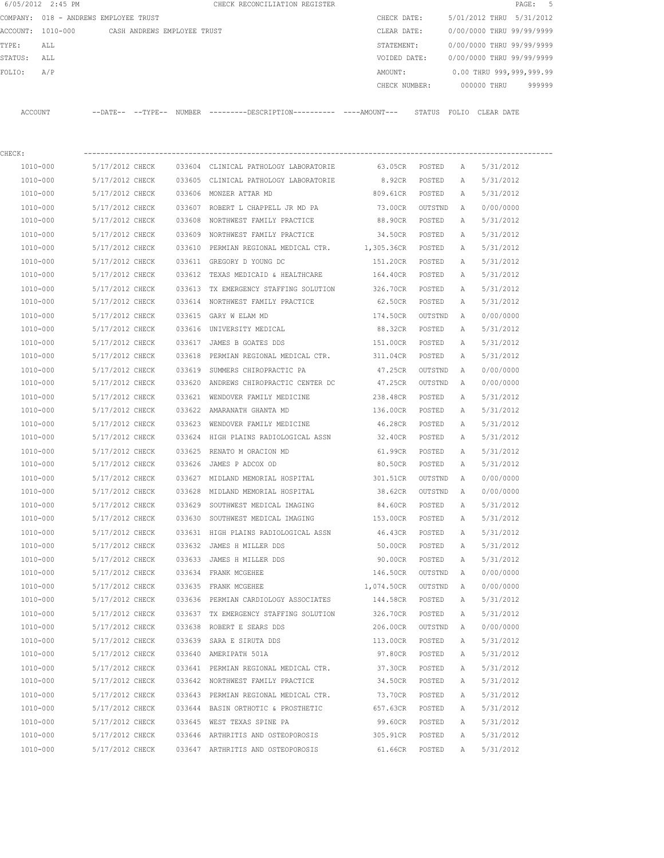| 6/05/2012 2:45 PM |  |                                                                                                                             |                            |                                                                                                |                 |                                                                                                                                                              |         |                                                           |                                                                           |                  | PAGE:       | $-5$                                                                                                                                                                                                             |
|-------------------|--|-----------------------------------------------------------------------------------------------------------------------------|----------------------------|------------------------------------------------------------------------------------------------|-----------------|--------------------------------------------------------------------------------------------------------------------------------------------------------------|---------|-----------------------------------------------------------|---------------------------------------------------------------------------|------------------|-------------|------------------------------------------------------------------------------------------------------------------------------------------------------------------------------------------------------------------|
|                   |  |                                                                                                                             |                            |                                                                                                |                 |                                                                                                                                                              |         |                                                           |                                                                           |                  | 5/31/2012   |                                                                                                                                                                                                                  |
| 1010-000          |  |                                                                                                                             |                            |                                                                                                |                 |                                                                                                                                                              |         |                                                           |                                                                           |                  |             |                                                                                                                                                                                                                  |
| ALL               |  |                                                                                                                             |                            |                                                                                                |                 |                                                                                                                                                              |         |                                                           |                                                                           |                  |             |                                                                                                                                                                                                                  |
| ALL               |  |                                                                                                                             |                            |                                                                                                |                 |                                                                                                                                                              |         |                                                           |                                                                           |                  |             |                                                                                                                                                                                                                  |
| A/P               |  |                                                                                                                             |                            |                                                                                                |                 |                                                                                                                                                              | AMOUNT: |                                                           |                                                                           |                  |             |                                                                                                                                                                                                                  |
|                   |  |                                                                                                                             |                            |                                                                                                |                 |                                                                                                                                                              |         |                                                           |                                                                           |                  | 999999      |                                                                                                                                                                                                                  |
| <b>ACCOUNT</b>    |  |                                                                                                                             |                            |                                                                                                |                 |                                                                                                                                                              |         | STATUS                                                    |                                                                           |                  |             |                                                                                                                                                                                                                  |
|                   |  |                                                                                                                             |                            |                                                                                                |                 |                                                                                                                                                              |         |                                                           |                                                                           |                  |             |                                                                                                                                                                                                                  |
| 1010-000          |  |                                                                                                                             |                            |                                                                                                |                 |                                                                                                                                                              | 63.05CR | POSTED                                                    | $\mathbb{A}$                                                              |                  |             |                                                                                                                                                                                                                  |
| 1010-000          |  |                                                                                                                             |                            |                                                                                                |                 |                                                                                                                                                              | 8.92CR  | POSTED                                                    | A                                                                         |                  |             |                                                                                                                                                                                                                  |
| 1010-000          |  |                                                                                                                             |                            |                                                                                                |                 |                                                                                                                                                              |         | POSTED                                                    | Α                                                                         |                  |             |                                                                                                                                                                                                                  |
| 1010-000          |  |                                                                                                                             |                            |                                                                                                |                 |                                                                                                                                                              | 73.00CR |                                                           | Α                                                                         |                  |             |                                                                                                                                                                                                                  |
| 1010-000          |  |                                                                                                                             |                            |                                                                                                |                 |                                                                                                                                                              | 88.90CR | POSTED                                                    | Α                                                                         |                  |             |                                                                                                                                                                                                                  |
|                   |  | 018 - ANDREWS EMPLOYEE TRUST<br>5/17/2012 CHECK<br>5/17/2012 CHECK<br>5/17/2012 CHECK<br>5/17/2012 CHECK<br>5/17/2012 CHECK | $--$ DATE $- --$ TYPE $--$ | CASH ANDREWS EMPLOYEE TRUST<br><b>NUMBER</b><br>033604<br>033605<br>033606<br>033607<br>033608 | MONZER ATTAR MD | CHECK RECONCILIATION REGISTER<br>CLINICAL PATHOLOGY LABORATORIE<br>CLINICAL PATHOLOGY LABORATORIE<br>ROBERT L CHAPPELL JR MD PA<br>NORTHWEST FAMILY PRACTICE |         | ---------DESCRIPTION----------- ----AMOUNT---<br>809.61CR | CHECK DATE:<br>CLEAR DATE:<br>STATEMENT:<br>VOIDED DATE:<br>CHECK NUMBER: | FOLIO<br>OUTSTND | 000000 THRU | 5/01/2012 THRU<br>0/00/0000 THRU 99/99/9999<br>0/00/0000 THRU 99/99/9999<br>0/00/0000 THRU 99/99/9999<br>0.00 THRU 999,999,999.99<br>CLEAR DATE<br>5/31/2012<br>5/31/2012<br>5/31/2012<br>0/00/0000<br>5/31/2012 |

| 1010-000 | 5/17/2012 CHECK                       | 033609 NORTHWEST FAMILY PRACTICE                              | 34.50CR    | POSTED  | Α            | 5/31/2012 |
|----------|---------------------------------------|---------------------------------------------------------------|------------|---------|--------------|-----------|
| 1010-000 | 5/17/2012 CHECK                       | 033610 PERMIAN REGIONAL MEDICAL CTR.                          | 1,305.36CR | POSTED  | Α            | 5/31/2012 |
| 1010-000 | 5/17/2012 CHECK                       | 033611 GREGORY D YOUNG DC                                     | 151.20CR   | POSTED  | $\mathbb A$  | 5/31/2012 |
| 1010-000 | 5/17/2012 CHECK                       | 033612 TEXAS MEDICAID & HEALTHCARE                            | 164.40CR   | POSTED  | Α            | 5/31/2012 |
| 1010-000 | 5/17/2012 CHECK                       | 033613 TX EMERGENCY STAFFING SOLUTION                         | 326.70CR   | POSTED  | $\mathbb A$  | 5/31/2012 |
| 1010-000 |                                       | 5/17/2012 CHECK 033614 NORTHWEST FAMILY PRACTICE              | 62.50CR    | POSTED  | Α            | 5/31/2012 |
| 1010-000 | 5/17/2012 CHECK 033615 GARY W ELAM MD |                                                               | 174.50CR   | OUTSTND | Α            | 0/00/0000 |
| 1010-000 | 5/17/2012 CHECK                       | 033616 UNIVERSITY MEDICAL                                     | 88.32CR    | POSTED  | Α            | 5/31/2012 |
| 1010-000 | 5/17/2012 CHECK                       | 033617 JAMES B GOATES DDS                                     | 151.00CR   | POSTED  | Α            | 5/31/2012 |
| 1010-000 | 5/17/2012 CHECK                       | 033618 PERMIAN REGIONAL MEDICAL CTR.                          | 311.04CR   | POSTED  | $\mathbb{A}$ | 5/31/2012 |
| 1010-000 | 5/17/2012 CHECK                       | 033619 SUMMERS CHIROPRACTIC PA                                | 47.25CR    | OUTSTND | A            | 0/00/0000 |
| 1010-000 | 5/17/2012 CHECK                       | 033620 ANDREWS CHIROPRACTIC CENTER DC                         | 47.25CR    | OUTSTND | A            | 0/00/0000 |
| 1010-000 | 5/17/2012 CHECK                       | 033621 WENDOVER FAMILY MEDICINE                               | 238.48CR   | POSTED  | $\mathbb{A}$ | 5/31/2012 |
| 1010-000 | 5/17/2012 CHECK                       | 033622 AMARANATH GHANTA MD                                    | 136.00CR   | POSTED  | Α            | 5/31/2012 |
| 1010-000 | 5/17/2012 CHECK                       | 033623 WENDOVER FAMILY MEDICINE                               | 46.28CR    | POSTED  | Α            | 5/31/2012 |
| 1010-000 | 5/17/2012 CHECK                       | 033624 HIGH PLAINS RADIOLOGICAL ASSN                          | 32.40CR    | POSTED  | Α            | 5/31/2012 |
| 1010-000 | 5/17/2012 CHECK                       | 033625 RENATO M ORACION MD                                    | 61.99CR    | POSTED  | Α            | 5/31/2012 |
| 1010-000 | 5/17/2012 CHECK                       | 033626 JAMES P ADCOX OD                                       | 80.50CR    | POSTED  | Α            | 5/31/2012 |
| 1010-000 | 5/17/2012 CHECK                       | 033627 MIDLAND MEMORIAL HOSPITAL                              | 301.51CR   | OUTSTND | Α            | 0/00/0000 |
| 1010-000 | 5/17/2012 CHECK                       | 033628 MIDLAND MEMORIAL HOSPITAL                              | 38.62CR    | OUTSTND | A            | 0/00/0000 |
| 1010-000 | 5/17/2012 CHECK                       | 033629 SOUTHWEST MEDICAL IMAGING                              | 84.60CR    | POSTED  | Α            | 5/31/2012 |
| 1010-000 | 5/17/2012 CHECK                       | 033630 SOUTHWEST MEDICAL IMAGING                              | 153.00CR   | POSTED  | $\mathbb{A}$ | 5/31/2012 |
| 1010-000 | 5/17/2012 CHECK                       | 033631 HIGH PLAINS RADIOLOGICAL ASSN                          | 46.43CR    | POSTED  | $\mathbb{A}$ | 5/31/2012 |
| 1010-000 | 5/17/2012 CHECK                       | 033632 JAMES H MILLER DDS                                     | 50.00CR    | POSTED  | Α            | 5/31/2012 |
| 1010-000 | 5/17/2012 CHECK                       | 033633 JAMES H MILLER DDS                                     | 90.00CR    | POSTED  | Α            | 5/31/2012 |
| 1010-000 | 5/17/2012 CHECK                       | 033634 FRANK MCGEHEE                                          | 146.50CR   | OUTSTND | Α            | 0/00/0000 |
| 1010-000 | 5/17/2012 CHECK                       | 033635 FRANK MCGEHEE                                          | 1,074.50CR | OUTSTND | Α            | 0/00/0000 |
| 1010-000 |                                       | 5/17/2012 CHECK 033636 PERMIAN CARDIOLOGY ASSOCIATES 144.58CR |            | POSTED  | $\mathbb{A}$ | 5/31/2012 |
| 1010-000 | 5/17/2012 CHECK                       | 033637 TX EMERGENCY STAFFING SOLUTION 326.70CR                |            | POSTED  | $\mathbb A$  | 5/31/2012 |
| 1010-000 | 5/17/2012 CHECK                       | 033638 ROBERT E SEARS DDS                                     | 206.00CR   | OUTSTND | A            | 0/00/0000 |
| 1010-000 | 5/17/2012 CHECK                       | 033639 SARA E SIRUTA DDS                                      | 113.00CR   | POSTED  | Α            | 5/31/2012 |
| 1010-000 | 5/17/2012 CHECK                       | 033640 AMERIPATH 501A                                         | 97.80CR    | POSTED  | Α            | 5/31/2012 |
| 1010-000 | 5/17/2012 CHECK                       | 033641 PERMIAN REGIONAL MEDICAL CTR.                          | 37.30CR    | POSTED  | Α            | 5/31/2012 |
| 1010-000 | 5/17/2012 CHECK                       | 033642 NORTHWEST FAMILY PRACTICE                              | 34.50CR    | POSTED  | Α            | 5/31/2012 |
| 1010-000 | 5/17/2012 CHECK                       | 033643 PERMIAN REGIONAL MEDICAL CTR.                          | 73.70CR    | POSTED  | Α            | 5/31/2012 |
| 1010-000 | 5/17/2012 CHECK                       | 033644 BASIN ORTHOTIC & PROSTHETIC                            | 657.63CR   | POSTED  | Α            | 5/31/2012 |
| 1010-000 | 5/17/2012 CHECK                       | 033645 WEST TEXAS SPINE PA                                    | 99.60CR    | POSTED  | $\mathbb{A}$ | 5/31/2012 |
| 1010-000 |                                       | 5/17/2012 CHECK 033646 ARTHRITIS AND OSTEOPOROSIS             | 305.91CR   | POSTED  | A            | 5/31/2012 |
| 1010-000 |                                       | 5/17/2012 CHECK 033647 ARTHRITIS AND OSTEOPOROSIS             | 61.66CR    | POSTED  | $\mathbb{A}$ | 5/31/2012 |
|          |                                       |                                                               |            |         |              |           |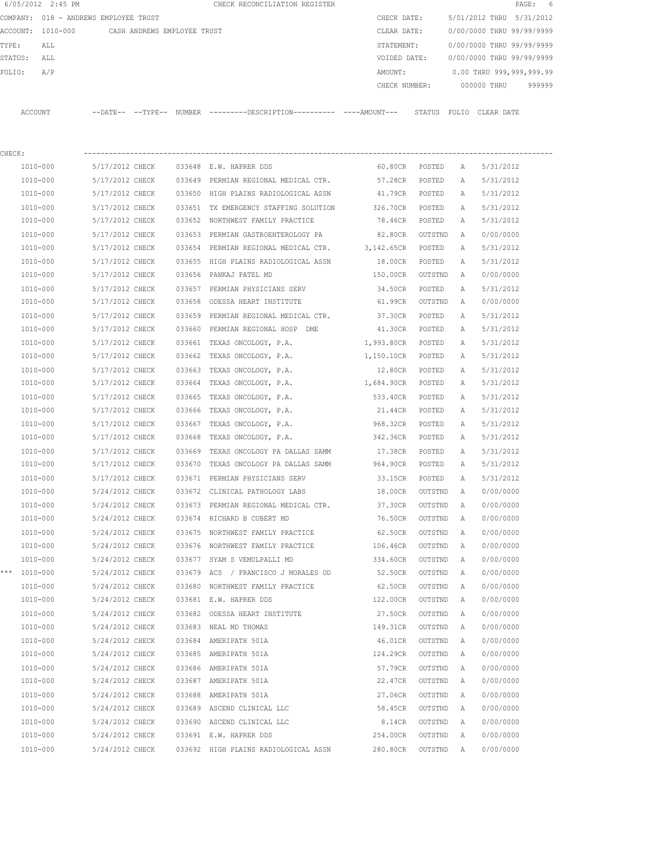|         | 6/05/2012 2:45 PM |                                       |        | CHECK RECONCILIATION REGISTER |               |                           |            | PAGE: 6   |  |
|---------|-------------------|---------------------------------------|--------|-------------------------------|---------------|---------------------------|------------|-----------|--|
|         |                   | COMPANY: 018 - ANDREWS EMPLOYEE TRUST |        |                               | CHECK DATE:   | 5/01/2012 THRU            |            | 5/31/2012 |  |
|         | ACCOUNT: 1010-000 | CASH ANDREWS EMPLOYEE TRUST           |        |                               | CLEAR DATE:   | 0/00/0000 THRU 99/99/9999 |            |           |  |
| TYPE:   | ALL               |                                       |        |                               | STATEMENT:    | 0/00/0000 THRU 99/99/9999 |            |           |  |
| STATUS: | ALL               |                                       |        |                               | VOIDED DATE:  | 0/00/0000 THRU 99/99/9999 |            |           |  |
| FOLIO:  | A/P               |                                       |        |                               | AMOUNT:       | 0.00 THRU 999,999,999.99  |            |           |  |
|         |                   |                                       |        |                               | CHECK NUMBER: | 000000 THRU               |            | 999999    |  |
|         |                   |                                       |        |                               |               |                           |            |           |  |
| ACCOUNT |                   | --TYPE--<br>--DATE--                  | NUMBER | ---------DESCRIPTION--        | STATUS        | FOLTO                     | CLEAR DATE |           |  |

| CHECK: |              |                 |                 |        |                                                 |                    |           |   |           |
|--------|--------------|-----------------|-----------------|--------|-------------------------------------------------|--------------------|-----------|---|-----------|
|        | 1010-000     | 5/17/2012 CHECK |                 |        | 033648 E.W. HAPRER DDS                          | 60.80CR POSTED     |           | A | 5/31/2012 |
|        | 1010-000     | 5/17/2012 CHECK |                 |        | 033649 PERMIAN REGIONAL MEDICAL CTR.            | 57.28CR POSTED     |           | A | 5/31/2012 |
|        | 1010-000     | 5/17/2012 CHECK |                 |        | 033650 HIGH PLAINS RADIOLOGICAL ASSN            | 41.79CR POSTED     |           | Α | 5/31/2012 |
|        | 1010-000     | 5/17/2012 CHECK |                 |        | 033651 TX EMERGENCY STAFFING SOLUTION 326.70CR  |                    | POSTED    | Α | 5/31/2012 |
|        | 1010-000     | 5/17/2012 CHECK |                 |        | 033652 NORTHWEST FAMILY PRACTICE                | 78.46CR            | POSTED    | Α | 5/31/2012 |
|        | 1010-000     | 5/17/2012 CHECK |                 |        | 033653 PERMIAN GASTROENTEROLOGY PA              | 82.80CR            | OUTSTND   | Α | 0/00/0000 |
|        | 1010-000     | 5/17/2012 CHECK |                 |        | 033654 PERMIAN REGIONAL MEDICAL CTR. 3,142.65CR |                    | POSTED    | Α | 5/31/2012 |
|        | 1010-000     | 5/17/2012 CHECK |                 |        | 033655 HIGH PLAINS RADIOLOGICAL ASSN            | 18.00CR            | POSTED    | Α | 5/31/2012 |
|        | 1010-000     | 5/17/2012 CHECK |                 |        | 033656 PANKAJ PATEL MD                          | 150.00CR           | OUTSTND   | Α | 0/00/0000 |
|        | 1010-000     | 5/17/2012 CHECK |                 | 033657 | PERMIAN PHYSICIANS SERV                         | 34.50CR            | POSTED    | Α | 5/31/2012 |
|        | 1010-000     | 5/17/2012 CHECK |                 | 033658 | ODESSA HEART INSTITUTE                          | 61.99CR            | OUTSTND   | A | 0/00/0000 |
|        | 1010-000     | 5/17/2012 CHECK |                 |        | 033659 PERMIAN REGIONAL MEDICAL CTR.            | 37.30CR            | POSTED    | Α | 5/31/2012 |
|        | 1010-000     | 5/17/2012 CHECK |                 |        | 033660 PERMIAN REGIONAL HOSP DME                | 41.30CR POSTED     |           | Α | 5/31/2012 |
|        | 1010-000     | 5/17/2012 CHECK |                 |        | 033661 TEXAS ONCOLOGY, P.A.                     | 1,993.80CR POSTED  |           | Α | 5/31/2012 |
|        | 1010-000     | 5/17/2012 CHECK |                 | 033662 | TEXAS ONCOLOGY, P.A.                            | 1,150.10CR POSTED  |           | Α | 5/31/2012 |
|        | 1010-000     | 5/17/2012 CHECK |                 | 033663 | TEXAS ONCOLOGY, P.A.                            | 12.80CR            | POSTED    | Α | 5/31/2012 |
|        | 1010-000     | 5/17/2012 CHECK |                 | 033664 | TEXAS ONCOLOGY, P.A.                            | 1,684.90CR POSTED  |           | Α | 5/31/2012 |
|        | 1010-000     | 5/17/2012 CHECK |                 | 033665 | TEXAS ONCOLOGY, P.A.                            | 533.40CR           | POSTED    | Α | 5/31/2012 |
|        | 1010-000     | 5/17/2012 CHECK |                 | 033666 | TEXAS ONCOLOGY, P.A.                            | 21.44CR            | POSTED    | Α | 5/31/2012 |
|        | 1010-000     | 5/17/2012 CHECK |                 | 033667 | TEXAS ONCOLOGY, P.A.                            | 968.32CR           | POSTED    | Α | 5/31/2012 |
|        | 1010-000     | 5/17/2012 CHECK |                 | 033668 | TEXAS ONCOLOGY, P.A.                            | 342.36CR           | POSTED    | Α | 5/31/2012 |
|        | 1010-000     | 5/17/2012 CHECK |                 | 033669 | TEXAS ONCOLOGY PA DALLAS SAMM                   | 17.38CR            | POSTED    | Α | 5/31/2012 |
|        | 1010-000     | 5/17/2012 CHECK |                 | 033670 | TEXAS ONCOLOGY PA DALLAS SAMM                   | 964.90CR           | POSTED    | Α | 5/31/2012 |
|        | 1010-000     | 5/17/2012 CHECK |                 |        | 033671 PERMIAN PHYSICIANS SERV                  | 33.15CR            | POSTED    | Α | 5/31/2012 |
|        | 1010-000     | 5/24/2012 CHECK |                 |        | 033672 CLINICAL PATHOLOGY LABS                  | 18.00CR            | OUTSTND   | Α | 0/00/0000 |
|        | 1010-000     | 5/24/2012 CHECK |                 |        | 033673 PERMIAN REGIONAL MEDICAL CTR.            | 37.30CR            | OUTSTND   | A | 0/00/0000 |
|        | 1010-000     | 5/24/2012 CHECK |                 |        | 033674 RICHARD B CUBERT MD                      | 76.50CR            | OUTSTND   | Α | 0/00/0000 |
|        | 1010-000     | 5/24/2012 CHECK |                 | 033675 | NORTHWEST FAMILY PRACTICE                       | 62.50CR            | OUTSTND   | Α | 0/00/0000 |
|        | 1010-000     | 5/24/2012 CHECK |                 |        | 033676 NORTHWEST FAMILY PRACTICE                | 106.46CR           | OUTSTND   | A | 0/00/0000 |
|        | 1010-000     | 5/24/2012 CHECK |                 |        | 033677 SYAM S VEMULPALLI MD                     | 334.60CR           | OUTSTND   | A | 0/00/0000 |
|        | *** 1010-000 | 5/24/2012 CHECK |                 |        | 033679 ACS / FRANCISCO J MORALES OD             | 52.50CR            | OUTSTND   | A | 0/00/0000 |
|        | 1010-000     | 5/24/2012 CHECK |                 |        | 033680 NORTHWEST FAMILY PRACTICE                | 62.50CR            | OUTSTND   | A | 0/00/0000 |
|        | 1010-000     | 5/24/2012 CHECK |                 |        | 033681 E.W. HAPRER DDS                          | 122.00CR           | OUTSTND   | A | 0/00/0000 |
|        | 1010-000     | 5/24/2012 CHECK |                 |        | 033682 ODESSA HEART INSTITUTE                   | 27.50CR            | OUTSTND   | A | 0/00/0000 |
|        | 1010-000     |                 | 5/24/2012 CHECK |        | 033683 NEAL MD THOMAS                           | 149.31CR OUTSTND A |           |   | 0/00/0000 |
|        | 1010-000     | 5/24/2012 CHECK |                 |        | 033684 AMERIPATH 501A                           | 46.01CR            | OUTSTND A |   | 0/00/0000 |
|        | 1010-000     | 5/24/2012 CHECK |                 |        | 033685 AMERIPATH 501A                           | 124.29CR           | OUTSTND   | A | 0/00/0000 |
|        | 1010-000     | 5/24/2012 CHECK |                 |        | 033686 AMERIPATH 501A                           | 57.79CR            | OUTSTND   | A | 0/00/0000 |
|        | 1010-000     | 5/24/2012 CHECK |                 |        | 033687 AMERIPATH 501A                           | 22.47CR            | OUTSTND   | A | 0/00/0000 |
|        | 1010-000     | 5/24/2012 CHECK |                 |        | 033688 AMERIPATH 501A                           | 27.06CR            | OUTSTND   | A | 0/00/0000 |
|        | 1010-000     | 5/24/2012 CHECK |                 |        | 033689 ASCEND CLINICAL LLC                      | 58.45CR            | OUTSTND   | Α | 0/00/0000 |
|        | $1010 - 000$ | 5/24/2012 CHECK |                 |        | 033690 ASCEND CLINICAL LLC                      | 8.14CR             | OUTSTND   | A | 0/00/0000 |
|        | $1010 - 000$ | 5/24/2012 CHECK |                 |        | 033691 E.W. HAPRER DDS                          | 254.00CR           | OUTSTND   | Α | 0/00/0000 |
|        | 1010-000     | 5/24/2012 CHECK |                 |        | 033692 HIGH PLAINS RADIOLOGICAL ASSN            | 280.80CR           | OUTSTND   | Α | 0/00/0000 |
|        |              |                 |                 |        |                                                 |                    |           |   |           |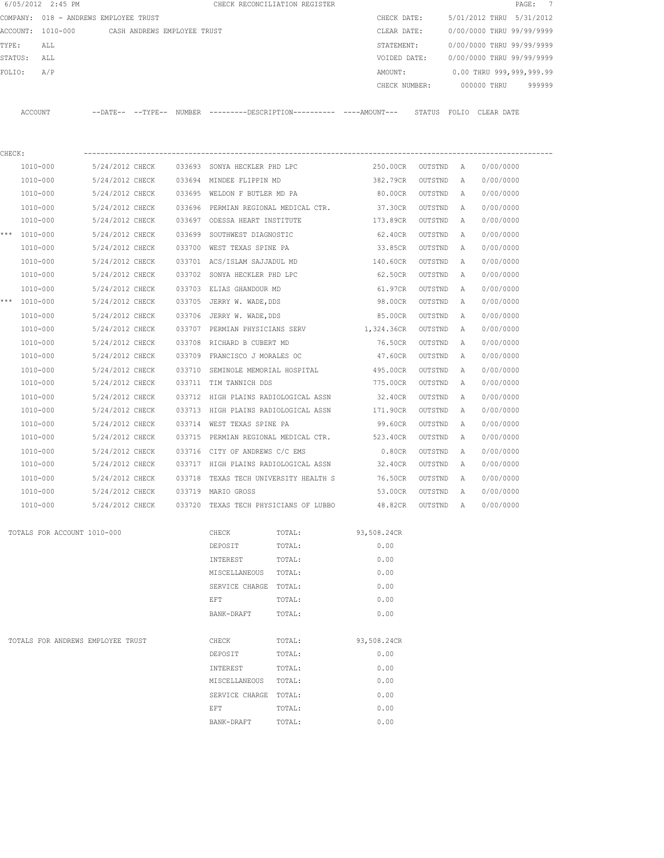|        | 6/05/2012 2:45 PM                     |                                    |                             |                  |                                                                | CHECK RECONCILIATION REGISTER         |                                                                                            |                   |              | PAGE:                     | $\overline{7}$ |
|--------|---------------------------------------|------------------------------------|-----------------------------|------------------|----------------------------------------------------------------|---------------------------------------|--------------------------------------------------------------------------------------------|-------------------|--------------|---------------------------|----------------|
|        | COMPANY: 018 - ANDREWS EMPLOYEE TRUST |                                    |                             |                  |                                                                |                                       | CHECK DATE:                                                                                |                   |              | 5/01/2012 THRU 5/31/2012  |                |
|        | ACCOUNT: 1010-000                     |                                    | CASH ANDREWS EMPLOYEE TRUST |                  |                                                                |                                       | CLEAR DATE:                                                                                |                   |              | 0/00/0000 THRU 99/99/9999 |                |
| TYPE:  | ALL                                   |                                    |                             |                  |                                                                |                                       | STATEMENT:                                                                                 |                   |              | 0/00/0000 THRU 99/99/9999 |                |
|        | STATUS:<br>ALL                        |                                    |                             |                  |                                                                |                                       | VOIDED DATE:                                                                               |                   |              | 0/00/0000 THRU 99/99/9999 |                |
| FOLIO: | A/P                                   |                                    |                             |                  |                                                                |                                       | AMOUNT:                                                                                    |                   |              | 0.00 THRU 999,999,999.99  |                |
|        |                                       |                                    |                             |                  |                                                                |                                       | CHECK NUMBER:                                                                              |                   |              | 000000 THRU               | 999999         |
|        | ACCOUNT                               |                                    |                             |                  |                                                                |                                       | --DATE-- --TYPE-- NUMBER --------DESCRIPTION--------- ---AMOUNT--- STATUS FOLIO CLEAR DATE |                   |              |                           |                |
| CHECK: |                                       |                                    |                             |                  |                                                                |                                       |                                                                                            |                   |              |                           |                |
|        | 1010-000                              | 5/24/2012 CHECK                    |                             |                  | 033693 SONYA HECKLER PHD LPC                                   |                                       | 250.00CR                                                                                   | OUTSTND A         |              | 0/00/0000                 |                |
|        | 1010-000                              | 5/24/2012 CHECK                    |                             |                  | 033694 MINDEE FLIPPIN MD                                       |                                       | 382.79CR                                                                                   | OUTSTND           | Α            | 0/00/0000                 |                |
|        | 1010-000                              | 5/24/2012 CHECK                    |                             |                  | 033695 WELDON F BUTLER MD PA                                   |                                       | 80.00CR                                                                                    | OUTSTND           | Α            | 0/00/0000                 |                |
|        | 1010-000                              | 5/24/2012 CHECK                    |                             |                  | 033696 PERMIAN REGIONAL MEDICAL CTR.                           |                                       | 37.30CR                                                                                    | OUTSTND           | Α            | 0/00/0000                 |                |
|        | 1010-000                              | 5/24/2012 CHECK                    |                             |                  | 033697 ODESSA HEART INSTITUTE                                  |                                       | 173.89CR                                                                                   | OUTSTND           | Α            | 0/00/0000                 |                |
|        | *** 1010-000                          | 5/24/2012 CHECK                    |                             |                  | 033699 SOUTHWEST DIAGNOSTIC                                    |                                       | 62.40CR                                                                                    | OUTSTND           | A            | 0/00/0000                 |                |
|        | 1010-000                              | 5/24/2012 CHECK                    |                             |                  | 033700 WEST TEXAS SPINE PA                                     |                                       | 33.85CR                                                                                    | OUTSTND           | Α            | 0/00/0000                 |                |
|        | 1010-000                              | 5/24/2012 CHECK                    |                             |                  | 033701 ACS/ISLAM SAJJADUL MD                                   |                                       | 140.60CR                                                                                   | OUTSTND           | A            | 0/00/0000                 |                |
|        | 1010-000                              | 5/24/2012 CHECK                    |                             |                  | 033702 SONYA HECKLER PHD LPC                                   |                                       | 62.50CR                                                                                    | OUTSTND           | A            | 0/00/0000                 |                |
|        | 1010-000                              | 5/24/2012 CHECK                    |                             | 033703           | ELIAS GHANDOUR MD                                              |                                       | 61.97CR                                                                                    | OUTSTND           | Α            | 0/00/0000                 |                |
|        | *** 1010-000                          | 5/24/2012 CHECK                    |                             |                  | 033705 JERRY W. WADE, DDS                                      |                                       | 98.00CR                                                                                    | OUTSTND           | A            | 0/00/0000                 |                |
|        | 1010-000                              | 5/24/2012 CHECK                    |                             | 033706           | JERRY W. WADE, DDS                                             |                                       | 85.00CR                                                                                    | OUTSTND           | A            | 0/00/0000                 |                |
|        | 1010-000                              | 5/24/2012 CHECK                    |                             |                  |                                                                |                                       | 033707 PERMIAN PHYSICIANS SERV 1,324.36CR                                                  | OUTSTND           | Α            | 0/00/0000                 |                |
|        | 1010-000                              | 5/24/2012 CHECK                    |                             |                  | 033708 RICHARD B CUBERT MD                                     |                                       | 76.50CR                                                                                    | OUTSTND           | Α            | 0/00/0000                 |                |
|        | 1010-000                              | 5/24/2012 CHECK                    |                             |                  | 033709 FRANCISCO J MORALES OC                                  |                                       | 47.60CR                                                                                    | OUTSTND           | Α            | 0/00/0000                 |                |
|        | 1010-000                              | 5/24/2012 CHECK                    |                             | 033710           | SEMINOLE MEMORIAL HOSPITAL                                     |                                       | 495.00CR                                                                                   | OUTSTND           | Α            | 0/00/0000                 |                |
|        | 1010-000                              | 5/24/2012 CHECK                    |                             | 033711           | TIM TANNICH DDS                                                |                                       | 775.00CR                                                                                   | OUTSTND           | Α            | 0/00/0000                 |                |
|        |                                       |                                    |                             |                  |                                                                |                                       |                                                                                            |                   |              |                           |                |
|        | 1010-000<br>1010-000                  | 5/24/2012 CHECK<br>5/24/2012 CHECK |                             | 033712<br>033713 | HIGH PLAINS RADIOLOGICAL ASSN<br>HIGH PLAINS RADIOLOGICAL ASSN |                                       | 32.40CR<br>171.90CR                                                                        | OUTSTND           | Α            | 0/00/0000<br>0/00/0000    |                |
|        |                                       |                                    |                             |                  |                                                                |                                       |                                                                                            | OUTSTND           | Α            |                           |                |
|        | 1010-000                              | 5/24/2012 CHECK                    |                             | 033714           | WEST TEXAS SPINE PA                                            |                                       | 99.60CR                                                                                    | OUTSTND           | А            | 0/00/0000                 |                |
|        | 1010-000                              | 5/24/2012 CHECK                    |                             | 033715           |                                                                | PERMIAN REGIONAL MEDICAL CTR.         | 523.40CR                                                                                   | OUTSTND           | А            | 0/00/0000                 |                |
|        | 1010-000                              | 5/24/2012 CHECK                    |                             | 033716           | CITY OF ANDREWS C/C EMS                                        |                                       | 0.80CR                                                                                     | OUTSTND           | A            | 0/00/0000                 |                |
|        | 1010-000                              | 5/24/2012 CHECK                    |                             |                  | 033717 HIGH PLAINS RADIOLOGICAL ASSN                           |                                       | 32.40CR                                                                                    | OUTSTND           | A            | 0/00/0000                 |                |
|        | 1010-000                              | 5/24/2012 CHECK                    |                             |                  | 033718 TEXAS TECH UNIVERSITY HEALTH S                          |                                       | 76.50CR                                                                                    | OUTSTND           | A            | 0/00/0000                 |                |
|        | 1010-000                              | 5/24/2012 CHECK                    |                             |                  | 033719 MARIO GROSS                                             |                                       | 53.00CR                                                                                    | OUTSTND           | $\mathbf{A}$ | 0/00/0000                 |                |
|        | 1010-000                              |                                    | 5/24/2012 CHECK             |                  |                                                                | 033720 TEXAS TECH PHYSICIANS OF LUBBO |                                                                                            | 48.82CR OUTSTND A |              | 0/00/0000                 |                |
|        | TOTALS FOR ACCOUNT 1010-000           |                                    |                             |                  | CHECK                                                          | TOTAL:                                | 93,508.24CR                                                                                |                   |              |                           |                |
|        |                                       |                                    |                             |                  | DEPOSIT                                                        | TOTAL:                                | 0.00                                                                                       |                   |              |                           |                |
|        |                                       |                                    |                             |                  | INTEREST                                                       | TOTAL:                                | 0.00                                                                                       |                   |              |                           |                |
|        |                                       |                                    |                             |                  | MISCELLANEOUS TOTAL:                                           |                                       | 0.00                                                                                       |                   |              |                           |                |
|        |                                       |                                    |                             |                  | SERVICE CHARGE TOTAL:                                          |                                       | 0.00                                                                                       |                   |              |                           |                |
|        |                                       |                                    |                             |                  | EFT                                                            | TOTAL:                                | 0.00                                                                                       |                   |              |                           |                |
|        |                                       |                                    |                             |                  | BANK-DRAFT                                                     | TOTAL:                                | 0.00                                                                                       |                   |              |                           |                |
|        | TOTALS FOR ANDREWS EMPLOYEE TRUST     |                                    |                             |                  | CHECK                                                          | TOTAL:                                | 93,508.24CR                                                                                |                   |              |                           |                |
|        |                                       |                                    |                             |                  | DEPOSIT                                                        | TOTAL:                                | 0.00                                                                                       |                   |              |                           |                |
|        |                                       |                                    |                             |                  | INTEREST                                                       | TOTAL:                                | 0.00                                                                                       |                   |              |                           |                |
|        |                                       |                                    |                             |                  | MISCELLANEOUS                                                  | TOTAL:                                | 0.00                                                                                       |                   |              |                           |                |
|        |                                       |                                    |                             |                  | SERVICE CHARGE TOTAL:                                          |                                       | 0.00                                                                                       |                   |              |                           |                |
|        |                                       |                                    |                             |                  | EFT                                                            | TOTAL:                                | 0.00                                                                                       |                   |              |                           |                |
|        |                                       |                                    |                             |                  | BANK-DRAFT                                                     | TOTAL:                                | 0.00                                                                                       |                   |              |                           |                |
|        |                                       |                                    |                             |                  |                                                                |                                       |                                                                                            |                   |              |                           |                |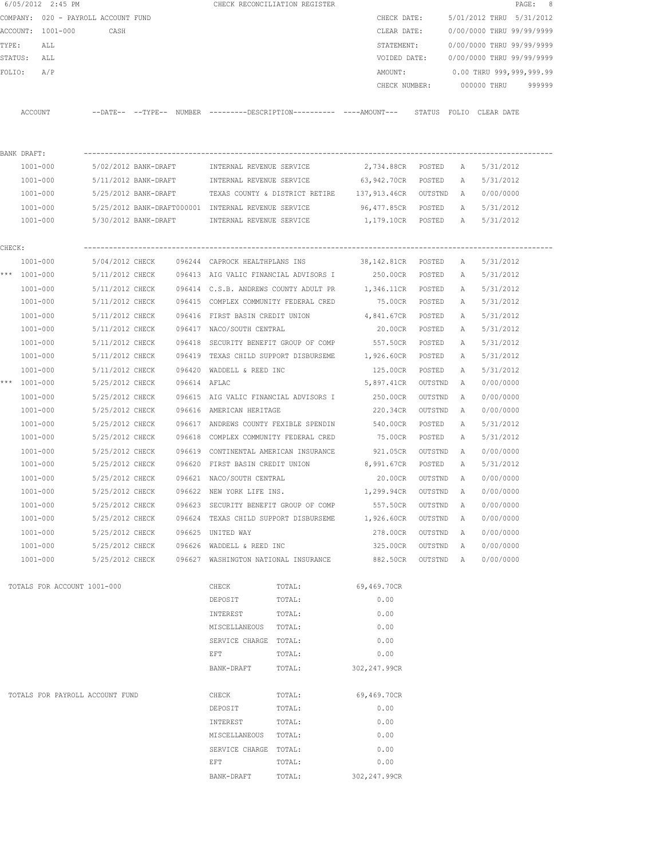|        |              | 6/05/2012 2:45 PM                   |                      |                      |              |                                                     | CHECK RECONCILIATION REGISTER                                                              |                    |           |              |                           | PAGE: 8 |
|--------|--------------|-------------------------------------|----------------------|----------------------|--------------|-----------------------------------------------------|--------------------------------------------------------------------------------------------|--------------------|-----------|--------------|---------------------------|---------|
|        |              | COMPANY: 020 - PAYROLL ACCOUNT FUND |                      |                      |              |                                                     |                                                                                            | CHECK DATE:        |           |              | 5/01/2012 THRU 5/31/2012  |         |
|        |              | ACCOUNT: 1001-000                   | CASH                 |                      |              |                                                     |                                                                                            | CLEAR DATE:        |           |              | 0/00/0000 THRU 99/99/9999 |         |
| TYPE:  |              | ALL                                 |                      |                      |              |                                                     |                                                                                            | STATEMENT:         |           |              | 0/00/0000 THRU 99/99/9999 |         |
|        | STATUS: ALL  |                                     |                      |                      |              |                                                     |                                                                                            | VOIDED DATE:       |           |              | 0/00/0000 THRU 99/99/9999 |         |
| FOLIO: |              | A/P                                 |                      |                      |              |                                                     |                                                                                            | AMOUNT:            |           |              | 0.00 THRU 999,999,999.99  |         |
|        |              |                                     |                      |                      |              |                                                     |                                                                                            | CHECK NUMBER:      |           |              | 000000 THRU               | 999999  |
|        |              |                                     |                      |                      |              |                                                     |                                                                                            |                    |           |              |                           |         |
|        | ACCOUNT      |                                     |                      |                      |              |                                                     | --DATE-- --TYPE-- NUMBER --------DESCRIPTION---------- ---AMOUNT--- STATUS FOLIO CLEARDATE |                    |           |              |                           |         |
|        |              |                                     |                      |                      |              |                                                     |                                                                                            |                    |           |              |                           |         |
|        |              |                                     |                      |                      |              |                                                     |                                                                                            |                    |           |              |                           |         |
|        | BANK DRAFT:  |                                     |                      |                      |              |                                                     |                                                                                            |                    |           |              |                           |         |
|        | 1001-000     |                                     | 5/02/2012 BANK-DRAFT |                      |              | INTERNAL REVENUE SERVICE                            |                                                                                            | 2,734.88CR POSTED  |           | A            | 5/31/2012                 |         |
|        | 1001-000     |                                     |                      | 5/11/2012 BANK-DRAFT |              | INTERNAL REVENUE SERVICE                            |                                                                                            | 63,942.70CR        | POSTED    | A            | 5/31/2012                 |         |
|        | 1001-000     |                                     |                      | 5/25/2012 BANK-DRAFT |              |                                                     | TEXAS COUNTY & DISTRICT RETIRE 137,913.46CR OUTSTND                                        |                    |           | A            | 0/00/0000                 |         |
|        | 1001-000     |                                     |                      |                      |              | 5/25/2012 BANK-DRAFT000001 INTERNAL REVENUE SERVICE |                                                                                            | 96,477.85CR POSTED |           | A            | 5/31/2012                 |         |
|        | 1001-000     |                                     |                      | 5/30/2012 BANK-DRAFT |              | INTERNAL REVENUE SERVICE                            |                                                                                            | 1,179.10CR POSTED  |           | A            | 5/31/2012                 |         |
|        |              |                                     |                      |                      |              |                                                     |                                                                                            |                    |           |              |                           |         |
| CHECK: | 1001-000     |                                     | 5/04/2012 CHECK      |                      |              | 096244 CAPROCK HEALTHPLANS INS                      |                                                                                            | 38,142.81CR        | POSTED    | A            | 5/31/2012                 |         |
|        | *** 1001-000 |                                     |                      |                      |              |                                                     | 5/11/2012 CHECK 096413 AIG VALIC FINANCIAL ADVISORS I 250.00CR POSTED                      |                    |           | A            | 5/31/2012                 |         |
|        | 1001-000     |                                     |                      |                      |              |                                                     | 5/11/2012 CHECK 096414 C.S.B. ANDREWS COUNTY ADULT PR 1,346.11CR                           |                    | POSTED    | A            | 5/31/2012                 |         |
|        | 1001-000     |                                     | 5/11/2012 CHECK      |                      |              |                                                     | 096415 COMPLEX COMMUNITY FEDERAL CRED 75.00CR                                              |                    | POSTED    | Α            | 5/31/2012                 |         |
|        | 1001-000     |                                     | 5/11/2012 CHECK      |                      |              | 096416 FIRST BASIN CREDIT UNION                     |                                                                                            | 4,841.67CR         | POSTED    | Α            | 5/31/2012                 |         |
|        | 1001-000     |                                     | 5/11/2012 CHECK      |                      |              | 096417 NACO/SOUTH CENTRAL                           |                                                                                            | 20.00CR            | POSTED    | A            | 5/31/2012                 |         |
|        | 1001-000     |                                     | 5/11/2012 CHECK      |                      |              |                                                     | 096418 SECURITY BENEFIT GROUP OF COMP                                                      | 557.50CR           | POSTED    | Α            | 5/31/2012                 |         |
|        | 1001-000     |                                     | 5/11/2012 CHECK      |                      |              |                                                     | 096419 TEXAS CHILD SUPPORT DISBURSEME                                                      | 1,926.60CR         | POSTED    | A            | 5/31/2012                 |         |
|        | 1001-000     |                                     | 5/11/2012 CHECK      |                      |              | 096420 WADDELL & REED INC                           |                                                                                            | 125.00CR           | POSTED    | Α            | 5/31/2012                 |         |
|        | *** 1001-000 |                                     | 5/25/2012 CHECK      |                      | 096614 AFLAC |                                                     |                                                                                            | 5,897.41CR         | OUTSTND   | А            | 0/00/0000                 |         |
|        | 1001-000     |                                     | 5/25/2012 CHECK      |                      |              |                                                     | 096615 AIG VALIC FINANCIAL ADVISORS I                                                      | 250.00CR           | OUTSTND   | А            | 0/00/0000                 |         |
|        | $1001 - 000$ |                                     | 5/25/2012 CHECK      |                      |              | 096616 AMERICAN HERITAGE                            |                                                                                            | 220.34CR           | OUTSTND   | А            | 0/00/0000                 |         |
|        | $1001 - 000$ |                                     | 5/25/2012 CHECK      |                      |              |                                                     | 096617 ANDREWS COUNTY FEXIBLE SPENDIN                                                      | 540.00CR           | POSTED    | Α            | 5/31/2012                 |         |
|        | 1001-000     |                                     | 5/25/2012 CHECK      |                      |              | 096618 COMPLEX COMMUNITY FEDERAL CRED               |                                                                                            | 75.00CR            | POSTED    | Α            | 5/31/2012                 |         |
|        | 1001-000     |                                     | 5/25/2012 CHECK      |                      | 096619       |                                                     | CONTINENTAL AMERICAN INSURANCE                                                             | 921.05CR           | OUTSTND   | Α            | 0/00/0000                 |         |
|        | 1001-000     |                                     | 5/25/2012 CHECK      |                      |              |                                                     | 096620 FIRST BASIN CREDIT UNION 8,991.67CR                                                 |                    | POSTED    | Α            | 5/31/2012                 |         |
|        | 1001-000     |                                     | 5/25/2012 CHECK      |                      |              | 096621 NACO/SOUTH CENTRAL                           |                                                                                            | 20.00CR            | OUTSTND   | A            | 0/00/0000                 |         |
|        |              | $1001 - 000$                        | 5/25/2012 CHECK      |                      |              | 096622 NEW YORK LIFE INS.                           |                                                                                            | 1,299.94CR         | OUTSTND   | A            | 0/00/0000                 |         |
|        |              | 1001-000                            | 5/25/2012 CHECK      |                      |              |                                                     | 096623 SECURITY BENEFIT GROUP OF COMP                                                      | 557.50CR           | OUTSTND   | A            | 0/00/0000                 |         |
|        |              | 1001-000                            | 5/25/2012 CHECK      |                      |              | 096624 TEXAS CHILD SUPPORT DISBURSEME               |                                                                                            | 1,926.60CR         | OUTSTND   | $\mathbb{A}$ | 0/00/0000                 |         |
|        |              | $1001 - 000$                        | 5/25/2012 CHECK      |                      |              | 096625 UNITED WAY                                   |                                                                                            | 278.00CR           | OUTSTND   | A            | 0/00/0000                 |         |
|        |              | $1001 - 000$                        | 5/25/2012 CHECK      |                      |              | 096626 WADDELL & REED INC                           |                                                                                            | 325.00CR           | OUTSTND   | A            | 0/00/0000                 |         |
|        |              | $1001 - 000$                        | 5/25/2012 CHECK      |                      |              |                                                     | 096627 WASHINGTON NATIONAL INSURANCE                                                       | 882.50CR           | OUTSTND A |              | 0/00/0000                 |         |
|        |              |                                     |                      |                      |              |                                                     |                                                                                            |                    |           |              |                           |         |
|        |              | TOTALS FOR ACCOUNT 1001-000         |                      |                      |              | CHECK                                               | TOTAL:                                                                                     | 69,469.70CR        |           |              |                           |         |
|        |              |                                     |                      |                      |              | DEPOSIT                                             | TOTAL:                                                                                     | 0.00               |           |              |                           |         |
|        |              |                                     |                      |                      |              | INTEREST                                            | TOTAL:                                                                                     | 0.00               |           |              |                           |         |
|        |              |                                     |                      |                      |              | MISCELLANEOUS                                       | TOTAL:                                                                                     | 0.00               |           |              |                           |         |
|        |              |                                     |                      |                      |              | SERVICE CHARGE TOTAL:                               |                                                                                            | 0.00               |           |              |                           |         |
|        |              |                                     |                      |                      |              | EFT                                                 | TOTAL:                                                                                     | 0.00               |           |              |                           |         |
|        |              |                                     |                      |                      |              | BANK-DRAFT                                          | TOTAL:                                                                                     | 302, 247.99CR      |           |              |                           |         |
|        |              |                                     |                      |                      |              |                                                     |                                                                                            |                    |           |              |                           |         |
|        |              | TOTALS FOR PAYROLL ACCOUNT FUND     |                      |                      |              | CHECK                                               | TOTAL:                                                                                     | 69,469.70CR        |           |              |                           |         |
|        |              |                                     |                      |                      |              | DEPOSIT                                             | TOTAL:                                                                                     | 0.00               |           |              |                           |         |
|        |              |                                     |                      |                      |              | INTEREST                                            | TOTAL:                                                                                     | 0.00               |           |              |                           |         |
|        |              |                                     |                      |                      |              | MISCELLANEOUS TOTAL:                                |                                                                                            | 0.00               |           |              |                           |         |
|        |              |                                     |                      |                      |              | SERVICE CHARGE TOTAL:                               |                                                                                            | 0.00               |           |              |                           |         |
|        |              |                                     |                      |                      |              | EFT                                                 | TOTAL:                                                                                     | 0.00               |           |              |                           |         |
|        |              |                                     |                      |                      |              | BANK-DRAFT                                          | TOTAL:                                                                                     | 302, 247.99CR      |           |              |                           |         |
|        |              |                                     |                      |                      |              |                                                     |                                                                                            |                    |           |              |                           |         |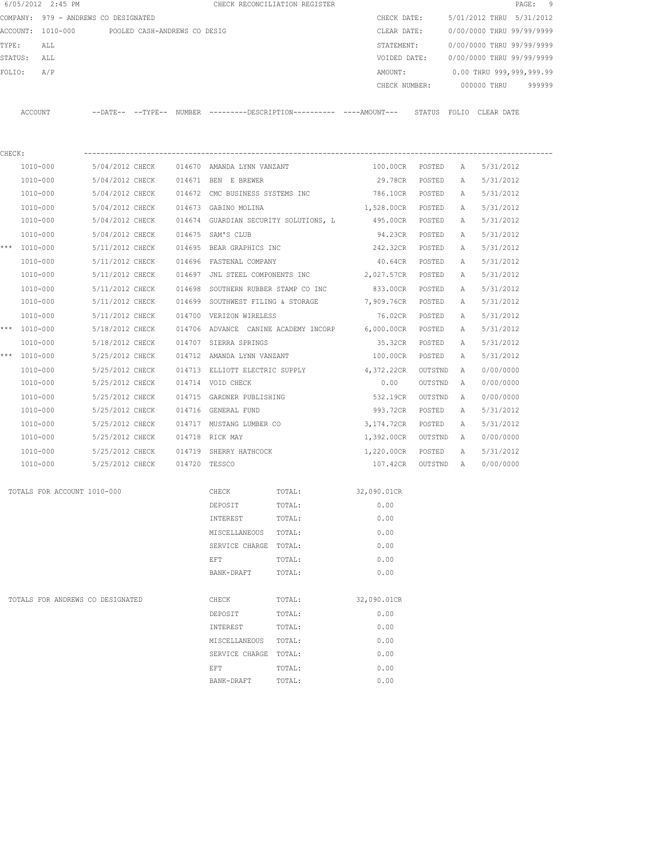|        | 6/05/2012 2:45 PM           |                                                                      |        |                                       | CHECK RECONCILIATION REGISTER        |               |         |   | $\texttt{PAGE}$ :           | 9 |
|--------|-----------------------------|----------------------------------------------------------------------|--------|---------------------------------------|--------------------------------------|---------------|---------|---|-----------------------------|---|
|        |                             | COMPANY: 979 - ANDREWS CO DESIGNATED                                 |        |                                       |                                      | CHECK DATE:   |         |   | 5/01/2012 THRU<br>5/31/2012 |   |
|        | ACCOUNT: 1010-000           | POOLED CASH-ANDREWS CO DESIG                                         |        |                                       |                                      | CLEAR DATE:   |         |   | 0/00/0000 THRU 99/99/9999   |   |
| TYPE:  | ALL                         |                                                                      |        |                                       |                                      | STATEMENT:    |         |   | 0/00/0000 THRU 99/99/9999   |   |
|        | STATUS:<br>ALL              |                                                                      |        |                                       |                                      | VOIDED DATE:  |         |   | 0/00/0000 THRU 99/99/9999   |   |
| FOLIO: | A/P                         |                                                                      |        |                                       |                                      | AMOUNT:       |         |   | 0.00 THRU 999,999,999.99    |   |
|        |                             |                                                                      |        |                                       |                                      | CHECK NUMBER: |         |   | 000000 THRU<br>999999       |   |
|        | ACCOUNT                     | --DATE-- --TYPE-- NUMBER --------DESCRIPTION---------- ----AMOUNT--- |        |                                       |                                      |               |         |   | STATUS FOLIO CLEAR DATE     |   |
|        |                             |                                                                      |        |                                       |                                      |               |         |   |                             |   |
| CHECK: |                             |                                                                      |        |                                       |                                      |               |         |   |                             |   |
|        | 1010-000                    | 5/04/2012 CHECK                                                      |        | 014670 AMANDA LYNN VANZANT            |                                      | 100.00CR      | POSTED  | Α | 5/31/2012                   |   |
|        | 1010-000                    | 5/04/2012 CHECK                                                      |        | 014671 BEN E BREWER                   |                                      | 29.78CR       | POSTED  | Α | 5/31/2012                   |   |
|        | 1010-000                    | 5/04/2012 CHECK                                                      | 014672 | CMC BUSINESS SYSTEMS INC              |                                      | 786.10CR      | POSTED  | Α | 5/31/2012                   |   |
|        | 1010-000                    | 5/04/2012 CHECK                                                      |        | 014673 GABINO MOLINA                  |                                      | 1,528.00CR    | POSTED  | Α | 5/31/2012                   |   |
|        | 1010-000                    | 5/04/2012 CHECK                                                      |        | 014674 GUARDIAN SECURITY SOLUTIONS, L |                                      | 495.00CR      | POSTED  | Α | 5/31/2012                   |   |
|        | 1010-000                    | 5/04/2012 CHECK                                                      | 014675 | SAM'S CLUB                            |                                      | 94.23CR       | POSTED  | Α | 5/31/2012                   |   |
|        | *** 1010-000                | 5/11/2012 CHECK                                                      |        | 014695 BEAR GRAPHICS INC              |                                      | 242.32CR      | POSTED  | Α | 5/31/2012                   |   |
|        | 1010-000                    | 5/11/2012 CHECK                                                      | 014696 | FASTENAL COMPANY                      |                                      | 40.64CR       | POSTED  | Α | 5/31/2012                   |   |
|        | 1010-000                    | 5/11/2012 CHECK                                                      | 014697 | JNL STEEL COMPONENTS INC              |                                      | 2,027.57CR    | POSTED  | A | 5/31/2012                   |   |
|        | 1010-000                    | 5/11/2012 CHECK                                                      | 014698 | SOUTHERN RUBBER STAMP CO INC          |                                      | 833.00CR      | POSTED  | Α | 5/31/2012                   |   |
|        | 1010-000                    | 5/11/2012 CHECK                                                      |        | 014699 SOUTHWEST FILING & STORAGE     |                                      | 7,909.76CR    | POSTED  | Α | 5/31/2012                   |   |
|        | 1010-000                    | 5/11/2012 CHECK                                                      |        | 014700 VERIZON WIRELESS               |                                      | 76.02CR       | POSTED  | Α | 5/31/2012                   |   |
|        | *** 1010-000                | 5/18/2012 CHECK                                                      |        |                                       | 014706 ADVANCE CANINE ACADEMY INCORP | 6,000.00CR    | POSTED  | A | 5/31/2012                   |   |
|        | 1010-000                    | 5/18/2012 CHECK                                                      | 014707 | SIERRA SPRINGS                        |                                      | 35.32CR       | POSTED  | Α | 5/31/2012                   |   |
| ***    | 1010-000                    | 5/25/2012 CHECK                                                      |        | 014712 AMANDA LYNN VANZANT            |                                      | 100.00CR      | POSTED  | A | 5/31/2012                   |   |
|        | 1010-000                    | 5/25/2012 CHECK                                                      |        | 014713 ELLIOTT ELECTRIC SUPPLY        |                                      | 4,372.22CR    | OUTSTND | Α | 0/00/0000                   |   |
|        | 1010-000                    | 5/25/2012 CHECK                                                      |        | 014714 VOID CHECK                     |                                      | 0.00          | OUTSTND | A | 0/00/0000                   |   |
|        | 1010-000                    | 5/25/2012 CHECK                                                      | 014715 | GARDNER PUBLISHING                    |                                      | 532.19CR      | OUTSTND | Α | 0/00/0000                   |   |
|        | 1010-000                    | 5/25/2012 CHECK                                                      |        | 014716 GENERAL FUND                   |                                      | 993.72CR      | POSTED  | Α | 5/31/2012                   |   |
|        | 1010-000                    | 5/25/2012 CHECK                                                      | 014717 | MUSTANG LUMBER CO                     |                                      | 3,174.72CR    | POSTED  | Α | 5/31/2012                   |   |
|        | 1010-000                    | 5/25/2012 CHECK                                                      | 014718 | RICK MAY                              |                                      | 1,392.00CR    | OUTSTND | Α | 0/00/0000                   |   |
|        | 1010-000                    | 5/25/2012 CHECK                                                      | 014719 | SHERRY HATHCOCK                       |                                      | 1,220.00CR    | POSTED  | Α | 5/31/2012                   |   |
|        | 1010-000                    | 5/25/2012 CHECK                                                      |        | 014720 TESSCO                         |                                      | 107.42CR      | OUTSTND | Α | 0/00/0000                   |   |
|        | TOTALS FOR ACCOUNT 1010-000 |                                                                      |        | CHECK                                 | TOTAL:                               | 32,090.01CR   |         |   |                             |   |
|        |                             |                                                                      |        | DEPOSIT                               | TOTAL:                               | 0.00          |         |   |                             |   |
|        |                             |                                                                      |        | INTEREST                              | TOTAL:                               | 0.00          |         |   |                             |   |
|        |                             |                                                                      |        | MISCELLANEOUS                         | TOTAL:                               | 0.00          |         |   |                             |   |
|        |                             |                                                                      |        | SERVICE CHARGE TOTAL:                 |                                      | 0.00          |         |   |                             |   |
|        |                             |                                                                      |        | EFT                                   | TOTAL:                               | 0.00          |         |   |                             |   |
|        |                             |                                                                      |        | BANK-DRAFT                            | TOTAL:                               | 0.00          |         |   |                             |   |
|        |                             | TOTALS FOR ANDREWS CO DESIGNATED                                     |        | CHECK                                 | TOTAL:                               | 32,090.01CR   |         |   |                             |   |
|        |                             |                                                                      |        | DEPOSIT                               | TOTAL:                               | 0.00          |         |   |                             |   |
|        |                             |                                                                      |        | INTEREST                              | TOTAL:                               | 0.00          |         |   |                             |   |
|        |                             |                                                                      |        | MISCELLANEOUS                         | TOTAL:                               | 0.00          |         |   |                             |   |
|        |                             |                                                                      |        | SERVICE CHARGE TOTAL:                 |                                      | 0.00          |         |   |                             |   |
|        |                             |                                                                      |        | EFT                                   | TOTAL:                               | 0.00          |         |   |                             |   |
|        |                             |                                                                      |        | BANK-DRAFT                            | TOTAL:                               | 0.00          |         |   |                             |   |
|        |                             |                                                                      |        |                                       |                                      |               |         |   |                             |   |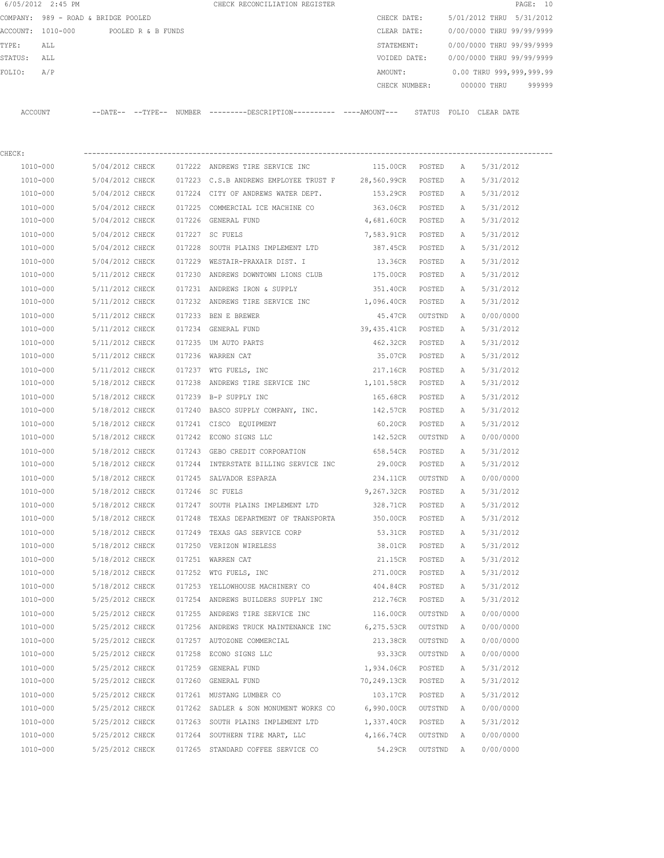|         | 6/05/2012 2:45 PM                   |                 |                    |        | CHECK RECONCILIATION REGISTER                                                              |                    |         |              |                           | PAGE: 10 |
|---------|-------------------------------------|-----------------|--------------------|--------|--------------------------------------------------------------------------------------------|--------------------|---------|--------------|---------------------------|----------|
|         | COMPANY: 989 - ROAD & BRIDGE POOLED |                 |                    |        |                                                                                            | CHECK DATE:        |         |              | 5/01/2012 THRU 5/31/2012  |          |
|         | ACCOUNT: 1010-000                   |                 | POOLED R & B FUNDS |        |                                                                                            | CLEAR DATE:        |         |              | 0/00/0000 THRU 99/99/9999 |          |
| TYPE:   | ALL                                 |                 |                    |        |                                                                                            | STATEMENT:         |         |              | 0/00/0000 THRU 99/99/9999 |          |
| STATUS: | ALL                                 |                 |                    |        |                                                                                            | VOIDED DATE:       |         |              | 0/00/0000 THRU 99/99/9999 |          |
| FOLIO:  | A/P                                 |                 |                    |        |                                                                                            | AMOUNT:            |         |              | 0.00 THRU 999,999,999.99  |          |
|         |                                     |                 |                    |        |                                                                                            | CHECK NUMBER:      |         |              | 000000 THRU               | 999999   |
|         | ACCOUNT                             |                 |                    |        | --DATE-- --TYPE-- NUMBER --------DESCRIPTION--------- ----AMOUNT--- STATUS FOLIO CLEARDATE |                    |         |              |                           |          |
| CHECK:  |                                     |                 |                    |        |                                                                                            |                    |         |              |                           |          |
|         | 1010-000                            | 5/04/2012 CHECK |                    |        | 017222 ANDREWS TIRE SERVICE INC                                                            | 115.00CR POSTED    |         | A            | 5/31/2012                 |          |
|         | 1010-000                            | 5/04/2012 CHECK |                    |        | 017223 C.S.B ANDREWS EMPLOYEE TRUST F 28,560.99CR                                          |                    | POSTED  | A            | 5/31/2012                 |          |
|         | 1010-000                            | 5/04/2012 CHECK |                    |        | 017224 CITY OF ANDREWS WATER DEPT.                                                         | 153.29CR POSTED    |         | А            | 5/31/2012                 |          |
|         | 1010-000                            | 5/04/2012 CHECK |                    |        | 017225 COMMERCIAL ICE MACHINE CO                                                           | 363.06CR POSTED    |         | Α            | 5/31/2012                 |          |
|         | 1010-000                            | 5/04/2012 CHECK |                    |        | 017226 GENERAL FUND                                                                        | 4,681.60CR POSTED  |         | Α            | 5/31/2012                 |          |
|         | 1010-000                            | 5/04/2012 CHECK |                    |        | 017227 SC FUELS                                                                            | 7,583.91CR POSTED  |         | $\mathbb{A}$ | 5/31/2012                 |          |
|         | 1010-000                            | 5/04/2012 CHECK |                    | 017228 | SOUTH PLAINS IMPLEMENT LTD                                                                 | 387.45CR POSTED    |         | A            | 5/31/2012                 |          |
|         | 1010-000                            | 5/04/2012 CHECK |                    |        | 017229 WESTAIR-PRAXAIR DIST. I                                                             | 13.36CR POSTED     |         | A            | 5/31/2012                 |          |
|         | 1010-000                            | 5/11/2012 CHECK |                    |        | 017230 ANDREWS DOWNTOWN LIONS CLUB                                                         | 175.00CR           | POSTED  | A            | 5/31/2012                 |          |
|         | 1010-000                            | 5/11/2012 CHECK |                    |        | 017231 ANDREWS IRON & SUPPLY                                                               | 351.40CR           | POSTED  | Α            | 5/31/2012                 |          |
|         | 1010-000                            | 5/11/2012 CHECK |                    |        | 017232 ANDREWS TIRE SERVICE INC 1,096.40CR                                                 |                    | POSTED  | A            | 5/31/2012                 |          |
|         | 1010-000                            | 5/11/2012 CHECK |                    |        | 017233 BEN E BREWER                                                                        | 45.47CR            | OUTSTND | A            | 0/00/0000                 |          |
|         | 1010-000                            | 5/11/2012 CHECK |                    |        | 017234 GENERAL FUND                                                                        | 39,435.41CR        | POSTED  | A            | 5/31/2012                 |          |
|         | 1010-000                            | 5/11/2012 CHECK |                    |        | 017235 UM AUTO PARTS                                                                       | 462.32CR           | POSTED  | A            | 5/31/2012                 |          |
|         | 1010-000                            | 5/11/2012 CHECK |                    |        | 017236 WARREN CAT                                                                          | 35.07CR            | POSTED  | A            | 5/31/2012                 |          |
|         | 1010-000                            | 5/11/2012 CHECK |                    |        | 017237 WTG FUELS, INC                                                                      | 217.16CR POSTED    |         | Α            | 5/31/2012                 |          |
|         | 1010-000                            | 5/18/2012 CHECK |                    | 017238 | ANDREWS TIRE SERVICE INC                                                                   | 1,101.58CR POSTED  |         | Α            | 5/31/2012                 |          |
|         | 1010-000                            | 5/18/2012 CHECK |                    |        | 017239 B-P SUPPLY INC                                                                      | 165.68CR POSTED    |         | Α            | 5/31/2012                 |          |
|         | 1010-000                            | 5/18/2012 CHECK |                    |        | 017240 BASCO SUPPLY COMPANY, INC.                                                          | 142.57CR           | POSTED  | A            | 5/31/2012                 |          |
|         | 1010-000                            | 5/18/2012 CHECK |                    |        | 017241 CISCO EQUIPMENT                                                                     | 60.20CR            | POSTED  | А            | 5/31/2012                 |          |
|         | 1010-000                            | 5/18/2012 CHECK |                    |        | 017242 ECONO SIGNS LLC                                                                     | 142.52CR           | OUTSTND | A            | 0/00/0000                 |          |
|         | 1010-000                            | 5/18/2012 CHECK |                    |        | 017243 GEBO CREDIT CORPORATION                                                             | 658.54CR           | POSTED  | Α            | 5/31/2012                 |          |
|         | 1010-000                            | 5/18/2012 CHECK |                    |        | 017244 INTERSTATE BILLING SERVICE INC                                                      | 29.00CR            | POSTED  | A            | 5/31/2012                 |          |
|         | 1010-000                            | 5/18/2012 CHECK |                    |        | 017245 SALVADOR ESPARZA                                                                    | 234.11CR           | OUTSTND | A            | 0/00/0000                 |          |
|         | 1010-000                            | 5/18/2012 CHECK |                    |        | 017246 SC FUELS                                                                            | 9,267.32CR         | POSTED  | A            | 5/31/2012                 |          |
|         | 1010-000                            | 5/18/2012 CHECK |                    |        | 017247 SOUTH PLAINS IMPLEMENT LTD                                                          | 328.71CR           | POSTED  | Α            | 5/31/2012                 |          |
|         | 1010-000                            | 5/18/2012 CHECK |                    |        | 017248 TEXAS DEPARTMENT OF TRANSPORTA 350.00CR                                             |                    | POSTED  | Α            | 5/31/2012                 |          |
|         | 1010-000                            | 5/18/2012 CHECK |                    |        | 017249 TEXAS GAS SERVICE CORP                                                              | 53.31CR            | POSTED  | Α            | 5/31/2012                 |          |
|         | 1010-000                            | 5/18/2012 CHECK |                    |        | 017250 VERIZON WIRELESS                                                                    | 38.01CR            | POSTED  | Α            | 5/31/2012                 |          |
|         | 1010-000                            | 5/18/2012 CHECK |                    |        | 017251 WARREN CAT                                                                          | 21.15CR            | POSTED  | Α            | 5/31/2012                 |          |
|         | 1010-000                            | 5/18/2012 CHECK |                    |        | 017252 WTG FUELS, INC                                                                      | 271.00CR           | POSTED  | Α            | 5/31/2012                 |          |
|         | 1010-000                            | 5/18/2012 CHECK |                    |        | 017253 YELLOWHOUSE MACHINERY CO                                                            | 404.84CR           | POSTED  | Α            | 5/31/2012                 |          |
|         | 1010-000                            | 5/25/2012 CHECK |                    |        | 017254 ANDREWS BUILDERS SUPPLY INC                                                         | 212.76CR           | POSTED  | Α            | 5/31/2012                 |          |
|         | $1010 - 000$                        | 5/25/2012 CHECK |                    |        | 017255 ANDREWS TIRE SERVICE INC                                                            | 116.00CR           | OUTSTND | Α            | 0/00/0000                 |          |
|         | 1010-000                            | 5/25/2012 CHECK |                    |        | 017256 ANDREWS TRUCK MAINTENANCE INC 6,275.53CR                                            |                    | OUTSTND | A            | 0/00/0000                 |          |
|         | 1010-000                            | 5/25/2012 CHECK |                    |        | 017257 AUTOZONE COMMERCIAL                                                                 | 213.38CR           | OUTSTND | A            | 0/00/0000                 |          |
|         | 1010-000                            | 5/25/2012 CHECK |                    |        | 017258 ECONO SIGNS LLC                                                                     | 93.33CR            | OUTSTND | A            | 0/00/0000                 |          |
|         | 1010-000                            | 5/25/2012 CHECK |                    |        | 017259 GENERAL FUND                                                                        | 1,934.06CR         | POSTED  | Α            | 5/31/2012                 |          |
|         | 1010-000                            | 5/25/2012 CHECK |                    |        | 017260 GENERAL FUND                                                                        | 70,249.13CR        | POSTED  | Α            | 5/31/2012                 |          |
|         | 1010-000                            | 5/25/2012 CHECK |                    |        | 017261 MUSTANG LUMBER CO                                                                   | 103.17CR           | POSTED  | Α            | 5/31/2012                 |          |
|         | 1010-000                            | 5/25/2012 CHECK |                    |        | 017262 SADLER & SON MONUMENT WORKS CO                                                      | 6,990.00CR OUTSTND |         | $\mathbb{A}$ | 0/00/0000                 |          |
|         | 1010-000                            | 5/25/2012 CHECK |                    |        | 017263 SOUTH PLAINS IMPLEMENT LTD                                                          | 1,337.40CR POSTED  |         | Α            | 5/31/2012                 |          |
|         | 1010-000                            | 5/25/2012 CHECK |                    |        | 017264 SOUTHERN TIRE MART, LLC                                                             | 4,166.74CR         | OUTSTND | Α            | 0/00/0000                 |          |
|         | 1010-000                            |                 | 5/25/2012 CHECK    |        | 017265 STANDARD COFFEE SERVICE CO                                                          | 54.29CR OUTSTND A  |         |              | 0/00/0000                 |          |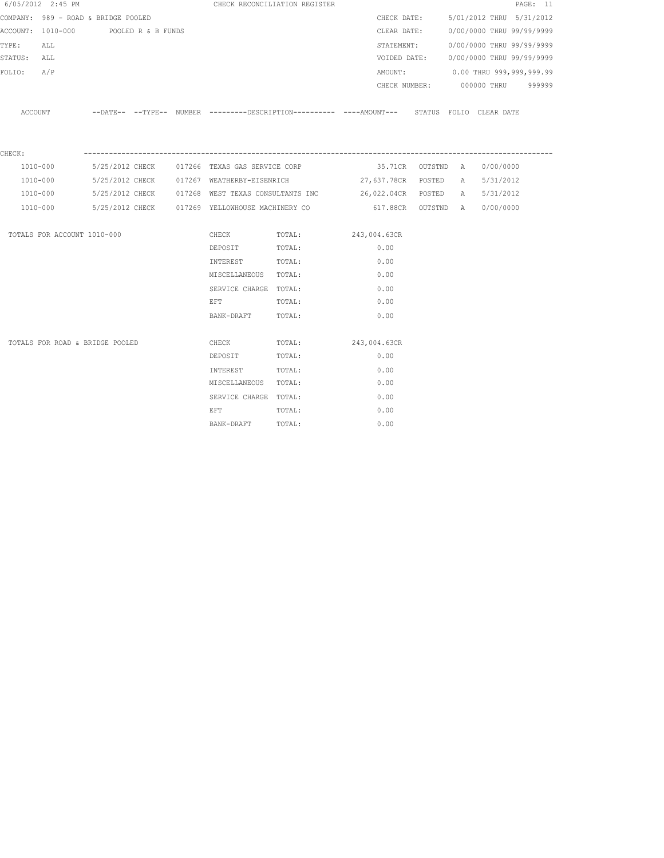|             | 6/05/2012 2:45 PM                    |  |                                                          | CHECK RECONCILIATION REGISTER                                                                         |      |             |                                        | PAGE: 11 |
|-------------|--------------------------------------|--|----------------------------------------------------------|-------------------------------------------------------------------------------------------------------|------|-------------|----------------------------------------|----------|
|             | COMPANY: 989 - ROAD & BRIDGE POOLED  |  |                                                          |                                                                                                       |      | CHECK DATE: | 5/01/2012 THRU 5/31/2012               |          |
|             | ACCOUNT: 1010-000 POOLED R & B FUNDS |  |                                                          |                                                                                                       |      |             | CLEAR DATE: 0/00/0000 THRU 99/99/9999  |          |
| TYPE: ALL   |                                      |  |                                                          |                                                                                                       |      | STATEMENT:  | 0/00/0000 THRU 99/99/9999              |          |
| STATUS: ALL |                                      |  |                                                          |                                                                                                       |      |             | VOIDED DATE: 0/00/0000 THRU 99/99/9999 |          |
| FOLIO: A/P  |                                      |  |                                                          |                                                                                                       |      |             | AMOUNT: 0.00 THRU 999,999,999.99       |          |
|             |                                      |  |                                                          |                                                                                                       |      |             | CHECK NUMBER: 000000 THRU 999999       |          |
|             |                                      |  |                                                          | ACCOUNT --DATE-- --TYPE-- NUMBER ---------DESCRIPTION---------- ----AMOUNT--- STATUS FOLIO CLEAR DATE |      |             |                                        |          |
| CHECK:      |                                      |  |                                                          |                                                                                                       |      |             |                                        |          |
|             | 1010-000                             |  | 5/25/2012 CHECK 017266 TEXAS GAS SERVICE CORP            |                                                                                                       |      |             | 35.71CR OUTSTND A 0/00/0000            |          |
|             | 1010-000                             |  |                                                          | 5/25/2012 CHECK 017267 WEATHERBY-EISENRICH 627,637.78CR POSTED A 5/31/2012                            |      |             |                                        |          |
|             | 1010-000                             |  |                                                          | 5/25/2012 CHECK 017268 WEST TEXAS CONSULTANTS INC 36,022.04CR POSTED A 5/31/2012                      |      |             |                                        |          |
|             |                                      |  | 1010-000 5/25/2012 CHECK 017269 YELLOWHOUSE MACHINERY CO |                                                                                                       |      |             | 617.88CR OUTSTND A 0/00/0000           |          |
|             | TOTALS FOR ACCOUNT 1010-000          |  | CHECK                                                    | TOTAL: 243,004.63CR                                                                                   |      |             |                                        |          |
|             |                                      |  | DEPOSIT                                                  | TOTAL:                                                                                                | 0.00 |             |                                        |          |
|             |                                      |  | INTEREST TOTAL:                                          |                                                                                                       | 0.00 |             |                                        |          |
|             |                                      |  | MISCELLANEOUS TOTAL:                                     |                                                                                                       | 0.00 |             |                                        |          |
|             |                                      |  | SERVICE CHARGE TOTAL:                                    |                                                                                                       | 0.00 |             |                                        |          |
|             |                                      |  | EFT TOTAL:                                               |                                                                                                       | 0.00 |             |                                        |          |
|             |                                      |  | BANK-DRAFT TOTAL:                                        |                                                                                                       | 0.00 |             |                                        |          |
|             | TOTALS FOR ROAD & BRIDGE POOLED      |  |                                                          | CHECK TOTAL: 243,004.63CR                                                                             |      |             |                                        |          |
|             |                                      |  | DEPOSIT                                                  | TOTAL:                                                                                                | 0.00 |             |                                        |          |
|             |                                      |  | INTEREST TOTAL:                                          |                                                                                                       | 0.00 |             |                                        |          |
|             |                                      |  | MISCELLANEOUS TOTAL:                                     |                                                                                                       | 0.00 |             |                                        |          |
|             |                                      |  | SERVICE CHARGE TOTAL:                                    |                                                                                                       | 0.00 |             |                                        |          |
|             |                                      |  | EFT                                                      | TOTAL:                                                                                                | 0.00 |             |                                        |          |
|             |                                      |  | BANK-DRAFT TOTAL:                                        |                                                                                                       | 0.00 |             |                                        |          |
|             |                                      |  |                                                          |                                                                                                       |      |             |                                        |          |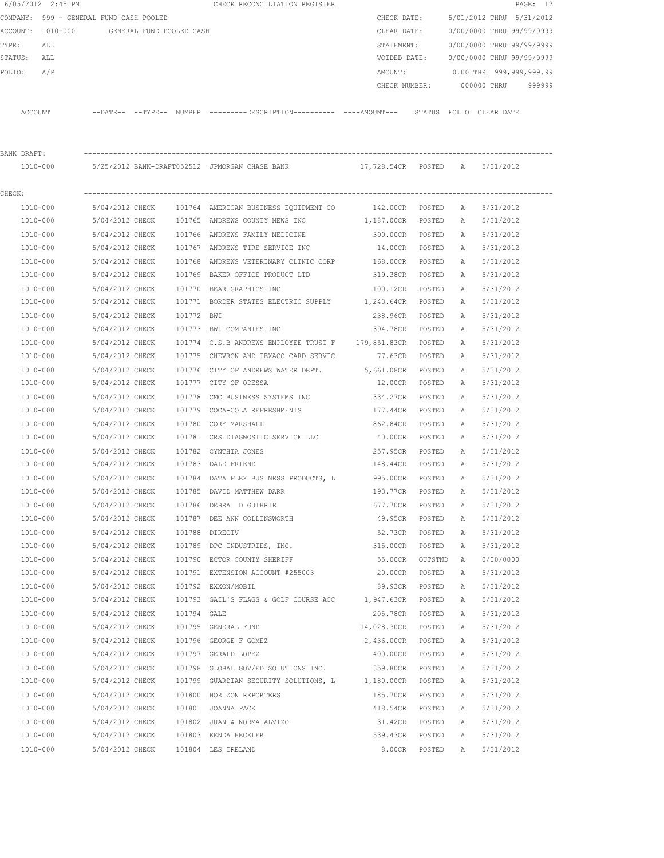|             | 6/05/2012 2:45 PM                          |                                    |             | CHECK RECONCILIATION REGISTER                                                                 |                   |               |              |                           | PAGE: 12 |
|-------------|--------------------------------------------|------------------------------------|-------------|-----------------------------------------------------------------------------------------------|-------------------|---------------|--------------|---------------------------|----------|
|             | COMPANY: 999 - GENERAL FUND CASH POOLED    |                                    |             |                                                                                               | CHECK DATE:       |               |              | 5/01/2012 THRU 5/31/2012  |          |
|             | ACCOUNT: 1010-000 GENERAL FUND POOLED CASH |                                    |             |                                                                                               | CLEAR DATE:       |               |              | 0/00/0000 THRU 99/99/9999 |          |
| TYPE:       | ALL                                        |                                    |             |                                                                                               | STATEMENT:        |               |              | 0/00/0000 THRU 99/99/9999 |          |
| STATUS: ALL |                                            |                                    |             |                                                                                               | VOIDED DATE:      |               |              | 0/00/0000 THRU 99/99/9999 |          |
| FOLIO:      | A/P                                        |                                    |             |                                                                                               | AMOUNT:           |               |              | 0.00 THRU 999,999,999.99  |          |
|             |                                            |                                    |             |                                                                                               | CHECK NUMBER:     |               |              | 000000 THRU               | 999999   |
|             |                                            |                                    |             |                                                                                               |                   |               |              |                           |          |
|             | ACCOUNT                                    |                                    |             | --DATE-- --TYPE-- NUMBER ---------DESCRIPTION---------- ----AMOUNT--- STATUS FOLIO CLEAR-DATE |                   |               |              |                           |          |
| BANK DRAFT: |                                            |                                    |             |                                                                                               |                   |               |              |                           |          |
|             |                                            |                                    |             | 1010-000 5/25/2012 BANK-DRAFT052512 JPMORGAN CHASE BANK 17,728.54CR POSTED A                  |                   |               |              | 5/31/2012                 |          |
|             |                                            |                                    |             |                                                                                               |                   |               |              |                           |          |
| CHECK:      |                                            |                                    |             |                                                                                               |                   |               |              |                           |          |
|             | 1010-000                                   |                                    |             | 5/04/2012 CHECK 101764 AMERICAN BUSINESS EQUIPMENT CO                                         | 142.00CR POSTED   |               | A            | 5/31/2012                 |          |
|             | 1010-000                                   |                                    |             | 5/04/2012 CHECK 101765 ANDREWS COUNTY NEWS INC                                                | 1,187.00CR POSTED |               | A            | 5/31/2012                 |          |
|             | 1010-000                                   | 5/04/2012 CHECK                    |             | 101766 ANDREWS FAMILY MEDICINE                                                                | 390.00CR POSTED   |               | A            | 5/31/2012                 |          |
|             | 1010-000                                   | 5/04/2012 CHECK                    |             | 101767 ANDREWS TIRE SERVICE INC                                                               | 14.00CR POSTED    |               | A            | 5/31/2012                 |          |
|             | 1010-000                                   | 5/04/2012 CHECK                    |             | 101768 ANDREWS VETERINARY CLINIC CORP                                                         | 168.00CR          | POSTED        | A            | 5/31/2012                 |          |
|             | 1010-000                                   | 5/04/2012 CHECK                    |             | 101769 BAKER OFFICE PRODUCT LTD                                                               | 319.38CR          | POSTED        | A            | 5/31/2012                 |          |
|             | 1010-000                                   | 5/04/2012 CHECK                    |             | 101770 BEAR GRAPHICS INC                                                                      | 100.12CR          | POSTED        | A            | 5/31/2012                 |          |
|             | 1010-000                                   | 5/04/2012 CHECK                    |             | 101771 BORDER STATES ELECTRIC SUPPLY 1,243.64CR POSTED                                        |                   |               | A            | 5/31/2012                 |          |
|             | 1010-000                                   | 5/04/2012 CHECK                    | 101772 BWI  |                                                                                               | 238.96CR          | POSTED        | $\mathbb{A}$ | 5/31/2012                 |          |
|             | 1010-000                                   | 5/04/2012 CHECK                    |             | 101773 BWI COMPANIES INC                                                                      | 394.78CR POSTED   |               | $\mathbb{A}$ | 5/31/2012                 |          |
|             | 1010-000                                   | 5/04/2012 CHECK                    |             | 101774 C.S.B ANDREWS EMPLOYEE TRUST F 179,851.83CR                                            |                   | POSTED        | Α            | 5/31/2012                 |          |
|             | 1010-000                                   | 5/04/2012 CHECK                    |             | 101775 CHEVRON AND TEXACO CARD SERVIC                                                         | 77.63CR POSTED    |               | A            | 5/31/2012                 |          |
|             | 1010-000                                   | 5/04/2012 CHECK                    |             | 101776 CITY OF ANDREWS WATER DEPT.                                                            | 5,661.08CR        | POSTED        | Α            | 5/31/2012                 |          |
|             | 1010-000                                   | 5/04/2012 CHECK                    |             | 101777 CITY OF ODESSA                                                                         | 12.00CR           | POSTED        | Α            | 5/31/2012                 |          |
|             | 1010-000                                   | 5/04/2012 CHECK                    | 101778      | CMC BUSINESS SYSTEMS INC                                                                      | 334.27CR          | POSTED        | $\mathbb{A}$ | 5/31/2012                 |          |
|             | 1010-000                                   | 5/04/2012 CHECK                    |             | 101779 COCA-COLA REFRESHMENTS                                                                 | 177.44CR          | POSTED        | A            | 5/31/2012                 |          |
|             | 1010-000                                   | 5/04/2012 CHECK                    |             | 101780 CORY MARSHALL                                                                          | 862.84CR          | POSTED        | Α            | 5/31/2012                 |          |
|             | 1010-000                                   | 5/04/2012 CHECK                    |             | 101781 CRS DIAGNOSTIC SERVICE LLC                                                             | 40.00CR           | POSTED        | A            | 5/31/2012                 |          |
|             | 1010-000                                   | 5/04/2012 CHECK                    |             | 101782 CYNTHIA JONES                                                                          | 257.95CR          | POSTED        | A            | 5/31/2012                 |          |
|             | 1010-000                                   | 5/04/2012 CHECK                    |             | 101783 DALE FRIEND                                                                            | 148.44CR          | POSTED        | A            | 5/31/2012                 |          |
|             | 1010-000                                   | 5/04/2012 CHECK                    |             | 101784 DATA FLEX BUSINESS PRODUCTS, L 995.00CR                                                |                   | POSTED        | A            | 5/31/2012                 |          |
|             | 1010-000                                   | 5/04/2012 CHECK                    |             | 101785 DAVID MATTHEW DARR                                                                     | 193.77CR          | POSTED        | А            | 5/31/2012                 |          |
|             | 1010-000                                   | 5/04/2012 CHECK                    |             | 101786 DEBRA D GUTHRIE                                                                        | 677.70CR          | POSTED        | Α            | 5/31/2012                 |          |
|             | 1010-000                                   | 5/04/2012 CHECK                    |             | 101787 DEE ANN COLLINSWORTH                                                                   | 49.95CR           | POSTED        | Α            | 5/31/2012                 |          |
|             | 1010-000                                   | 5/04/2012 CHECK                    |             | 101788 DIRECTV                                                                                | 52.73CR           | POSTED        | Α            | 5/31/2012                 |          |
|             | 1010-000                                   | 5/04/2012 CHECK                    |             | 101789 DPC INDUSTRIES, INC.                                                                   | 315.00CR          | POSTED        | Α            | 5/31/2012                 |          |
|             | 1010-000                                   | 5/04/2012 CHECK                    |             | 101790 ECTOR COUNTY SHERIFF                                                                   | 55.00CR           | OUTSTND       | Α            | 0/00/0000                 |          |
|             | 1010-000                                   | 5/04/2012 CHECK                    |             | 101791 EXTENSION ACCOUNT #255003                                                              | 20.00CR           | POSTED        | Α            | 5/31/2012                 |          |
|             | 1010-000                                   | 5/04/2012 CHECK                    |             | 101792 EXXON/MOBIL                                                                            | 89.93CR           | POSTED        | Α            | 5/31/2012                 |          |
|             | 1010-000                                   | 5/04/2012 CHECK                    |             | 101793 GAIL'S FLAGS & GOLF COURSE ACC 1,947.63CR                                              |                   | POSTED        | Α            | 5/31/2012                 |          |
|             | $1010 - 000$                               | 5/04/2012 CHECK                    | 101794 GALE |                                                                                               | 205.78CR          | POSTED        | Α            | 5/31/2012                 |          |
|             | 1010-000                                   | 5/04/2012 CHECK                    |             | 101795 GENERAL FUND                                                                           | 14,028.30CR       | POSTED        | Α            | 5/31/2012                 |          |
|             | 1010-000                                   | 5/04/2012 CHECK<br>5/04/2012 CHECK |             | 101796 GEORGE F GOMEZ<br>101797 GERALD LOPEZ                                                  | 2,436.00CR        | POSTED        | Α            | 5/31/2012                 |          |
|             | 1010-000                                   |                                    |             |                                                                                               | 400.00CR          | POSTED        | Α            | 5/31/2012                 |          |
|             | 1010-000                                   | 5/04/2012 CHECK                    |             | 101798 GLOBAL GOV/ED SOLUTIONS INC. 359.80CR                                                  |                   | POSTED        | Α            | 5/31/2012                 |          |
|             | 1010-000                                   | 5/04/2012 CHECK                    |             | 101799 GUARDIAN SECURITY SOLUTIONS, L 1,180.00CR                                              |                   | $\tt{POSTED}$ | Α            | 5/31/2012                 |          |
|             | 1010-000                                   | 5/04/2012 CHECK                    |             | 101800 HORIZON REPORTERS                                                                      | 185.70CR          | POSTED        | Α            | 5/31/2012                 |          |
|             | 1010-000                                   | 5/04/2012 CHECK                    |             | 101801 JOANNA PACK                                                                            | 418.54CR          | POSTED        | Α            | 5/31/2012                 |          |
|             | 1010-000                                   | 5/04/2012 CHECK                    |             | 101802 JUAN & NORMA ALVIZO                                                                    | 31.42CR           | POSTED        | Α            | 5/31/2012                 |          |
|             | 1010-000                                   | 5/04/2012 CHECK                    |             | 101803 KENDA HECKLER                                                                          | 539.43CR          | POSTED        | Α            | 5/31/2012                 |          |
|             | 1010-000                                   | 5/04/2012 CHECK                    |             | 101804 LES IRELAND                                                                            | 8.00CR            | POSTED        | Α            | 5/31/2012                 |          |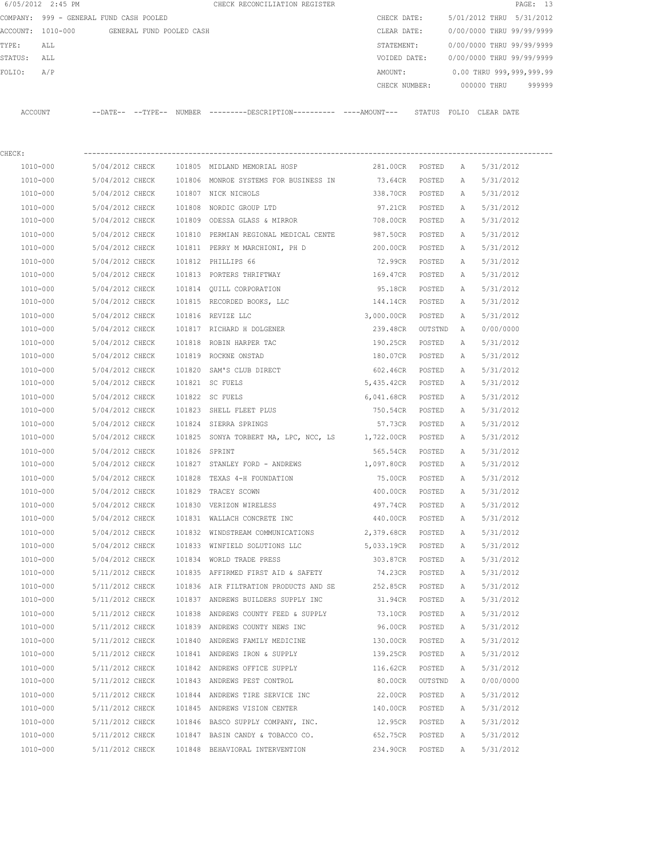|         | 6/05/2012 2:45 PM                       |                     |                          |        | CHECK RECONCILIATION REGISTER |             |               |       |             | PAGE: 13                  |  |
|---------|-----------------------------------------|---------------------|--------------------------|--------|-------------------------------|-------------|---------------|-------|-------------|---------------------------|--|
|         | COMPANY: 999 - GENERAL FUND CASH POOLED |                     |                          |        |                               | CHECK DATE: |               |       |             | 5/01/2012 THRU 5/31/2012  |  |
|         | ACCOUNT: 1010-000                       |                     | GENERAL FUND POOLED CASH |        |                               | CLEAR DATE: |               |       |             | 0/00/0000 THRU 99/99/9999 |  |
| TYPE:   | ALL                                     |                     |                          |        |                               | STATEMENT:  |               |       |             | 0/00/0000 THRU 99/99/9999 |  |
| STATUS: | ALL                                     |                     |                          |        |                               |             | VOIDED DATE:  |       |             | 0/00/0000 THRU 99/99/9999 |  |
| FOLIO:  | A/P                                     |                     |                          |        |                               | AMOUNT:     |               |       |             | 0.00 THRU 999,999,999.99  |  |
|         |                                         |                     |                          |        |                               |             | CHECK NUMBER: |       | 000000 THRU | 999999                    |  |
|         |                                         |                     |                          |        |                               |             |               |       |             |                           |  |
| ACCOUNT |                                         | $---DATE---TYPE---$ |                          | NUMBER |                               |             | STATUS        | FOLIO | CLEAR DATE  |                           |  |

| CHECK:   |                                     |               |                                                         |                   |         |              |           |
|----------|-------------------------------------|---------------|---------------------------------------------------------|-------------------|---------|--------------|-----------|
| 1010-000 |                                     |               | 5/04/2012 CHECK 101805 MIDLAND MEMORIAL HOSP            | 281.00CR POSTED   |         | A            | 5/31/2012 |
| 1010-000 |                                     |               | 5/04/2012 CHECK 101806 MONROE SYSTEMS FOR BUSINESS IN   | 73.64CR POSTED    |         | A            | 5/31/2012 |
| 1010-000 | 5/04/2012 CHECK 101807 NICK NICHOLS |               |                                                         | 338.70CR POSTED   |         | Α            | 5/31/2012 |
| 1010-000 |                                     |               | 5/04/2012 CHECK 101808 NORDIC GROUP LTD                 | 97.21CR POSTED    |         | Α            | 5/31/2012 |
| 1010-000 | 5/04/2012 CHECK                     |               | 101809 ODESSA GLASS & MIRROR                            | 708.00CR POSTED   |         | Α            | 5/31/2012 |
| 1010-000 | 5/04/2012 CHECK                     |               | 101810 PERMIAN REGIONAL MEDICAL CENTE                   | 987.50CR POSTED   |         | A            | 5/31/2012 |
| 1010-000 | 5/04/2012 CHECK                     |               | 101811 PERRY M MARCHIONI, PH D                          | 200.00CR POSTED   |         | A            | 5/31/2012 |
| 1010-000 | 5/04/2012 CHECK                     |               | 101812 PHILLIPS 66                                      | 72.99CR POSTED    |         | A            | 5/31/2012 |
| 1010-000 | 5/04/2012 CHECK                     |               | 101813 PORTERS THRIFTWAY                                | 169.47CR POSTED   |         | Α            | 5/31/2012 |
| 1010-000 | 5/04/2012 CHECK                     |               | 101814 OUILL CORPORATION                                | 95.18CR POSTED    |         | $\mathbb{A}$ | 5/31/2012 |
| 1010-000 | 5/04/2012 CHECK                     |               | 101815 RECORDED BOOKS, LLC                              | 144.14CR POSTED   |         | A            | 5/31/2012 |
| 1010-000 | 5/04/2012 CHECK                     |               | 101816 REVIZE LLC                                       | 3,000.00CR        | POSTED  | Α            | 5/31/2012 |
| 1010-000 | 5/04/2012 CHECK                     |               | 101817 RICHARD H DOLGENER                               | 239.48CR          | OUTSTND | Α            | 0/00/0000 |
| 1010-000 | 5/04/2012 CHECK                     |               | 101818 ROBIN HARPER TAC                                 | 190.25CR          | POSTED  | Α            | 5/31/2012 |
| 1010-000 | 5/04/2012 CHECK                     |               | 101819 ROCKNE ONSTAD                                    | 180.07CR POSTED   |         | A            | 5/31/2012 |
| 1010-000 | 5/04/2012 CHECK                     |               | 101820 SAM'S CLUB DIRECT                                | 602.46CR POSTED   |         | Α            | 5/31/2012 |
| 1010-000 | 5/04/2012 CHECK                     |               | 101821 SC FUELS                                         | 5,435.42CR POSTED |         | Α            | 5/31/2012 |
| 1010-000 | 5/04/2012 CHECK                     |               | 101822 SC FUELS                                         | 6,041.68CR POSTED |         | Α            | 5/31/2012 |
| 1010-000 | 5/04/2012 CHECK                     |               | 101823 SHELL FLEET PLUS                                 | 750.54CR POSTED   |         | Α            | 5/31/2012 |
| 1010-000 | 5/04/2012 CHECK                     |               | 101824 SIERRA SPRINGS                                   | 57.73CR POSTED    |         | A            | 5/31/2012 |
| 1010-000 | 5/04/2012 CHECK                     |               | 101825 SONYA TORBERT MA, LPC, NCC, LS 1,722.00CR POSTED |                   |         | A            | 5/31/2012 |
| 1010-000 | 5/04/2012 CHECK                     | 101826 SPRINT |                                                         | 565.54CR POSTED   |         | A            | 5/31/2012 |
| 1010-000 | 5/04/2012 CHECK                     |               | 101827 STANLEY FORD - ANDREWS                           | 1,097.80CR POSTED |         | A            | 5/31/2012 |
| 1010-000 | 5/04/2012 CHECK                     | 101828        | TEXAS 4-H FOUNDATION                                    | 75.00CR           | POSTED  | Α            | 5/31/2012 |
| 1010-000 | 5/04/2012 CHECK                     |               | 101829 TRACEY SCOWN                                     | 400.00CR          | POSTED  | Α            | 5/31/2012 |
| 1010-000 |                                     |               | 5/04/2012 CHECK 101830 VERIZON WIRELESS                 | 497.74CR          | POSTED  | A            | 5/31/2012 |
| 1010-000 |                                     |               | 5/04/2012 CHECK 101831 WALLACH CONCRETE INC             | 440.00CR POSTED   |         | Α            | 5/31/2012 |
| 1010-000 | 5/04/2012 CHECK                     |               | 101832 WINDSTREAM COMMUNICATIONS                        | 2,379.68CR POSTED |         | A            | 5/31/2012 |
| 1010-000 | 5/04/2012 CHECK                     |               | 101833 WINFIELD SOLUTIONS LLC                           | 5,033.19CR POSTED |         | Α            | 5/31/2012 |
| 1010-000 | 5/04/2012 CHECK                     |               | 101834 WORLD TRADE PRESS                                | 303.87CR POSTED   |         | Α            | 5/31/2012 |
| 1010-000 | 5/11/2012 CHECK                     |               | 101835 AFFIRMED FIRST AID & SAFETY                      | 74.23CR POSTED    |         | Α            | 5/31/2012 |
| 1010-000 | 5/11/2012 CHECK                     |               | 101836 AIR FILTRATION PRODUCTS AND SE                   | 252.85CR POSTED   |         | A            | 5/31/2012 |
| 1010-000 | 5/11/2012 CHECK                     |               | 101837 ANDREWS BUILDERS SUPPLY INC                      | 31.94CR POSTED    |         | A            | 5/31/2012 |
| 1010-000 | 5/11/2012 CHECK                     |               | 101838 ANDREWS COUNTY FEED & SUPPLY                     | 73.10CR           | POSTED  | Α            | 5/31/2012 |
| 1010-000 | 5/11/2012 CHECK                     |               | 101839 ANDREWS COUNTY NEWS INC                          | 96.00CR           | POSTED  | $\mathbb{A}$ | 5/31/2012 |
| 1010-000 | 5/11/2012 CHECK                     |               | 101840 ANDREWS FAMILY MEDICINE                          | 130.00CR          | POSTED  | Α            | 5/31/2012 |
| 1010-000 | 5/11/2012 CHECK                     |               | 101841 ANDREWS IRON & SUPPLY                            | 139.25CR          | POSTED  | Α            | 5/31/2012 |
| 1010-000 | 5/11/2012 CHECK                     |               | 101842 ANDREWS OFFICE SUPPLY                            | 116.62CR          | POSTED  | Α            | 5/31/2012 |
| 1010-000 | 5/11/2012 CHECK                     |               | 101843 ANDREWS PEST CONTROL                             | 80.00CR           | OUTSTND | Α            | 0/00/0000 |
| 1010-000 | 5/11/2012 CHECK                     |               | 101844 ANDREWS TIRE SERVICE INC                         | 22.00CR           | POSTED  | Α            | 5/31/2012 |
| 1010-000 | 5/11/2012 CHECK                     |               | 101845 ANDREWS VISION CENTER                            | 140.00CR          | POSTED  | Α            | 5/31/2012 |
| 1010-000 | 5/11/2012 CHECK                     |               | 101846 BASCO SUPPLY COMPANY, INC.                       | 12.95CR           | POSTED  | Α            | 5/31/2012 |
| 1010-000 | 5/11/2012 CHECK                     |               | 101847 BASIN CANDY & TOBACCO CO.                        | 652.75CR          | POSTED  | Α            | 5/31/2012 |
| 1010-000 | 5/11/2012 CHECK                     |               | 101848 BEHAVIORAL INTERVENTION                          | 234.90CR          | POSTED  | $\mathbb{A}$ | 5/31/2012 |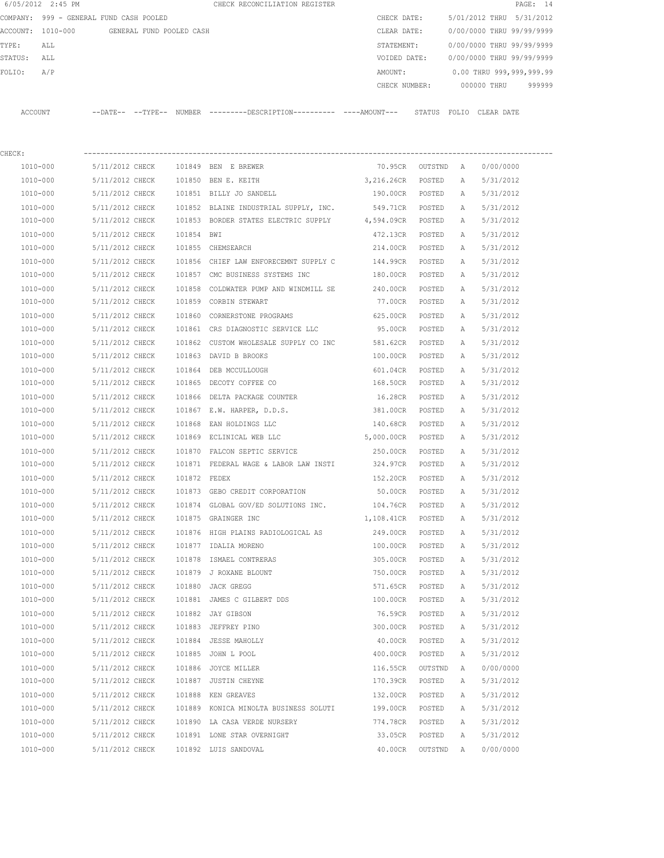| 5/01/2012 THRU 5/31/2012<br>COMPANY: 999 - GENERAL FUND CASH POOLED<br>CHECK DATE:<br>0/00/0000 THRU 99/99/9999<br>ACCOUNT: 1010-000<br>GENERAL FUND POOLED CASH<br>CLEAR DATE:<br>0/00/0000 THRU 99/99/9999<br>TYPE:<br>STATEMENT:<br>ALL<br>0/00/0000 THRU 99/99/9999<br>STATUS:<br>VOIDED DATE:<br>ALL<br>FOLIO:<br>A/P<br>0.00 THRU 999,999,999.99<br>AMOUNT:<br>999999<br>000000 THRU<br>CHECK NUMBER:<br>--DATE-- --TYPE-- NUMBER ---------DESCRIPTION--------- ----AMOUNT---<br>ACCOUNT<br>STATUS FOLIO CLEAR DATE | 6/05/2012 2:45 PM |  |  | CHECK RECONCILIATION REGISTER |  |  |  | PAGE: 14 |  |
|---------------------------------------------------------------------------------------------------------------------------------------------------------------------------------------------------------------------------------------------------------------------------------------------------------------------------------------------------------------------------------------------------------------------------------------------------------------------------------------------------------------------------|-------------------|--|--|-------------------------------|--|--|--|----------|--|
|                                                                                                                                                                                                                                                                                                                                                                                                                                                                                                                           |                   |  |  |                               |  |  |  |          |  |
|                                                                                                                                                                                                                                                                                                                                                                                                                                                                                                                           |                   |  |  |                               |  |  |  |          |  |
|                                                                                                                                                                                                                                                                                                                                                                                                                                                                                                                           |                   |  |  |                               |  |  |  |          |  |
|                                                                                                                                                                                                                                                                                                                                                                                                                                                                                                                           |                   |  |  |                               |  |  |  |          |  |
|                                                                                                                                                                                                                                                                                                                                                                                                                                                                                                                           |                   |  |  |                               |  |  |  |          |  |
|                                                                                                                                                                                                                                                                                                                                                                                                                                                                                                                           |                   |  |  |                               |  |  |  |          |  |
|                                                                                                                                                                                                                                                                                                                                                                                                                                                                                                                           |                   |  |  |                               |  |  |  |          |  |

| CHECK:       |                                        |        |                                                                              |                             |         |   |           |
|--------------|----------------------------------------|--------|------------------------------------------------------------------------------|-----------------------------|---------|---|-----------|
|              |                                        |        | 1010-000 5/11/2012 CHECK 101849 BEN E BREWER                                 | 70.95CR OUTSTND A 0/00/0000 |         |   |           |
| 1010-000     |                                        |        | 5/11/2012 CHECK 101850 BEN E. KEITH 3 3,216.26CR POSTED A                    |                             |         |   | 5/31/2012 |
| 1010-000     |                                        |        | 5/11/2012 CHECK 101851 BILLY JO SANDELL                                      | 190.00CR POSTED A           |         |   | 5/31/2012 |
| 1010-000     |                                        |        | 5/11/2012 CHECK 101852 BLAINE INDUSTRIAL SUPPLY, INC.                        | 549.71CR POSTED             |         | A | 5/31/2012 |
| 1010-000     |                                        |        | 5/11/2012 CHECK 101853 BORDER STATES ELECTRIC SUPPLY                         | 4,594.09CR POSTED A         |         |   | 5/31/2012 |
| 1010-000     | 5/11/2012 CHECK 101854 BWI             |        |                                                                              | 472.13CR POSTED             |         | A | 5/31/2012 |
| 1010-000     | 5/11/2012 CHECK 101855 CHEMSEARCH      |        |                                                                              | 214.00CR POSTED             |         | A | 5/31/2012 |
| 1010-000     |                                        |        | 5/11/2012 CHECK 101856 CHIEF LAW ENFORECEMNT SUPPLY C                        | 144.99CR POSTED             |         | A | 5/31/2012 |
| 1010-000     |                                        |        | 5/11/2012 CHECK 101857 CMC BUSINESS SYSTEMS INC                              | 180.00CR POSTED             |         | A | 5/31/2012 |
| 1010-000     |                                        |        | $5/11/2012$ CHECK $101858$ COLDWATER PUMP AND WINDMILL SE $240.00$ CR POSTED |                             |         | A | 5/31/2012 |
| 1010-000     | 5/11/2012 CHECK 101859 CORBIN STEWART  |        |                                                                              | 77.00CR POSTED              |         | A | 5/31/2012 |
| 1010-000     |                                        |        | 5/11/2012 CHECK 101860 CORNERSTONE PROGRAMS 625.00CR POSTED                  |                             |         | A | 5/31/2012 |
| 1010-000     |                                        |        | 5/11/2012 CHECK 101861 CRS DIAGNOSTIC SERVICE LLC 95.00CR POSTED             |                             |         | A | 5/31/2012 |
| 1010-000     |                                        |        | 5/11/2012 CHECK 101862 CUSTOM WHOLESALE SUPPLY CO INC 581.62CR POSTED        |                             |         | A | 5/31/2012 |
| 1010-000     | 5/11/2012 CHECK 101863 DAVID B BROOKS  |        |                                                                              | 100.00CR POSTED             |         | A | 5/31/2012 |
| 1010-000     | 5/11/2012 CHECK 101864 DEB MCCULLOUGH  |        |                                                                              | 601.04CR POSTED             |         | A | 5/31/2012 |
| 1010-000     |                                        |        | 5/11/2012 CHECK 101865 DECOTY COFFEE CO                                      | 168.50CR POSTED             |         | A | 5/31/2012 |
| 1010-000     |                                        |        | 5/11/2012 CHECK 101866 DELTA PACKAGE COUNTER                                 | 16.28CR POSTED              |         | A | 5/31/2012 |
| 1010-000     |                                        |        | 5/11/2012 CHECK 101867 E.W. HARPER, D.D.S.                                   | 381.00CR POSTED             |         | A | 5/31/2012 |
| 1010-000     |                                        |        | 5/11/2012 CHECK 101868 EAN HOLDINGS LLC                                      | 140.68CR POSTED             |         | A | 5/31/2012 |
| 1010-000     |                                        |        | 5/11/2012 CHECK 101869 ECLINICAL WEB LLC                                     | 5,000.00CR POSTED A         |         |   | 5/31/2012 |
| 1010-000     |                                        |        | 5/11/2012 CHECK 101870 FALCON SEPTIC SERVICE                                 | 250.00CR POSTED             |         | A | 5/31/2012 |
| 1010-000     |                                        |        | $5/11/2012$ CHECK 101871 FEDERAL WAGE & LABOR LAW INSTI 324.97CR POSTED A    |                             |         |   | 5/31/2012 |
| 1010-000     | 5/11/2012 CHECK 101872 FEDEX           |        |                                                                              | 152.20CR POSTED             |         | A | 5/31/2012 |
| 1010-000     |                                        |        | 5/11/2012 CHECK 101873 GEBO CREDIT CORPORATION 50.00CR POSTED                |                             |         | A | 5/31/2012 |
| 1010-000     |                                        |        | 5/11/2012 CHECK 101874 GLOBAL GOV/ED SOLUTIONS INC. 104.76CR POSTED          |                             |         | A | 5/31/2012 |
| 1010-000     | 5/11/2012 CHECK 101875 GRAINGER INC    |        |                                                                              | 1,108.41CR POSTED           |         | A | 5/31/2012 |
| 1010-000     |                                        |        | 5/11/2012 CHECK 101876 HIGH PLAINS RADIOLOGICAL AS                           | 249.00CR POSTED             |         | A | 5/31/2012 |
| 1010-000     | 5/11/2012 CHECK 101877 IDALIA MORENO   |        |                                                                              | 100.00CR POSTED             |         | A | 5/31/2012 |
| 1010-000     |                                        |        | 5/11/2012 CHECK 101878 ISMAEL CONTRERAS                                      | 305.00CR POSTED             |         | A | 5/31/2012 |
| 1010-000     | 5/11/2012 CHECK 101879 J ROXANE BLOUNT |        |                                                                              | 750.00CR POSTED             |         | A | 5/31/2012 |
| 1010-000     | 5/11/2012 CHECK 101880 JACK GREGG      |        |                                                                              | 571.65CR POSTED             |         | A | 5/31/2012 |
| 1010-000     |                                        |        | 5/11/2012 CHECK 101881 JAMES C GILBERT DDS                                   | 100.00CR POSTED A           |         |   | 5/31/2012 |
| 1010-000     | 5/11/2012 CHECK 101882 JAY GIBSON      |        |                                                                              | 76.59CR POSTED A            |         |   | 5/31/2012 |
| 1010-000     | 5/11/2012 CHECK 101883 JEFFREY PINO    |        |                                                                              | 300.00CR POSTED A           |         |   | 5/31/2012 |
| 1010-000     | 5/11/2012 CHECK                        | 101884 | JESSE MAHOLLY                                                                | 40.00CR                     | POSTED  | Α | 5/31/2012 |
| 1010-000     | 5/11/2012 CHECK                        |        | 101885 JOHN L POOL                                                           | 400.00CR                    | POSTED  | Α | 5/31/2012 |
| $1010 - 000$ | 5/11/2012 CHECK                        |        | 101886 JOYCE MILLER                                                          | 116.55CR                    | OUTSTND | Α | 0/00/0000 |
| 1010-000     | 5/11/2012 CHECK                        | 101887 | <b>JUSTIN CHEYNE</b>                                                         | 170.39CR                    | POSTED  | А | 5/31/2012 |
| 1010-000     | 5/11/2012 CHECK                        |        | 101888 KEN GREAVES                                                           | 132.00CR                    | POSTED  | Α | 5/31/2012 |
| 1010-000     | 5/11/2012 CHECK                        |        | 101889 KONICA MINOLTA BUSINESS SOLUTI                                        | 199.00CR                    | POSTED  | Α | 5/31/2012 |
| 1010-000     | 5/11/2012 CHECK                        |        | 101890 LA CASA VERDE NURSERY                                                 | 774.78CR                    | POSTED  | Α | 5/31/2012 |
| 1010-000     | 5/11/2012 CHECK                        |        | 101891 LONE STAR OVERNIGHT                                                   | 33.05CR                     | POSTED  | Α | 5/31/2012 |
| $1010 - 000$ | 5/11/2012 CHECK                        |        | 101892 LUIS SANDOVAL                                                         | 40.00CR                     | OUTSTND | Α | 0/00/0000 |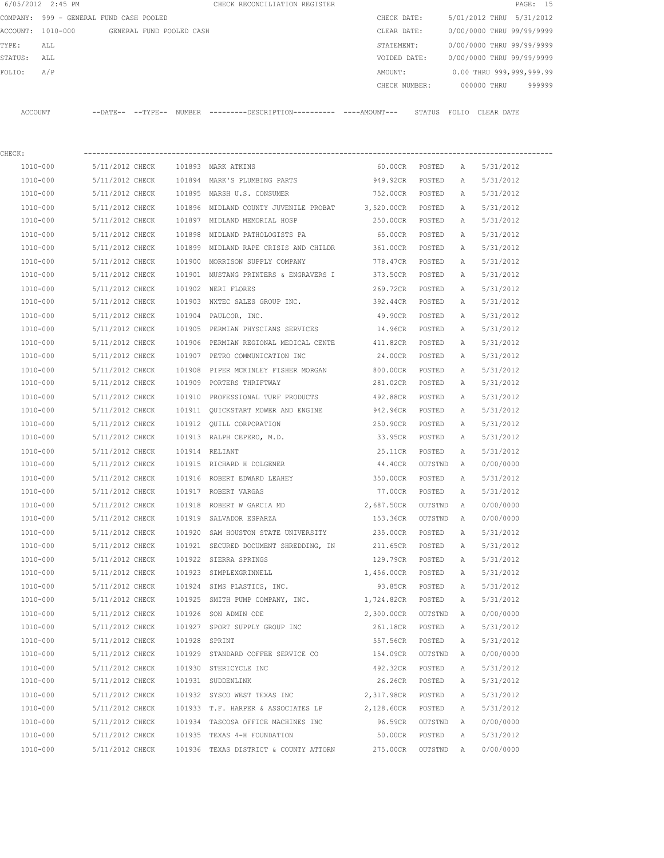|         | 6/05/2012 2:45 PM                       |                   |                          | CHECK RECONCILIATION REGISTER                 |  |               |        |                           |             | PAGE: 15 |        |  |
|---------|-----------------------------------------|-------------------|--------------------------|-----------------------------------------------|--|---------------|--------|---------------------------|-------------|----------|--------|--|
|         | COMPANY: 999 - GENERAL FUND CASH POOLED |                   |                          |                                               |  | CHECK DATE:   |        | 5/01/2012 THRU 5/31/2012  |             |          |        |  |
|         | ACCOUNT: 1010-000                       |                   | GENERAL FUND POOLED CASH |                                               |  | CLEAR DATE:   |        | 0/00/0000 THRU 99/99/9999 |             |          |        |  |
| TYPE:   | ALL                                     |                   |                          |                                               |  | STATEMENT:    |        | 0/00/0000 THRU 99/99/9999 |             |          |        |  |
| STATUS: | ALL                                     |                   |                          |                                               |  | VOIDED DATE:  |        | 0/00/0000 THRU 99/99/9999 |             |          |        |  |
| FOLIO:  | A/P                                     |                   |                          |                                               |  | AMOUNT:       |        | 0.00 THRU 999,999,999.99  |             |          |        |  |
|         |                                         |                   |                          |                                               |  | CHECK NUMBER: |        |                           | 000000 THRU |          | 999999 |  |
|         |                                         |                   |                          |                                               |  |               |        |                           |             |          |        |  |
| ACCOUNT |                                         | --DATE-- --TYPE-- | NUMBER                   | ---------DESCRIPTION----------- ----AMOUNT--- |  |               | STATUS | FOLTO                     | CLEAR DATE  |          |        |  |

| CHECK:               |                                             |                |                                                                         |                                  |         |              |                        |
|----------------------|---------------------------------------------|----------------|-------------------------------------------------------------------------|----------------------------------|---------|--------------|------------------------|
|                      | 1010-000 5/11/2012 CHECK 101893 MARK ATKINS |                |                                                                         | 60.00CR POSTED A                 |         |              | 5/31/2012              |
| 1010-000             |                                             |                | 5/11/2012 CHECK 101894 MARK'S PLUMBING PARTS 949.92CR                   |                                  | POSTED  | A            | 5/31/2012              |
| 1010-000             |                                             |                | 5/11/2012 CHECK 101895 MARSH U.S. CONSUMER                              | 752.00CR POSTED                  |         | $\mathbb{A}$ | 5/31/2012              |
| 1010-000             |                                             |                | 5/11/2012 CHECK 101896 MIDLAND COUNTY JUVENILE PROBAT 3,520.00CR POSTED |                                  |         | A            | 5/31/2012              |
| 1010-000             |                                             |                | 5/11/2012 CHECK 101897 MIDLAND MEMORIAL HOSP                            | 250.00CR POSTED                  |         | A            | 5/31/2012              |
| 1010-000             | 5/11/2012 CHECK                             |                | 101898 MIDLAND PATHOLOGISTS PA                                          | 65.00CR POSTED                   |         | A            | 5/31/2012              |
| 1010-000             | 5/11/2012 CHECK                             |                | 101899 MIDLAND RAPE CRISIS AND CHILDR 361.00CR POSTED                   |                                  |         | A            | 5/31/2012              |
| 1010-000             | 5/11/2012 CHECK                             |                | 101900 MORRISON SUPPLY COMPANY 778.47CR POSTED                          |                                  |         | A            | 5/31/2012              |
| 1010-000             | 5/11/2012 CHECK                             |                | 101901 MUSTANG PRINTERS & ENGRAVERS I 373.50CR POSTED                   |                                  |         | A            | 5/31/2012              |
| 1010-000             | 5/11/2012 CHECK                             |                | 101902 NERI FLORES                                                      | 269.72CR POSTED                  |         | A            | 5/31/2012              |
| 1010-000             |                                             |                | 5/11/2012 CHECK 101903 NXTEC SALES GROUP INC. 392.44CR POSTED           |                                  |         | A            | 5/31/2012              |
| 1010-000             | 5/11/2012 CHECK                             |                | 101904 PAULCOR, INC.                                                    | 49.90CR POSTED                   |         | Α            | 5/31/2012              |
| 1010-000             |                                             |                | 5/11/2012 CHECK 101905 PERMIAN PHYSCIANS SERVICES 14.96CR POSTED        |                                  |         | A            | 5/31/2012              |
| 1010-000             | 5/11/2012 CHECK                             |                | 101906 PERMIAN REGIONAL MEDICAL CENTE 411.82CR POSTED                   |                                  |         | Α            | 5/31/2012              |
| 1010-000             |                                             |                | 5/11/2012 CHECK 101907 PETRO COMMUNICATION INC                          | 24.00CR POSTED                   |         | Α            | 5/31/2012              |
| 1010-000             | 5/11/2012 CHECK                             |                | 101908 PIPER MCKINLEY FISHER MORGAN 600.00CR POSTED                     |                                  |         | A            | 5/31/2012              |
| 1010-000             | 5/11/2012 CHECK                             |                | 101909 PORTERS THRIFTWAY                                                | 281.02CR POSTED                  |         | A            | 5/31/2012              |
| 1010-000             | 5/11/2012 CHECK                             |                | 101910 PROFESSIONAL TURF PRODUCTS 492.88CR POSTED                       |                                  |         | A            | 5/31/2012              |
| 1010-000             | 5/11/2012 CHECK                             |                | 101911 QUICKSTART MOWER AND ENGINE 942.96CR POSTED                      |                                  |         | A            | 5/31/2012              |
| 1010-000             | 5/11/2012 CHECK                             |                | 101912 QUILL CORPORATION 250.90CR POSTED                                |                                  |         | A            | 5/31/2012              |
| 1010-000             | 5/11/2012 CHECK                             |                | 101913 RALPH CEPERO, M.D. 33.95CR                                       |                                  | POSTED  | Α            | 5/31/2012              |
| 1010-000             | 5/11/2012 CHECK                             | 101914 RELIANT |                                                                         | 25.11CR                          | POSTED  | Α            | 5/31/2012              |
| 1010-000             | 5/11/2012 CHECK                             |                | 101915 RICHARD H DOLGENER THE SALE RESERVED AT A 40 CR                  |                                  | OUTSTND | A            | 0/00/0000              |
| 1010-000             | 5/11/2012 CHECK                             |                | 101916 ROBERT EDWARD LEAHEY 6 850.00CR                                  |                                  | POSTED  | Α            | 5/31/2012              |
| 1010-000             | 5/11/2012 CHECK                             |                | 101917 ROBERT VARGAS                                                    | 77.00CR                          | POSTED  | Α            | 5/31/2012              |
| 1010-000             | 5/11/2012 CHECK                             |                | 101918 ROBERT W GARCIA MD                                               | 2,687.50CR                       | OUTSTND | A            | 0/00/0000              |
| 1010-000             | 5/11/2012 CHECK                             |                | 101919 SALVADOR ESPARZA                                                 | 153.36CR OUTSTND                 |         | A            | 0/00/0000              |
| 1010-000             |                                             |                | 5/11/2012 CHECK 101920 SAM HOUSTON STATE UNIVERSITY                     | 235.00CR POSTED                  |         | Α            | 5/31/2012              |
| 1010-000             |                                             |                | 5/11/2012 CHECK 101921 SECURED DOCUMENT SHREDDING, IN                   | 211.65CR POSTED                  |         | A            | 5/31/2012              |
| 1010-000             | 5/11/2012 CHECK                             |                | 101922 SIERRA SPRINGS                                                   | 129.79CR POSTED                  |         | A            | 5/31/2012              |
| 1010-000             | 5/11/2012 CHECK                             |                | 101923 SIMPLEXGRINNELL                                                  | 1,456.00CR POSTED                |         | A            | 5/31/2012              |
| 1010-000             | 5/11/2012 CHECK                             |                | 101924 SIMS PLASTICS, INC.                                              | 93.85CR POSTED                   |         | A            | 5/31/2012              |
| 1010-000             |                                             |                | 5/11/2012 CHECK 101925 SMITH PUMP COMPANY, INC. 1,724.82CR POSTED       |                                  |         | A            | 5/31/2012              |
|                      |                                             |                |                                                                         |                                  |         |              |                        |
| 1010-000<br>1010-000 | 5/11/2012 CHECK<br>5/11/2012 CHECK          |                | 101926 SON ADMIN ODE<br>101927 SPORT SUPPLY GROUP INC                   | 2,300.00CR OUTSTND A<br>261.18CR | POSTED  |              | 0/00/0000<br>5/31/2012 |
|                      |                                             |                |                                                                         |                                  |         | Α            |                        |
| 1010-000             | 5/11/2012 CHECK                             |                | 101928 SPRINT                                                           | 557.56CR                         | POSTED  | Α            | 5/31/2012              |
| 1010-000             | 5/11/2012 CHECK                             |                | 101929 STANDARD COFFEE SERVICE CO                                       | 154.09CR                         | OUTSTND | Α            | 0/00/0000              |
| 1010-000             | 5/11/2012 CHECK                             |                | 101930 STERICYCLE INC                                                   | 492.32CR                         | POSTED  | Α            | 5/31/2012              |
| 1010-000             | 5/11/2012 CHECK                             |                | 101931 SUDDENLINK                                                       | 26.26CR                          | POSTED  | Α            | 5/31/2012              |
| 1010-000             | 5/11/2012 CHECK                             |                | 101932 SYSCO WEST TEXAS INC                                             | 2,317.98CR                       | POSTED  | Α            | 5/31/2012              |
| 1010-000             | 5/11/2012 CHECK                             |                | 101933 T.F. HARPER & ASSOCIATES LP                                      | 2,128.60CR                       | POSTED  | Α            | 5/31/2012              |
| 1010-000             | 5/11/2012 CHECK                             |                | 101934 TASCOSA OFFICE MACHINES INC                                      | 96.59CR                          | OUTSTND | A            | 0/00/0000              |
| 1010-000             | 5/11/2012 CHECK                             |                | 101935 TEXAS 4-H FOUNDATION                                             | 50.00CR                          | POSTED  | Α            | 5/31/2012              |
| 1010-000             | 5/11/2012 CHECK                             |                | 101936 TEXAS DISTRICT & COUNTY ATTORN                                   | 275.00CR                         | OUTSTND | A            | 0/00/0000              |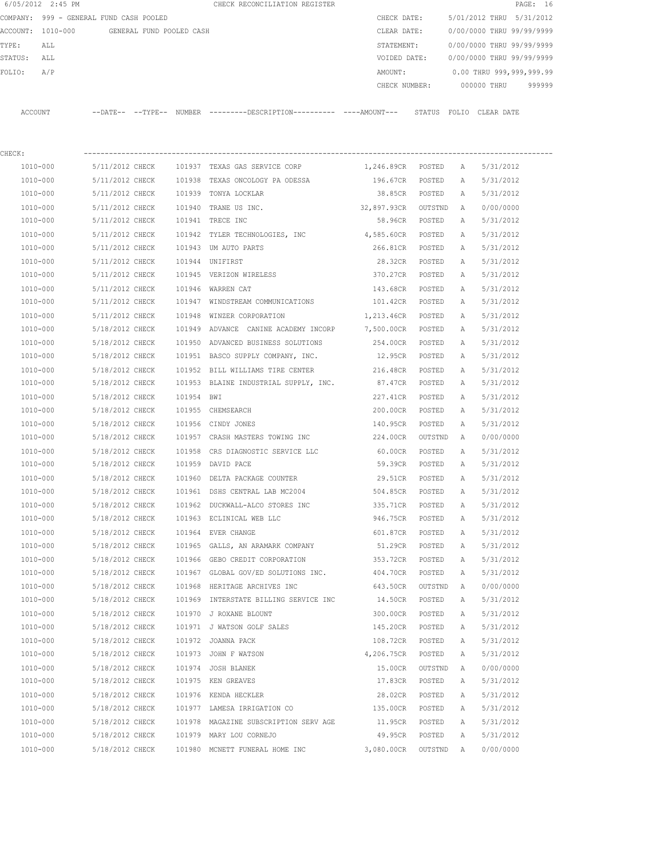|             | 6/05/2012 2:45 PM                          |                 |            | CHECK RECONCILIATION REGISTER                                                              |                     |                |              |                           | PAGE: 16 |
|-------------|--------------------------------------------|-----------------|------------|--------------------------------------------------------------------------------------------|---------------------|----------------|--------------|---------------------------|----------|
|             | COMPANY: 999 - GENERAL FUND CASH POOLED    |                 |            |                                                                                            | CHECK DATE:         |                |              | 5/01/2012 THRU 5/31/2012  |          |
|             | ACCOUNT: 1010-000 GENERAL FUND POOLED CASH |                 |            |                                                                                            | CLEAR DATE:         |                |              | 0/00/0000 THRU 99/99/9999 |          |
| TYPE:       | ALL                                        |                 |            |                                                                                            | STATEMENT:          |                |              | 0/00/0000 THRU 99/99/9999 |          |
| STATUS: ALL |                                            |                 |            |                                                                                            | VOIDED DATE:        |                |              | 0/00/0000 THRU 99/99/9999 |          |
| FOLIO:      | A/P                                        |                 |            |                                                                                            | AMOUNT:             |                |              | 0.00 THRU 999,999,999.99  |          |
|             |                                            |                 |            |                                                                                            | CHECK NUMBER:       |                |              | 000000 THRU               | 999999   |
|             | ACCOUNT                                    |                 |            | --DATE-- --TYPE-- NUMBER --------DESCRIPTION--------- ----AMOUNT--- STATUS FOLIO CLEARDATE |                     |                |              |                           |          |
| CHECK:      |                                            |                 |            |                                                                                            |                     |                |              |                           |          |
|             | 1010-000                                   | 5/11/2012 CHECK |            | 101937 TEXAS GAS SERVICE CORP                                                              | 1,246.89CR POSTED   |                | A            | 5/31/2012                 |          |
|             | 1010-000                                   | 5/11/2012 CHECK |            | 101938 TEXAS ONCOLOGY PA ODESSA                                                            | 196.67CR POSTED     |                | А            | 5/31/2012                 |          |
|             | 1010-000                                   | 5/11/2012 CHECK |            | 101939 TONYA LOCKLAR                                                                       | 38.85CR POSTED      |                | А            | 5/31/2012                 |          |
|             | 1010-000                                   | 5/11/2012 CHECK |            | 101940 TRANE US INC.                                                                       | 32,897.93CR OUTSTND |                | A            | 0/00/0000                 |          |
|             | 1010-000                                   | 5/11/2012 CHECK |            | 101941 TRECE INC                                                                           |                     | 58.96CR POSTED | A            | 5/31/2012                 |          |
|             | 1010-000                                   | 5/11/2012 CHECK |            | 101942 TYLER TECHNOLOGIES, INC                                                             | 4,585.60CR POSTED   |                | Α            | 5/31/2012                 |          |
|             | 1010-000                                   | 5/11/2012 CHECK |            | 101943 UM AUTO PARTS                                                                       | 266.81CR POSTED     |                | A            | 5/31/2012                 |          |
|             | 1010-000                                   | 5/11/2012 CHECK |            | 101944 UNIFIRST                                                                            | 28.32CR POSTED      |                | A            | 5/31/2012                 |          |
|             | 1010-000                                   | 5/11/2012 CHECK |            | 101945 VERIZON WIRELESS                                                                    | 370.27CR POSTED     |                | A            | 5/31/2012                 |          |
|             | 1010-000                                   | 5/11/2012 CHECK |            | 101946 WARREN CAT                                                                          | 143.68CR            | POSTED         | Α            | 5/31/2012                 |          |
|             | 1010-000                                   | 5/11/2012 CHECK |            | 101947 WINDSTREAM COMMUNICATIONS                                                           | 101.42CR POSTED     |                | A            | 5/31/2012                 |          |
|             | 1010-000                                   | 5/11/2012 CHECK |            | 101948 WINZER CORPORATION                                                                  | 1,213.46CR POSTED   |                | A            | 5/31/2012                 |          |
|             | 1010-000                                   | 5/18/2012 CHECK |            | 101949 ADVANCE CANINE ACADEMY INCORP 7,500.00CR POSTED                                     |                     |                | $\mathbb{A}$ | 5/31/2012                 |          |
|             | 1010-000                                   | 5/18/2012 CHECK |            | 101950 ADVANCED BUSINESS SOLUTIONS                                                         | 254.00CR POSTED     |                | Α            | 5/31/2012                 |          |
|             | 1010-000                                   | 5/18/2012 CHECK |            | 101951 BASCO SUPPLY COMPANY, INC.                                                          | 12.95CR             | POSTED         | А            | 5/31/2012                 |          |
|             | 1010-000                                   | 5/18/2012 CHECK |            | 101952 BILL WILLIAMS TIRE CENTER                                                           | 216.48CR            | POSTED         | Α            | 5/31/2012                 |          |
|             | 1010-000                                   | 5/18/2012 CHECK |            | 101953 BLAINE INDUSTRIAL SUPPLY, INC.                                                      | 87.47CR             | POSTED         | Α            | 5/31/2012                 |          |
|             | 1010-000                                   | 5/18/2012 CHECK | 101954 BWI |                                                                                            | 227.41CR            | POSTED         | A            | 5/31/2012                 |          |
|             | 1010-000                                   | 5/18/2012 CHECK |            | 101955 CHEMSEARCH                                                                          | 200.00CR            | POSTED         | Α            | 5/31/2012                 |          |
|             | 1010-000                                   | 5/18/2012 CHECK |            | 101956 CINDY JONES                                                                         | 140.95CR            | POSTED         | Α            | 5/31/2012                 |          |
|             | 1010-000                                   | 5/18/2012 CHECK |            | 101957 CRASH MASTERS TOWING INC                                                            | 224.00CR            | OUTSTND        | A            | 0/00/0000                 |          |
|             | 1010-000                                   | 5/18/2012 CHECK | 101958     | CRS DIAGNOSTIC SERVICE LLC                                                                 | 60.00CR             | POSTED         | A            | 5/31/2012                 |          |
|             | 1010-000                                   | 5/18/2012 CHECK |            | 101959 DAVID PACE                                                                          | 59.39CR             | POSTED         | A            | 5/31/2012                 |          |
|             | 1010-000                                   | 5/18/2012 CHECK |            | 101960 DELTA PACKAGE COUNTER                                                               | 29.51CR             | POSTED         | $\mathbb{A}$ | 5/31/2012                 |          |
|             | 1010-000                                   | 5/18/2012 CHECK |            | 101961 DSHS CENTRAL LAB MC2004                                                             | 504.85CR            | POSTED         | Α            | 5/31/2012                 |          |
|             | 1010-000                                   | 5/18/2012 CHECK |            | 101962 DUCKWALL-ALCO STORES INC                                                            | 335.71CR            | POSTED         | Α            | 5/31/2012                 |          |
|             | 1010-000                                   | 5/18/2012 CHECK |            | 101963 ECLINICAL WEB LLC                                                                   | 946.75CR            | POSTED         | Α            | 5/31/2012                 |          |
|             | 1010-000                                   | 5/18/2012 CHECK |            | 101964 EVER CHANGE                                                                         | 601.87CR            | POSTED         | Α            | 5/31/2012                 |          |
|             | 1010-000                                   | 5/18/2012 CHECK |            | 101965 GALLS, AN ARAMARK COMPANY                                                           | 51.29CR             | POSTED         | Α            | 5/31/2012                 |          |
|             | 1010-000                                   | 5/18/2012 CHECK |            | 101966 GEBO CREDIT CORPORATION                                                             | 353.72CR            | POSTED         | Α            | 5/31/2012                 |          |
|             | 1010-000                                   | 5/18/2012 CHECK |            | 101967 GLOBAL GOV/ED SOLUTIONS INC.                                                        | 404.70CR            | POSTED         | Α            | 5/31/2012                 |          |
|             | 1010-000                                   | 5/18/2012 CHECK |            | 101968 HERITAGE ARCHIVES INC                                                               | 643.50CR            | OUTSTND        | Α            | 0/00/0000                 |          |
|             | 1010-000                                   | 5/18/2012 CHECK |            | 101969 INTERSTATE BILLING SERVICE INC                                                      | 14.50CR             | POSTED         | А            | 5/31/2012                 |          |
|             | 1010-000                                   | 5/18/2012 CHECK |            | 101970 J ROXANE BLOUNT                                                                     | 300.00CR            | POSTED         | Α            | 5/31/2012                 |          |
|             | 1010-000                                   | 5/18/2012 CHECK |            | 101971 J WATSON GOLF SALES                                                                 | 145.20CR            | POSTED         | Α            | 5/31/2012                 |          |
|             | 1010-000                                   | 5/18/2012 CHECK |            | 101972 JOANNA PACK                                                                         | 108.72CR            | POSTED         | Α            | 5/31/2012                 |          |
|             | 1010-000                                   | 5/18/2012 CHECK |            | 101973 JOHN F WATSON                                                                       | 4,206.75CR          | POSTED         | Α            | 5/31/2012                 |          |
|             | 1010-000                                   | 5/18/2012 CHECK |            | 101974 JOSH BLANEK                                                                         | 15.00CR             | OUTSTND        | Α            | 0/00/0000                 |          |
|             | 1010-000                                   | 5/18/2012 CHECK |            | 101975 KEN GREAVES                                                                         | 17.83CR             | POSTED         | Α            | 5/31/2012                 |          |
|             | 1010-000                                   | 5/18/2012 CHECK |            | 101976 KENDA HECKLER                                                                       | 28.02CR             | POSTED         | Α            | 5/31/2012                 |          |
|             | 1010-000                                   | 5/18/2012 CHECK |            | 101977 LAMESA IRRIGATION CO                                                                | 135.00CR            | POSTED         | Α            | 5/31/2012                 |          |
|             | 1010-000                                   | 5/18/2012 CHECK |            | 101978 MAGAZINE SUBSCRIPTION SERV AGE                                                      | 11.95CR             | POSTED         | Α            | 5/31/2012                 |          |
|             | 1010-000                                   | 5/18/2012 CHECK |            | 101979 MARY LOU CORNEJO                                                                    | 49.95CR             | POSTED         | Α            | 5/31/2012                 |          |
|             | 1010-000                                   | 5/18/2012 CHECK |            | 101980 MCNETT FUNERAL HOME INC                                                             | 3,080.00CR          | OUTSTND        | Α            | 0/00/0000                 |          |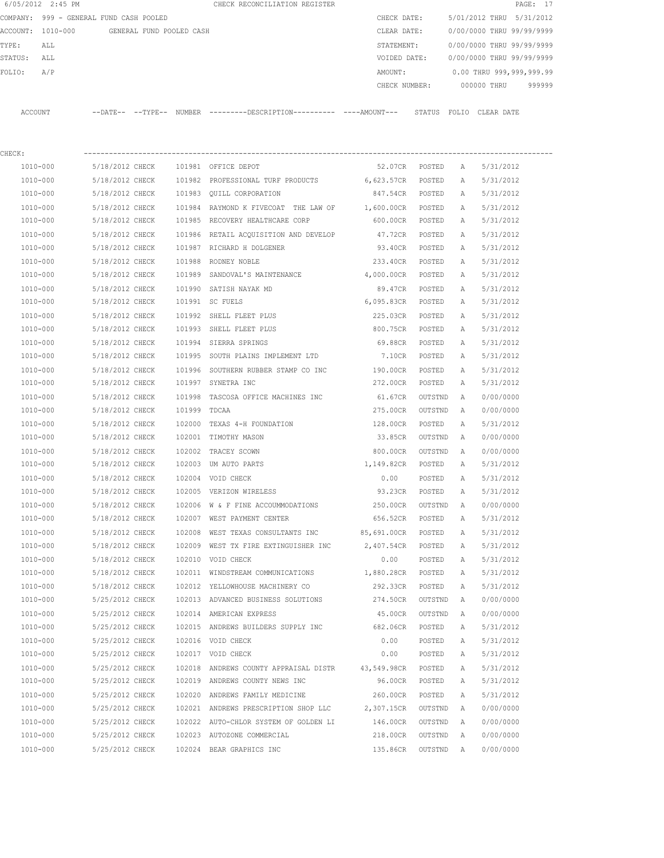|          | 6/05/2012 2:45 PM              |                            |                          | CHECK RECONCILIATION REGISTER |               |       |                           | PAGE: 17 |  |
|----------|--------------------------------|----------------------------|--------------------------|-------------------------------|---------------|-------|---------------------------|----------|--|
| COMPANY: | 999 - GENERAL FUND CASH POOLED |                            |                          |                               | CHECK DATE:   |       | 5/01/2012 THRU 5/31/2012  |          |  |
|          | ACCOUNT: 1010-000              |                            | GENERAL FUND POOLED CASH |                               | CLEAR DATE:   |       | 0/00/0000 THRU 99/99/9999 |          |  |
| TYPE:    | ALL                            |                            |                          |                               | STATEMENT:    |       | 0/00/0000 THRU 99/99/9999 |          |  |
| STATUS:  | ALL                            |                            |                          |                               | VOIDED DATE:  |       | 0/00/0000 THRU 99/99/9999 |          |  |
| FOLIO:   | A/P                            |                            |                          |                               | AMOUNT:       |       | 0.00 THRU 999,999,999.99  |          |  |
|          |                                |                            |                          |                               | CHECK NUMBER: |       | 000000 THRU               | 999999   |  |
|          |                                |                            |                          |                               |               |       |                           |          |  |
| ACCOUNT  |                                | $--$ DATE $- --$ TYPE $--$ | <b>NUMBER</b>            |                               | STATUS        | FOLTO | CLEAR DATE                |          |  |
|          |                                |                            |                          |                               |               |       |                           |          |  |

| CHECK:       |                          |              |                                                        |                   |         |              |           |
|--------------|--------------------------|--------------|--------------------------------------------------------|-------------------|---------|--------------|-----------|
|              | 1010-000 5/18/2012 CHECK |              | 101981 OFFICE DEPOT                                    | 52.07CR POSTED    |         | A            | 5/31/2012 |
| 1010-000     | 5/18/2012 CHECK          |              | 101982 PROFESSIONAL TURF PRODUCTS 6,623.57CR POSTED    |                   |         | Α            | 5/31/2012 |
| 1010-000     | 5/18/2012 CHECK          |              | 101983 QUILL CORPORATION                               | 847.54CR POSTED   |         | Α            | 5/31/2012 |
| 1010-000     | 5/18/2012 CHECK          |              | 101984 RAYMOND K FIVECOAT THE LAW OF 1,600.00CR POSTED |                   |         | Α            | 5/31/2012 |
| 1010-000     | 5/18/2012 CHECK          |              | 101985 RECOVERY HEALTHCARE CORP                        | 600.00CR POSTED   |         | A            | 5/31/2012 |
| 1010-000     | 5/18/2012 CHECK          |              | 101986 RETAIL ACQUISITION AND DEVELOP                  | 47.72CR POSTED    |         | Α            | 5/31/2012 |
| 1010-000     | 5/18/2012 CHECK          |              | 101987 RICHARD H DOLGENER                              | 93.40CR POSTED    |         | Α            | 5/31/2012 |
| 1010-000     | 5/18/2012 CHECK          |              | 101988 RODNEY NOBLE                                    | 233.40CR          | POSTED  | А            | 5/31/2012 |
| 1010-000     | 5/18/2012 CHECK          |              | 101989 SANDOVAL'S MAINTENANCE                          | 4,000.00CR        | POSTED  | А            | 5/31/2012 |
| 1010-000     | 5/18/2012 CHECK          |              | 101990 SATISH NAYAK MD                                 | 89.47CR           | POSTED  | Α            | 5/31/2012 |
| 1010-000     | 5/18/2012 CHECK          |              | 101991 SC FUELS                                        | 6,095.83CR        | POSTED  | Α            | 5/31/2012 |
| 1010-000     | 5/18/2012 CHECK          |              | 101992 SHELL FLEET PLUS                                | 225.03CR          | POSTED  | Α            | 5/31/2012 |
| 1010-000     | 5/18/2012 CHECK          |              | 101993 SHELL FLEET PLUS 800.75CR                       |                   | POSTED  | Α            | 5/31/2012 |
| 1010-000     | 5/18/2012 CHECK          |              | 101994 SIERRA SPRINGS                                  | 69.88CR           | POSTED  | Α            | 5/31/2012 |
| 1010-000     | 5/18/2012 CHECK          |              | 101995 SOUTH PLAINS IMPLEMENT LTD 7.10CR               |                   | POSTED  | A            | 5/31/2012 |
| 1010-000     | 5/18/2012 CHECK          |              | 101996 SOUTHERN RUBBER STAMP CO INC                    | 190.00CR          | POSTED  | A            | 5/31/2012 |
| 1010-000     | 5/18/2012 CHECK          |              | 101997 SYNETRA INC                                     | 272.00CR          | POSTED  | Α            | 5/31/2012 |
| 1010-000     | 5/18/2012 CHECK          |              | 101998 TASCOSA OFFICE MACHINES INC                     | 61.67CR           | OUTSTND | A            | 0/00/0000 |
| 1010-000     | 5/18/2012 CHECK          | 101999 TDCAA |                                                        | 275.00CR          | OUTSTND | <b>A</b>     | 0/00/0000 |
| 1010-000     | 5/18/2012 CHECK          |              | 102000 TEXAS 4-H FOUNDATION                            | 128.00CR          | POSTED  | Α            | 5/31/2012 |
| 1010-000     | 5/18/2012 CHECK          |              | 102001 TIMOTHY MASON                                   | 33.85CR           | OUTSTND | A            | 0/00/0000 |
| 1010-000     | 5/18/2012 CHECK          |              | 102002 TRACEY SCOWN                                    | 800.00CR          | OUTSTND | A            | 0/00/0000 |
| 1010-000     | 5/18/2012 CHECK          |              | 102003 UM AUTO PARTS 1,149.82CR                        |                   | POSTED  | Α            | 5/31/2012 |
| 1010-000     | 5/18/2012 CHECK          |              | 102004 VOID CHECK                                      | 0.00              | POSTED  | Α            | 5/31/2012 |
| 1010-000     | 5/18/2012 CHECK          |              | 102005 VERIZON WIRELESS                                | 93.23CR           | POSTED  | Α            | 5/31/2012 |
| 1010-000     | 5/18/2012 CHECK          |              | 102006 W & F FINE ACCOUMMODATIONS 250.00CR             |                   | OUTSTND | A            | 0/00/0000 |
| 1010-000     | 5/18/2012 CHECK          |              | 102007 WEST PAYMENT CENTER                             | 656.52CR POSTED   |         | Α            | 5/31/2012 |
| 1010-000     | 5/18/2012 CHECK          |              | 102008 WEST TEXAS CONSULTANTS INC 85,691.00CR          |                   | POSTED  | Α            | 5/31/2012 |
| 1010-000     | 5/18/2012 CHECK          |              | 102009 WEST TX FIRE EXTINGUISHER INC                   | 2,407.54CR POSTED |         | $\mathbb{A}$ | 5/31/2012 |
| 1010-000     | 5/18/2012 CHECK          |              | 102010 VOID CHECK                                      | 0.00              | POSTED  | Α            | 5/31/2012 |
| 1010-000     | 5/18/2012 CHECK          |              | 102011 WINDSTREAM COMMUNICATIONS                       | 1,880.28CR POSTED |         | Α            | 5/31/2012 |
| 1010-000     | 5/18/2012 CHECK          |              | 102012 YELLOWHOUSE MACHINERY CO                        | 292.33CR          | POSTED  | A            | 5/31/2012 |
| 1010-000     | 5/25/2012 CHECK          |              | 102013 ADVANCED BUSINESS SOLUTIONS 274.50CR OUTSTND    |                   |         | A            | 0/00/0000 |
| $1010 - 000$ | 5/25/2012 CHECK          |              | 102014 AMERICAN EXPRESS                                | 45.00CR           | OUTSTND | <b>A</b>     | 0/00/0000 |
| 1010-000     | 5/25/2012 CHECK          |              | 102015 ANDREWS BUILDERS SUPPLY INC                     | 682.06CR          | POSTED  | $\mathbb{A}$ | 5/31/2012 |
| 1010-000     | 5/25/2012 CHECK          |              | 102016 VOID CHECK                                      | 0.00              | POSTED  | Α            | 5/31/2012 |
| 1010-000     | 5/25/2012 CHECK          |              | 102017 VOID CHECK                                      | 0.00              | POSTED  | Α            | 5/31/2012 |
| 1010-000     | 5/25/2012 CHECK          |              | 102018 ANDREWS COUNTY APPRAISAL DISTR                  | 43,549.98CR       | POSTED  | Α            | 5/31/2012 |
| 1010-000     | 5/25/2012 CHECK          |              | 102019 ANDREWS COUNTY NEWS INC                         | 96.00CR           | POSTED  | Α            | 5/31/2012 |
| 1010-000     | 5/25/2012 CHECK          |              | 102020 ANDREWS FAMILY MEDICINE                         | 260.00CR          | POSTED  | Α            | 5/31/2012 |
| 1010-000     | 5/25/2012 CHECK          |              | 102021 ANDREWS PRESCRIPTION SHOP LLC                   | 2,307.15CR        | OUTSTND | Α            | 0/00/0000 |
| 1010-000     | 5/25/2012 CHECK          |              | 102022 AUTO-CHLOR SYSTEM OF GOLDEN LI                  | 146.00CR          | OUTSTND | A            | 0/00/0000 |
| 1010-000     | 5/25/2012 CHECK          |              | 102023 AUTOZONE COMMERCIAL                             | 218.00CR          | OUTSTND | Α            | 0/00/0000 |
| 1010-000     | 5/25/2012 CHECK          |              | 102024 BEAR GRAPHICS INC                               | 135.86CR          | OUTSTND | A            | 0/00/0000 |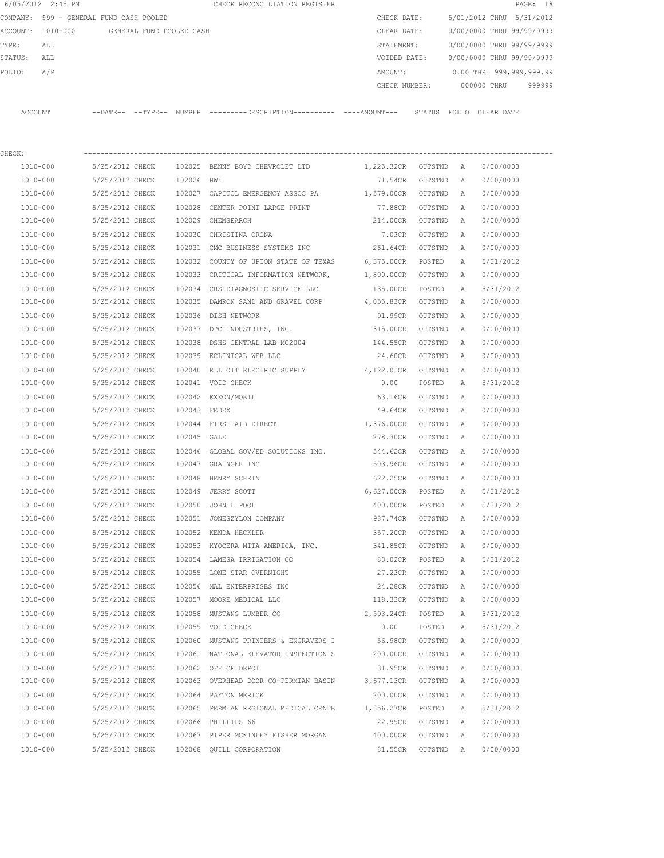| 6/05/2012 2:45 PM |                                            |              | CHECK RECONCILIATION REGISTER                                                                 |                      |         |   |                           | PAGE: 18 |
|-------------------|--------------------------------------------|--------------|-----------------------------------------------------------------------------------------------|----------------------|---------|---|---------------------------|----------|
|                   | COMPANY: 999 - GENERAL FUND CASH POOLED    |              |                                                                                               | CHECK DATE:          |         |   | 5/01/2012 THRU 5/31/2012  |          |
|                   | ACCOUNT: 1010-000 GENERAL FUND POOLED CASH |              |                                                                                               | CLEAR DATE:          |         |   | 0/00/0000 THRU 99/99/9999 |          |
| TYPE:<br>ALL      |                                            |              |                                                                                               | STATEMENT:           |         |   | 0/00/0000 THRU 99/99/9999 |          |
| STATUS:<br>ALL    |                                            |              |                                                                                               | VOIDED DATE:         |         |   | 0/00/0000 THRU 99/99/9999 |          |
| FOLIO:<br>A/P     |                                            |              |                                                                                               | AMOUNT:              |         |   | 0.00 THRU 999,999,999.99  |          |
|                   |                                            |              |                                                                                               |                      |         |   | CHECK NUMBER: 000000 THRU | 999999   |
| ACCOUNT           |                                            |              | --DATE-- --TYPE-- NUMBER ---------DESCRIPTION---------- ----AMOUNT--- STATUS FOLIO CLEAR-DATE |                      |         |   |                           |          |
| CHECK:            |                                            |              |                                                                                               |                      |         |   |                           |          |
| 1010-000          | 5/25/2012 CHECK                            |              | 102025 BENNY BOYD CHEVROLET LTD                                                               | 1,225.32CR OUTSTND A |         |   | 0/00/0000                 |          |
| 1010-000          | 5/25/2012 CHECK                            | 102026 BWI   |                                                                                               | 71.54CR              | OUTSTND | A | 0/00/0000                 |          |
| 1010-000          | 5/25/2012 CHECK                            |              | 102027 CAPITOL EMERGENCY ASSOC PA                                                             | 1,579.00CR OUTSTND   |         | A | 0/00/0000                 |          |
| 1010-000          | 5/25/2012 CHECK                            |              | 102028 CENTER POINT LARGE PRINT                                                               | 77.88CR              | OUTSTND | A | 0/00/0000                 |          |
| 1010-000          | 5/25/2012 CHECK                            |              | 102029 CHEMSEARCH                                                                             | 214.00CR             | OUTSTND | A | 0/00/0000                 |          |
| 1010-000          | 5/25/2012 CHECK                            | 102030       | CHRISTINA ORONA                                                                               | 7.03CR               | OUTSTND | A | 0/00/0000                 |          |
| 1010-000          | 5/25/2012 CHECK                            |              | 102031 CMC BUSINESS SYSTEMS INC 261.64CR                                                      |                      | OUTSTND | A | 0/00/0000                 |          |
| 1010-000          | 5/25/2012 CHECK                            |              | 102032 COUNTY OF UPTON STATE OF TEXAS 6,375.00CR                                              |                      | POSTED  | A | 5/31/2012                 |          |
| 1010-000          | 5/25/2012 CHECK                            |              | 102033 CRITICAL INFORMATION NETWORK, 1,800.00CR                                               |                      | OUTSTND | A | 0/00/0000                 |          |
| 1010-000          | 5/25/2012 CHECK                            |              | 102034 CRS DIAGNOSTIC SERVICE LLC                                                             | 135.00CR             | POSTED  | A | 5/31/2012                 |          |
| 1010-000          | 5/25/2012 CHECK                            |              | 102035 DAMRON SAND AND GRAVEL CORP 4,055.83CR                                                 |                      | OUTSTND | A | 0/00/0000                 |          |
| 1010-000          | 5/25/2012 CHECK                            |              | 102036 DISH NETWORK                                                                           | 91.99CR              | OUTSTND | A | 0/00/0000                 |          |
| 1010-000          | 5/25/2012 CHECK                            |              | 102037 DPC INDUSTRIES, INC.                                                                   | 315.00CR             | OUTSTND | A | 0/00/0000                 |          |
| 1010-000          | 5/25/2012 CHECK                            | 102038       | DSHS CENTRAL LAB MC2004                                                                       | 144.55CR             | OUTSTND | A | 0/00/0000                 |          |
| 1010-000          | 5/25/2012 CHECK                            |              | 102039 ECLINICAL WEB LLC                                                                      | 24.60CR              | OUTSTND | A | 0/00/0000                 |          |
|                   |                                            |              |                                                                                               |                      |         |   |                           |          |
| 1010-000          | 5/25/2012 CHECK                            |              | 102040 ELLIOTT ELECTRIC SUPPLY                                                                | 4,122.01CR           | OUTSTND | A | 0/00/0000                 |          |
| 1010-000          | 5/25/2012 CHECK                            |              | 102041 VOID CHECK                                                                             | 0.00                 | POSTED  | A | 5/31/2012                 |          |
| 1010-000          | 5/25/2012 CHECK                            |              | 102042 EXXON/MOBIL                                                                            | 63.16CR              | OUTSTND | A | 0/00/0000                 |          |
| 1010-000          | 5/25/2012 CHECK                            | 102043 FEDEX |                                                                                               | 49.64CR              | OUTSTND | A | 0/00/0000                 |          |
| 1010-000          | 5/25/2012 CHECK                            |              | 102044 FIRST AID DIRECT                                                                       | 1,376.00CR           | OUTSTND | A | 0/00/0000                 |          |
| 1010-000          | 5/25/2012 CHECK                            | 102045 GALE  |                                                                                               | 278.30CR             | OUTSTND | A | 0/00/0000                 |          |
| 1010-000          | 5/25/2012 CHECK                            |              | 102046 GLOBAL GOV/ED SOLUTIONS INC.                                                           | 544.62CR             | OUTSTND | A | 0/00/0000                 |          |
| 1010-000          | 5/25/2012 CHECK                            |              | 102047 GRAINGER INC                                                                           | 503.96CR             | OUTSTND | A | 0/00/0000                 |          |
| 1010-000          | 5/25/2012 CHECK                            |              | 102048 HENRY SCHEIN                                                                           | 622.25CR             | OUTSTND | A | 0/00/0000                 |          |
| 1010-000          | 5/25/2012 CHECK                            |              | 102049 JERRY SCOTT                                                                            | 6,627.00CR           | POSTED  | А | 5/31/2012                 |          |
| 1010-000          | 5/25/2012 CHECK                            |              | 102050 JOHN L POOL                                                                            | 400.00CR             | POSTED  | Α | 5/31/2012                 |          |
| 1010-000          | 5/25/2012 CHECK                            |              | 102051 JONESZYLON COMPANY                                                                     | 987.74CR             | OUTSTND | Α | 0/00/0000                 |          |
| 1010-000          | 5/25/2012 CHECK                            |              | 102052 KENDA HECKLER                                                                          | 357.20CR             | OUTSTND | Α | 0/00/0000                 |          |
| 1010-000          | 5/25/2012 CHECK                            |              | 102053 KYOCERA MITA AMERICA, INC.                                                             | 341.85CR             | OUTSTND | Α | 0/00/0000                 |          |
| 1010-000          | 5/25/2012 CHECK                            |              | 102054 LAMESA IRRIGATION CO                                                                   | 83.02CR              | POSTED  | Α | 5/31/2012                 |          |
| $1010 - 000$      | 5/25/2012 CHECK                            |              | 102055 LONE STAR OVERNIGHT                                                                    | 27.23CR              | OUTSTND | Α | 0/00/0000                 |          |
| 1010-000          | 5/25/2012 CHECK                            |              | 102056 MAL ENTERPRISES INC                                                                    | 24.28CR              | OUTSTND | Α | 0/00/0000                 |          |
| 1010-000          | 5/25/2012 CHECK                            |              | 102057 MOORE MEDICAL LLC                                                                      | 118.33CR             | OUTSTND | Α | 0/00/0000                 |          |
| 1010-000          | 5/25/2012 CHECK                            |              | 102058 MUSTANG LUMBER CO                                                                      | 2,593.24CR           | POSTED  | Α | 5/31/2012                 |          |
| 1010-000          | 5/25/2012 CHECK                            |              | 102059 VOID CHECK                                                                             | 0.00                 | POSTED  | Α | 5/31/2012                 |          |
| 1010-000          | 5/25/2012 CHECK                            |              | 102060 MUSTANG PRINTERS & ENGRAVERS I                                                         | 56.98CR              | OUTSTND | Α | 0/00/0000                 |          |
| 1010-000          | 5/25/2012 CHECK                            |              | 102061 NATIONAL ELEVATOR INSPECTION S                                                         | 200.00CR             | OUTSTND | Α | 0/00/0000                 |          |
| 1010-000          | 5/25/2012 CHECK                            |              | 102062 OFFICE DEPOT                                                                           | 31.95CR              | OUTSTND | Α | 0/00/0000                 |          |
| 1010-000          | 5/25/2012 CHECK                            |              | 102063 OVERHEAD DOOR CO-PERMIAN BASIN                                                         | 3,677.13CR           | OUTSTND | Α | 0/00/0000                 |          |
| 1010-000          | 5/25/2012 CHECK                            |              | 102064 PAYTON MERICK                                                                          | 200.00CR             | OUTSTND | Α | 0/00/0000                 |          |
| 1010-000          | 5/25/2012 CHECK                            |              | 102065 PERMIAN REGIONAL MEDICAL CENTE                                                         | 1,356.27CR           | POSTED  | Α | 5/31/2012                 |          |
| 1010-000          | 5/25/2012 CHECK                            |              | 102066 PHILLIPS 66                                                                            | 22.99CR              | OUTSTND | Α | 0/00/0000                 |          |
| 1010-000          | 5/25/2012 CHECK                            |              | 102067 PIPER MCKINLEY FISHER MORGAN                                                           | 400.00CR             | OUTSTND | Α | 0/00/0000                 |          |
| 1010-000          | 5/25/2012 CHECK                            |              | 102068 QUILL CORPORATION                                                                      | 81.55CR              | OUTSTND | Α | 0/00/0000                 |          |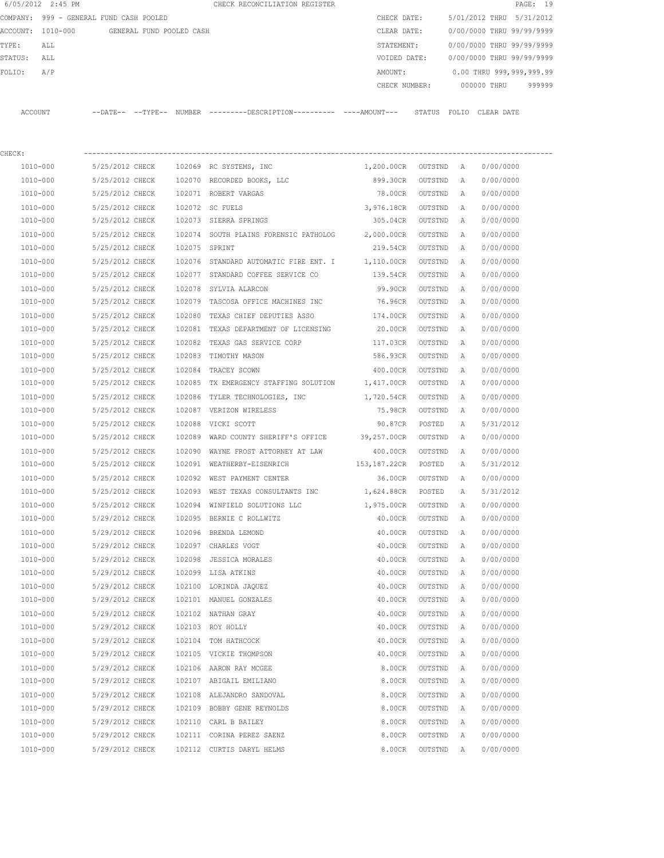|                | 6/05/2012 2:45 PM                       |                 |                          |               | CHECK RECONCILIATION REGISTER                                                                |                      |         |                           |                           | PAGE: 19 |  |  |
|----------------|-----------------------------------------|-----------------|--------------------------|---------------|----------------------------------------------------------------------------------------------|----------------------|---------|---------------------------|---------------------------|----------|--|--|
|                | COMPANY: 999 - GENERAL FUND CASH POOLED |                 |                          |               |                                                                                              | CHECK DATE:          |         |                           | 5/01/2012 THRU 5/31/2012  |          |  |  |
|                | ACCOUNT: 1010-000                       |                 | GENERAL FUND POOLED CASH |               |                                                                                              | CLEAR DATE:          |         |                           | 0/00/0000 THRU 99/99/9999 |          |  |  |
| TYPE:          | ALL                                     |                 |                          |               |                                                                                              | STATEMENT:           |         | 0/00/0000 THRU 99/99/9999 |                           |          |  |  |
| STATUS:<br>ALL |                                         |                 |                          |               |                                                                                              | VOIDED DATE:         |         |                           | 0/00/0000 THRU 99/99/9999 |          |  |  |
| FOLIO:<br>A/P  |                                         |                 |                          |               |                                                                                              | AMOUNT:              |         |                           | 0.00 THRU 999,999,999.99  |          |  |  |
|                |                                         |                 |                          |               |                                                                                              | CHECK NUMBER:        |         |                           | 000000 THRU               | 999999   |  |  |
|                | ACCOUNT                                 |                 |                          |               | --DATE-- --TYPE-- NUMBER ---------DESCRIPTION---------- ----AMOUNT--- STATUS FOLIO CLEARDATE |                      |         |                           |                           |          |  |  |
| CHECK:         |                                         |                 |                          |               |                                                                                              |                      |         |                           |                           |          |  |  |
|                | 1010-000                                | 5/25/2012 CHECK |                          |               | 102069 RC SYSTEMS, INC                                                                       | 1,200.00CR OUTSTND A |         |                           | 0/00/0000                 |          |  |  |
|                | 1010-000                                | 5/25/2012 CHECK |                          |               | 102070 RECORDED BOOKS, LLC                                                                   | 899.30CR             | OUTSTND | A                         | 0/00/0000                 |          |  |  |
|                | 1010-000                                | 5/25/2012 CHECK |                          |               | 102071 ROBERT VARGAS                                                                         | 78.00CR              | OUTSTND | A                         | 0/00/0000                 |          |  |  |
|                | 1010-000                                | 5/25/2012 CHECK |                          |               | 102072 SC FUELS                                                                              | 3,976.18CR           | OUTSTND | A                         | 0/00/0000                 |          |  |  |
|                | 1010-000                                | 5/25/2012 CHECK |                          |               | 102073 SIERRA SPRINGS                                                                        | 305.04CR             | OUTSTND | A                         | 0/00/0000                 |          |  |  |
|                | 1010-000                                | 5/25/2012 CHECK |                          |               | 102074 SOUTH PLAINS FORENSIC PATHOLOG                                                        | 2,000.00CR           | OUTSTND | A                         | 0/00/0000                 |          |  |  |
|                | 1010-000                                | 5/25/2012 CHECK |                          | 102075 SPRINT |                                                                                              | 219.54CR OUTSTND     |         | A                         | 0/00/0000                 |          |  |  |
|                | 1010-000                                | 5/25/2012 CHECK |                          |               | 102076 STANDARD AUTOMATIC FIRE ENT. I                                                        | 1,110.00CR           | OUTSTND | A                         | 0/00/0000                 |          |  |  |
|                | 1010-000                                | 5/25/2012 CHECK |                          |               | 102077 STANDARD COFFEE SERVICE CO                                                            | 139.54CR             | OUTSTND | A                         | 0/00/0000                 |          |  |  |
|                | 1010-000                                | 5/25/2012 CHECK |                          | 102078        | SYLVIA ALARCON                                                                               | 99.90CR              | OUTSTND | A                         | 0/00/0000                 |          |  |  |
|                | 1010-000                                | 5/25/2012 CHECK |                          |               | 102079 TASCOSA OFFICE MACHINES INC                                                           | 76.96CR              | OUTSTND | A                         | 0/00/0000                 |          |  |  |
|                | 1010-000                                | 5/25/2012 CHECK |                          | 102080        | TEXAS CHIEF DEPUTIES ASSO                                                                    | 174.00CR             | OUTSTND | A                         | 0/00/0000                 |          |  |  |
|                | 1010-000                                | 5/25/2012 CHECK |                          |               | 102081 TEXAS DEPARTMENT OF LICENSING                                                         | 20.00CR              | OUTSTND | Α                         | 0/00/0000                 |          |  |  |
|                | 1010-000                                | 5/25/2012 CHECK |                          | 102082        | TEXAS GAS SERVICE CORP                                                                       | 117.03CR             | OUTSTND | Α                         | 0/00/0000                 |          |  |  |
|                | 1010-000                                | 5/25/2012 CHECK |                          |               | 102083 TIMOTHY MASON                                                                         | 586.93CR             | OUTSTND | А                         | 0/00/0000                 |          |  |  |
|                | 1010-000                                | 5/25/2012 CHECK |                          | 102084        | TRACEY SCOWN                                                                                 | 400.00CR             | OUTSTND | Α                         | 0/00/0000                 |          |  |  |
|                | 1010-000                                | 5/25/2012 CHECK |                          |               | 102085 TX EMERGENCY STAFFING SOLUTION                                                        | 1,417.00CR           | OUTSTND | Α                         | 0/00/0000                 |          |  |  |
|                | 1010-000                                | 5/25/2012 CHECK |                          | 102086        | TYLER TECHNOLOGIES, INC                                                                      | 1,720.54CR           | OUTSTND | A                         | 0/00/0000                 |          |  |  |
|                | 1010-000                                | 5/25/2012 CHECK |                          |               | 102087 VERIZON WIRELESS                                                                      | 75.98CR              | OUTSTND | A                         | 0/00/0000                 |          |  |  |
|                | 1010-000                                | 5/25/2012 CHECK |                          | 102088        | VICKI SCOTT                                                                                  | 90.87CR              | POSTED  | Α                         | 5/31/2012                 |          |  |  |
|                | 1010-000                                | 5/25/2012 CHECK |                          | 102089        | WARD COUNTY SHERIFF'S OFFICE 39,257.00CR                                                     |                      | OUTSTND | Α                         | 0/00/0000                 |          |  |  |
|                | 1010-000                                | 5/25/2012 CHECK |                          | 102090        | WAYNE FROST ATTORNEY AT LAW                                                                  | 400.00CR             | OUTSTND | A                         | 0/00/0000                 |          |  |  |
|                | 1010-000                                | 5/25/2012 CHECK |                          |               | 102091 WEATHERBY-EISENRICH                                                                   | 153,187.22CR         | POSTED  | Α                         | 5/31/2012                 |          |  |  |
|                | 1010-000                                | 5/25/2012 CHECK |                          |               | 102092 WEST PAYMENT CENTER                                                                   | 36.00CR              | OUTSTND | A                         | 0/00/0000                 |          |  |  |
|                | 1010-000                                | 5/25/2012 CHECK |                          |               | 102093 WEST TEXAS CONSULTANTS INC                                                            | 1,624.88CR           | POSTED  | Α                         | 5/31/2012                 |          |  |  |
|                | 1010-000                                | 5/25/2012 CHECK |                          |               | 102094 WINFIELD SOLUTIONS LLC                                                                | 1,975.00CR           | OUTSTND | Α                         | 0/00/0000                 |          |  |  |
|                | 1010-000                                | 5/29/2012 CHECK |                          |               | 102095 BERNIE C ROLLWITZ                                                                     | 40.00CR              | OUTSTND | Α                         | 0/00/0000                 |          |  |  |
|                | 1010-000                                | 5/29/2012 CHECK |                          | 102096        | BRENDA LEMOND                                                                                | 40.00CR              | OUTSTND | Α                         | 0/00/0000                 |          |  |  |
|                | 1010-000                                | 5/29/2012 CHECK |                          |               | 102097 CHARLES VOGT                                                                          | 40.00CR              | OUTSTND | Α                         | 0/00/0000                 |          |  |  |
|                | 1010-000                                | 5/29/2012 CHECK |                          | 102098        | JESSICA MORALES                                                                              | 40.00CR              | OUTSTND | $\mathbb{A}$              | 0/00/0000                 |          |  |  |
|                | 1010-000                                | 5/29/2012 CHECK |                          | 102099        | LISA ATKINS                                                                                  | 40.00CR              | OUTSTND | Α                         | 0/00/0000                 |          |  |  |
|                | 1010-000                                | 5/29/2012 CHECK |                          | 102100        | LORINDA JAQUEZ                                                                               | 40.00CR              | OUTSTND | Α                         | 0/00/0000                 |          |  |  |
|                | 1010-000                                | 5/29/2012 CHECK |                          |               | 102101 MANUEL GONZALES                                                                       | 40.00CR              | OUTSTND | Α                         | 0/00/0000                 |          |  |  |
|                | 1010-000                                | 5/29/2012 CHECK |                          |               | 102102 NATHAN GRAY                                                                           | 40.00CR              | OUTSTND | Α                         | 0/00/0000                 |          |  |  |
|                | 1010-000                                | 5/29/2012 CHECK |                          |               | 102103 ROY HOLLY                                                                             | 40.00CR              | OUTSTND | Α                         | 0/00/0000                 |          |  |  |
|                | 1010-000                                | 5/29/2012 CHECK |                          |               | 102104 TOM HATHCOCK                                                                          | 40.00CR              | OUTSTND | Α                         | 0/00/0000                 |          |  |  |
|                | 1010-000                                | 5/29/2012 CHECK |                          |               | 102105 VICKIE THOMPSON                                                                       | 40.00CR              | OUTSTND | Α                         | 0/00/0000                 |          |  |  |
|                | 1010-000                                | 5/29/2012 CHECK |                          |               | 102106 AARON RAY MCGEE                                                                       | 8.00CR               | OUTSTND | Α                         | 0/00/0000                 |          |  |  |
|                | 1010-000                                | 5/29/2012 CHECK |                          |               | 102107 ABIGAIL EMILIANO                                                                      | 8.00CR               | OUTSTND | Α                         | 0/00/0000                 |          |  |  |
|                | 1010-000                                | 5/29/2012 CHECK |                          |               | 102108 ALEJANDRO SANDOVAL                                                                    | 8.00CR               | OUTSTND | Α                         | 0/00/0000                 |          |  |  |
|                | 1010-000                                | 5/29/2012 CHECK |                          |               | 102109 BOBBY GENE REYNOLDS                                                                   | 8.00CR               | OUTSTND | Α                         | 0/00/0000                 |          |  |  |
|                | 1010-000                                | 5/29/2012 CHECK |                          |               | 102110 CARL B BAILEY                                                                         | 8.00CR               | OUTSTND | Α                         | 0/00/0000                 |          |  |  |
|                | 1010-000                                | 5/29/2012 CHECK |                          |               | 102111 CORINA PEREZ SAENZ                                                                    | 8.00CR               | OUTSTND | Α                         | 0/00/0000                 |          |  |  |
|                | 1010-000                                | 5/29/2012 CHECK |                          |               | 102112 CURTIS DARYL HELMS                                                                    | 8.00CR               | OUTSTND | Α                         | 0/00/0000                 |          |  |  |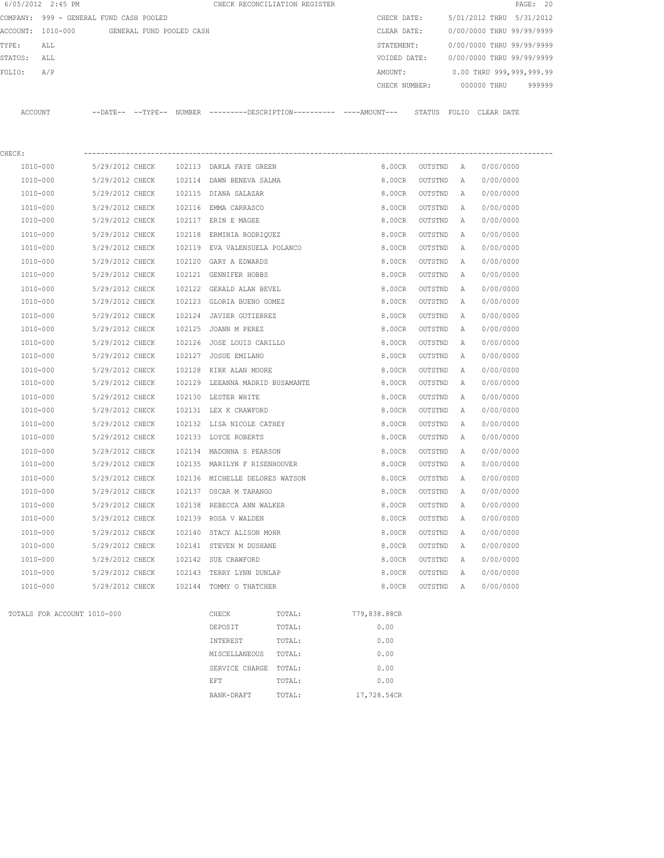|                                         | 6/05/2012 2:45 PM           |                                            |  |        |                                | CHECK RECONCILIATION REGISTER                                                                 |              |                           |   |                           | PAGE: 20 |  |
|-----------------------------------------|-----------------------------|--------------------------------------------|--|--------|--------------------------------|-----------------------------------------------------------------------------------------------|--------------|---------------------------|---|---------------------------|----------|--|
| COMPANY: 999 - GENERAL FUND CASH POOLED |                             |                                            |  |        |                                |                                                                                               |              | CHECK DATE:               |   | 5/01/2012 THRU 5/31/2012  |          |  |
|                                         |                             | ACCOUNT: 1010-000 GENERAL FUND POOLED CASH |  |        |                                |                                                                                               |              | CLEAR DATE:               |   | 0/00/0000 THRU 99/99/9999 |          |  |
| TYPE:                                   | ALL                         |                                            |  |        |                                |                                                                                               |              | STATEMENT:                |   | 0/00/0000 THRU 99/99/9999 |          |  |
| STATUS:                                 | ALL                         |                                            |  |        |                                |                                                                                               |              | VOIDED DATE:              |   | 0/00/0000 THRU 99/99/9999 |          |  |
| FOLIO:                                  | A/P                         |                                            |  |        |                                |                                                                                               | AMOUNT:      |                           |   | 0.00 THRU 999,999,999.99  |          |  |
|                                         |                             |                                            |  |        |                                |                                                                                               |              | CHECK NUMBER: 000000 THRU |   |                           | 999999   |  |
| ACCOUNT                                 |                             |                                            |  |        |                                | --DATE-- --TYPE-- NUMBER ---------DESCRIPTION---------- ----AMOUNT--- STATUS FOLIO CLEAR DATE |              |                           |   |                           |          |  |
|                                         |                             |                                            |  |        |                                |                                                                                               |              |                           |   |                           |          |  |
| CHECK:                                  |                             |                                            |  |        |                                |                                                                                               |              |                           |   |                           |          |  |
|                                         | 1010-000                    | 5/29/2012 CHECK                            |  |        | 102113 DARLA FAYE GREEN        |                                                                                               |              | 8.00CR OUTSTND A          |   | 0/00/0000                 |          |  |
|                                         | 1010-000                    | 5/29/2012 CHECK                            |  |        | 102114 DAWN BENEVA SALMA       |                                                                                               |              | 8.00CR<br>OUTSTND         | A | 0/00/0000                 |          |  |
|                                         | 1010-000                    | 5/29/2012 CHECK                            |  |        | 102115 DIANA SALAZAR           |                                                                                               |              | OUTSTND<br>8.00CR         | A | 0/00/0000                 |          |  |
|                                         | 1010-000                    | 5/29/2012 CHECK                            |  |        | 102116 EMMA CARRASCO           |                                                                                               |              | 8.00CR<br>OUTSTND         | A | 0/00/0000                 |          |  |
|                                         | 1010-000                    | 5/29/2012 CHECK                            |  |        | 102117 ERIN E MAGEE            |                                                                                               |              | 8.00CR<br>OUTSTND         | A | 0/00/0000                 |          |  |
|                                         | 1010-000                    | 5/29/2012 CHECK                            |  | 102118 | ERMINIA RODRIQUEZ              |                                                                                               |              | 8.00CR<br>OUTSTND         | A | 0/00/0000                 |          |  |
|                                         | 1010-000                    | 5/29/2012 CHECK                            |  |        | 102119 EVA VALENSUELA POLANCO  |                                                                                               |              | OUTSTND<br>8.00CR         | A | 0/00/0000                 |          |  |
|                                         | 1010-000                    | 5/29/2012 CHECK                            |  |        | 102120 GARY A EDWARDS          |                                                                                               |              | 8.00CR<br>OUTSTND         | A | 0/00/0000                 |          |  |
|                                         | 1010-000                    | 5/29/2012 CHECK                            |  |        | 102121 GENNIFER HOBBS          |                                                                                               |              | OUTSTND<br>8.00CR         | A | 0/00/0000                 |          |  |
|                                         | 1010-000                    | 5/29/2012 CHECK                            |  | 102122 | GERALD ALAN BEVEL              |                                                                                               |              | 8.00CR<br>OUTSTND         | A | 0/00/0000                 |          |  |
|                                         | 1010-000                    | 5/29/2012 CHECK                            |  |        | 102123 GLORIA BUENO GOMEZ      |                                                                                               |              | OUTSTND<br>8.00CR         | A | 0/00/0000                 |          |  |
|                                         | 1010-000                    | 5/29/2012 CHECK                            |  |        | 102124 JAVIER GUTIERREZ        |                                                                                               |              | 8.00CR<br>OUTSTND         | A | 0/00/0000                 |          |  |
|                                         | 1010-000                    | 5/29/2012 CHECK                            |  |        | 102125 JOANN M PEREZ           |                                                                                               |              | 8.00CR<br>OUTSTND         | A | 0/00/0000                 |          |  |
|                                         | 1010-000                    | 5/29/2012 CHECK                            |  |        | 102126 JOSE LOUIS CARILLO      |                                                                                               |              | 8.00CR<br>OUTSTND         | A | 0/00/0000                 |          |  |
|                                         | 1010-000                    | 5/29/2012 CHECK                            |  |        | 102127 JOSUE EMILANO           |                                                                                               |              | OUTSTND<br>8.00CR         | A | 0/00/0000                 |          |  |
|                                         | 1010-000                    | 5/29/2012 CHECK                            |  | 102128 | KIRK ALAN MOORE                |                                                                                               |              | 8.00CR<br>OUTSTND         | A | 0/00/0000                 |          |  |
|                                         | 1010-000                    | 5/29/2012 CHECK                            |  | 102129 | LEEANNA MADRID BUSAMANTE       |                                                                                               |              | 8.00CR<br>OUTSTND         | Α | 0/00/0000                 |          |  |
|                                         | 1010-000                    | 5/29/2012 CHECK                            |  |        | 102130 LESTER WHITE            |                                                                                               |              | 8.00CR<br>OUTSTND         | Α | 0/00/0000                 |          |  |
|                                         | 1010-000                    | 5/29/2012 CHECK                            |  |        | 102131 LEX K CRAWFORD          |                                                                                               |              | 8.00CR<br>OUTSTND         | A | 0/00/0000                 |          |  |
|                                         | 1010-000                    | 5/29/2012 CHECK                            |  |        | 102132 LISA NICOLE CATHEY      |                                                                                               |              | 8.00CR<br>OUTSTND         | Α | 0/00/0000                 |          |  |
|                                         | 1010-000                    | 5/29/2012 CHECK                            |  |        | 102133 LOYCE ROBERTS           |                                                                                               |              | 8.00CR<br>OUTSTND         | Α | 0/00/0000                 |          |  |
|                                         | 1010-000                    | 5/29/2012 CHECK                            |  |        | 102134 MADONNA S PEARSON       |                                                                                               |              | 8.00CR<br>OUTSTND         | Α | 0/00/0000                 |          |  |
|                                         | 1010-000                    | 5/29/2012 CHECK                            |  |        | 102135 MARILYN F RISENHOOVER   |                                                                                               |              | 8.00CR<br>OUTSTND         | A | 0/00/0000                 |          |  |
|                                         | $1010 - 000$                | 5/29/2012 CHECK                            |  |        | 102136 MICHELLE DELORES WATSON |                                                                                               |              | 8.00CR<br>OUTSTND         | A | 0/00/0000                 |          |  |
|                                         | 1010-000                    | 5/29/2012 CHECK                            |  |        | 102137 OSCAR M TARANGO         |                                                                                               |              | 8.00CR<br>OUTSTND         | Α | 0/00/0000                 |          |  |
|                                         | $1010 - 000$                | 5/29/2012 CHECK                            |  |        | 102138 REBECCA ANN WALKER      |                                                                                               |              | 8.00CR<br>OUTSTND         | Α | 0/00/0000                 |          |  |
|                                         | 1010-000                    | 5/29/2012 CHECK                            |  |        | 102139 ROSA V WALDEN           |                                                                                               |              | 8.00CR<br>OUTSTND         | Α | 0/00/0000                 |          |  |
|                                         | 1010-000                    | 5/29/2012 CHECK                            |  | 102140 | STACY ALISON MOHR              |                                                                                               |              | 8.00CR<br>OUTSTND         | Α | 0/00/0000                 |          |  |
|                                         | 1010-000                    | 5/29/2012 CHECK                            |  | 102141 | STEVEN M DUSHANE               |                                                                                               |              | 8.00CR<br>OUTSTND         | Α | 0/00/0000                 |          |  |
|                                         | $1010 - 000$                | 5/29/2012 CHECK                            |  |        | 102142 SUE CRAWFORD            |                                                                                               |              | 8.00CR<br>OUTSTND         | Α | 0/00/0000                 |          |  |
|                                         | 1010-000                    | 5/29/2012 CHECK                            |  | 102143 | TERRY LYNN DUNLAP              |                                                                                               |              | 8.00CR<br>OUTSTND         | Α | 0/00/0000                 |          |  |
|                                         | 1010-000                    | 5/29/2012 CHECK                            |  |        | 102144 TOMMY O THATCHER        |                                                                                               |              | 8.00CR<br>OUTSTND         | Α | 0/00/0000                 |          |  |
|                                         | TOTALS FOR ACCOUNT 1010-000 |                                            |  |        | CHECK                          | TOTAL:                                                                                        | 779,838.88CR |                           |   |                           |          |  |
|                                         |                             |                                            |  |        | DEPOSIT                        | TOTAL:                                                                                        | 0.00         |                           |   |                           |          |  |
|                                         |                             |                                            |  |        | INTEREST                       | TOTAL:                                                                                        | 0.00         |                           |   |                           |          |  |
|                                         |                             |                                            |  |        | MISCELLANEOUS                  | TOTAL:                                                                                        | 0.00         |                           |   |                           |          |  |
|                                         |                             |                                            |  |        | SERVICE CHARGE                 | TOTAL:                                                                                        | 0.00         |                           |   |                           |          |  |
|                                         |                             |                                            |  |        | EFT                            | TOTAL:                                                                                        | 0.00         |                           |   |                           |          |  |
|                                         |                             |                                            |  |        | BANK-DRAFT                     | TOTAL:                                                                                        | 17,728.54CR  |                           |   |                           |          |  |
|                                         |                             |                                            |  |        |                                |                                                                                               |              |                           |   |                           |          |  |